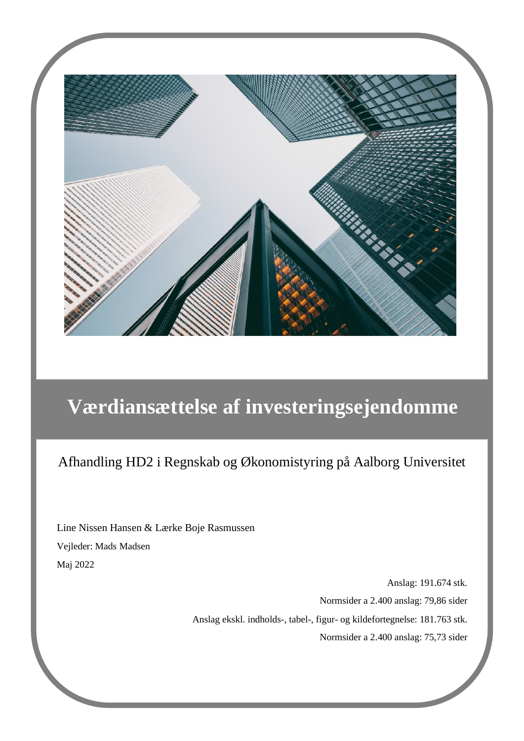

# **Værdiansættelse af investeringsejendomme**

## Afhandling HD2 i Regnskab og Økonomistyring på Aalborg Universitet

Line Nissen Hansen & Lærke Boje Rasmussen Vejleder: Mads Madsen Maj 2022

> Anslag: 191.674 stk. Normsider a 2.400 anslag: 79,86 sider Anslag ekskl. indholds-, tabel-, figur- og kildefortegnelse: 181.763 stk. Normsider a 2.400 anslag: 75,73 sider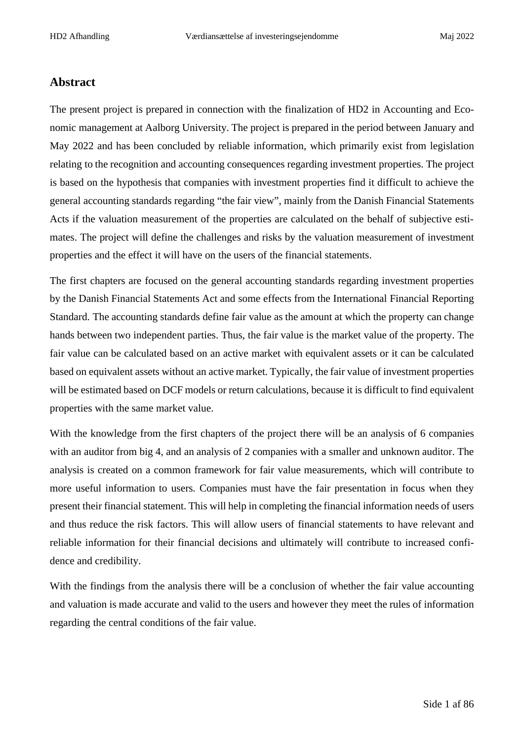## **Abstract**

The present project is prepared in connection with the finalization of HD2 in Accounting and Economic management at Aalborg University. The project is prepared in the period between January and May 2022 and has been concluded by reliable information, which primarily exist from legislation relating to the recognition and accounting consequences regarding investment properties. The project is based on the hypothesis that companies with investment properties find it difficult to achieve the general accounting standards regarding "the fair view", mainly from the Danish Financial Statements Acts if the valuation measurement of the properties are calculated on the behalf of subjective estimates. The project will define the challenges and risks by the valuation measurement of investment properties and the effect it will have on the users of the financial statements.

The first chapters are focused on the general accounting standards regarding investment properties by the Danish Financial Statements Act and some effects from the International Financial Reporting Standard. The accounting standards define fair value as the amount at which the property can change hands between two independent parties. Thus, the fair value is the market value of the property. The fair value can be calculated based on an active market with equivalent assets or it can be calculated based on equivalent assets without an active market. Typically, the fair value of investment properties will be estimated based on DCF models or return calculations, because it is difficult to find equivalent properties with the same market value.

With the knowledge from the first chapters of the project there will be an analysis of 6 companies with an auditor from big 4, and an analysis of 2 companies with a smaller and unknown auditor. The analysis is created on a common framework for fair value measurements, which will contribute to more useful information to users. Companies must have the fair presentation in focus when they present their financial statement. This will help in completing the financial information needs of users and thus reduce the risk factors. This will allow users of financial statements to have relevant and reliable information for their financial decisions and ultimately will contribute to increased confidence and credibility.

With the findings from the analysis there will be a conclusion of whether the fair value accounting and valuation is made accurate and valid to the users and however they meet the rules of information regarding the central conditions of the fair value.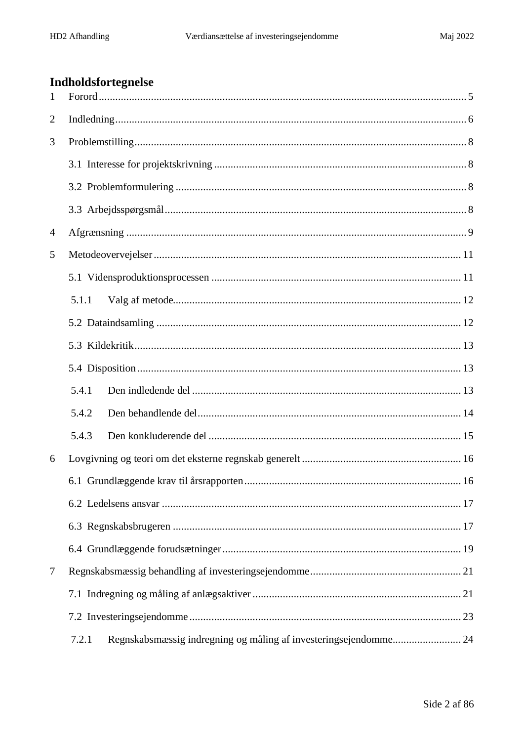## Indholdsfortegnelse

| $\mathbf{1}$   |                                                                           |
|----------------|---------------------------------------------------------------------------|
| $\overline{2}$ |                                                                           |
| 3              |                                                                           |
|                |                                                                           |
|                |                                                                           |
|                |                                                                           |
| 4              |                                                                           |
| 5              |                                                                           |
|                |                                                                           |
|                | 5.1.1                                                                     |
|                |                                                                           |
|                |                                                                           |
|                |                                                                           |
|                | 5.4.1                                                                     |
|                | 5.4.2                                                                     |
|                | 5.4.3                                                                     |
| 6              |                                                                           |
|                |                                                                           |
|                |                                                                           |
|                |                                                                           |
|                |                                                                           |
| 7              |                                                                           |
|                |                                                                           |
|                |                                                                           |
|                | Regnskabsmæssig indregning og måling af investeringsejendomme 24<br>7.2.1 |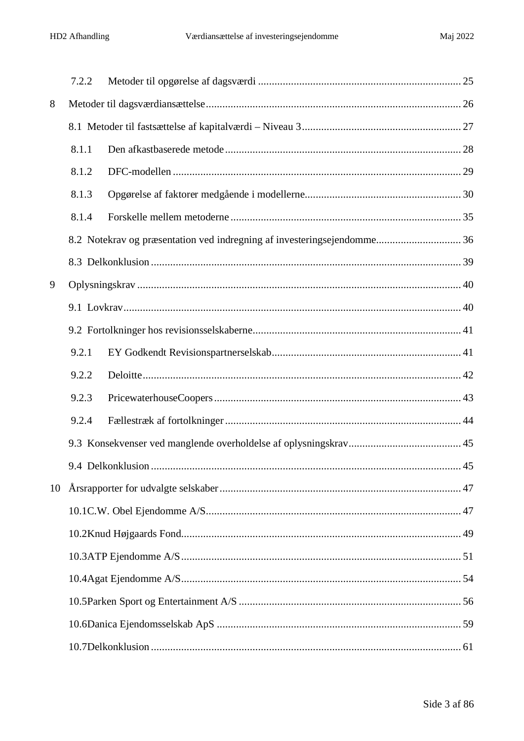|    | 7.2.2 |  |  |  |
|----|-------|--|--|--|
| 8  |       |  |  |  |
|    |       |  |  |  |
|    | 8.1.1 |  |  |  |
|    | 8.1.2 |  |  |  |
|    | 8.1.3 |  |  |  |
|    | 8.1.4 |  |  |  |
|    |       |  |  |  |
|    |       |  |  |  |
| 9  |       |  |  |  |
|    |       |  |  |  |
|    |       |  |  |  |
|    | 9.2.1 |  |  |  |
|    | 9.2.2 |  |  |  |
|    | 9.2.3 |  |  |  |
|    | 9.2.4 |  |  |  |
|    |       |  |  |  |
|    |       |  |  |  |
| 10 |       |  |  |  |
|    |       |  |  |  |
|    |       |  |  |  |
|    |       |  |  |  |
|    |       |  |  |  |
|    |       |  |  |  |
|    |       |  |  |  |
|    |       |  |  |  |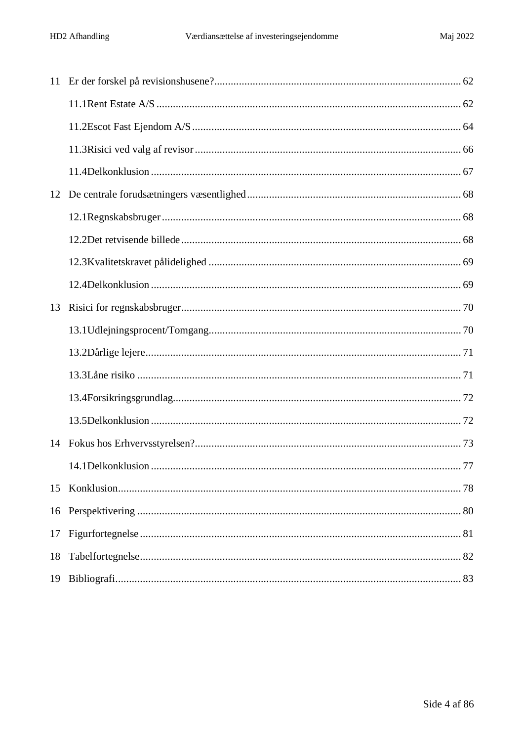| 12 |  |
|----|--|
|    |  |
|    |  |
|    |  |
|    |  |
| 13 |  |
|    |  |
|    |  |
|    |  |
|    |  |
|    |  |
| 14 |  |
|    |  |
| 15 |  |
| 16 |  |
| 17 |  |
| 18 |  |
|    |  |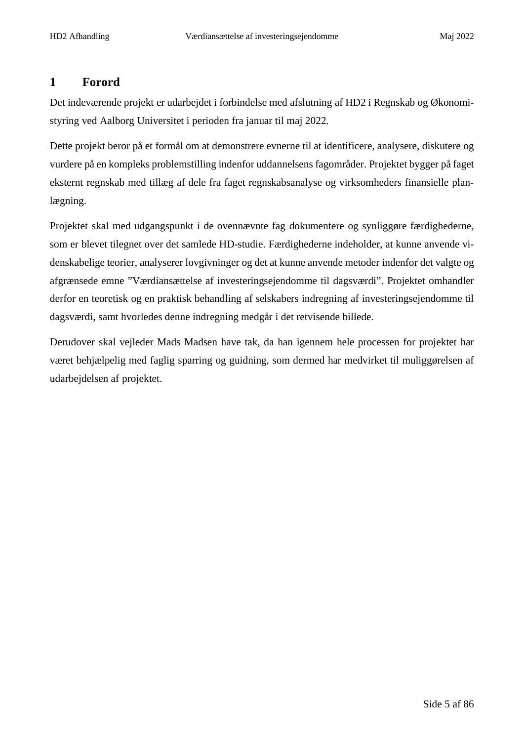## **1 Forord**

Det indeværende projekt er udarbejdet i forbindelse med afslutning af HD2 i Regnskab og Økonomistyring ved Aalborg Universitet i perioden fra januar til maj 2022.

Dette projekt beror på et formål om at demonstrere evnerne til at identificere, analysere, diskutere og vurdere på en kompleks problemstilling indenfor uddannelsens fagområder. Projektet bygger på faget eksternt regnskab med tillæg af dele fra faget regnskabsanalyse og virksomheders finansielle planlægning.

Projektet skal med udgangspunkt i de ovennævnte fag dokumentere og synliggøre færdighederne, som er blevet tilegnet over det samlede HD-studie. Færdighederne indeholder, at kunne anvende videnskabelige teorier, analyserer lovgivninger og det at kunne anvende metoder indenfor det valgte og afgrænsede emne "Værdiansættelse af investeringsejendomme til dagsværdi". Projektet omhandler derfor en teoretisk og en praktisk behandling af selskabers indregning af investeringsejendomme til dagsværdi, samt hvorledes denne indregning medgår i det retvisende billede.

Derudover skal vejleder Mads Madsen have tak, da han igennem hele processen for projektet har været behjælpelig med faglig sparring og guidning, som dermed har medvirket til muliggørelsen af udarbejdelsen af projektet.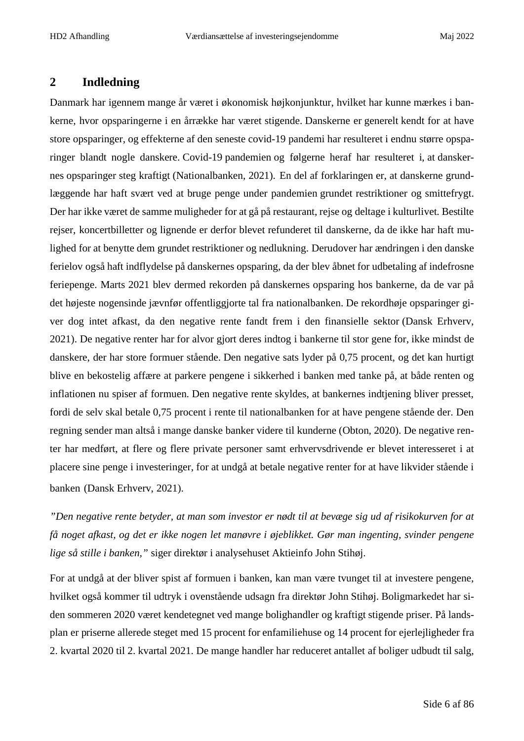## **2 Indledning**

Danmark har igennem mange år været i økonomisk højkonjunktur, hvilket har kunne mærkes i bankerne, hvor opsparingerne i en årrække har været stigende. Danskerne er generelt kendt for at have store opsparinger, og effekterne af den seneste covid-19 pandemi har resulteret i endnu større opsparinger blandt nogle danskere. Covid-19 pandemien og følgerne heraf har resulteret i, at danskernes opsparinger steg kraftigt (Nationalbanken, 2021). En del af forklaringen er, at danskerne grundlæggende har haft svært ved at bruge penge under pandemien grundet restriktioner og smittefrygt. Der har ikke været de samme muligheder for at gå på restaurant, rejse og deltage i kulturlivet. Bestilte rejser, koncertbilletter og lignende er derfor blevet refunderet til danskerne, da de ikke har haft mulighed for at benytte dem grundet restriktioner og nedlukning. Derudover har ændringen i den danske ferielov også haft indflydelse på danskernes opsparing, da der blev åbnet for udbetaling af indefrosne feriepenge. Marts 2021 blev dermed rekorden på danskernes opsparing hos bankerne, da de var på det højeste nogensinde jævnfør offentliggjorte tal fra nationalbanken. De rekordhøje opsparinger giver dog intet afkast, da den negative rente fandt frem i den finansielle sektor (Dansk Erhverv, 2021). De negative renter har for alvor gjort deres indtog i bankerne til stor gene for, ikke mindst de danskere, der har store formuer stående. Den negative sats lyder på 0,75 procent, og det kan hurtigt blive en bekostelig affære at parkere pengene i sikkerhed i banken med tanke på, at både renten og inflationen nu spiser af formuen. Den negative rente skyldes, at bankernes indtjening bliver presset, fordi de selv skal betale 0,75 procent i rente til nationalbanken for at have pengene stående der. Den regning sender man altså i mange danske banker videre til kunderne (Obton, 2020). De negative renter har medført, at flere og flere private personer samt erhvervsdrivende er blevet interesseret i at placere sine penge i investeringer, for at undgå at betale negative renter for at have likvider stående i banken (Dansk Erhverv, 2021).

*"Den negative rente betyder, at man som investor er nødt til at bevæge sig ud af risikokurven for at få noget afkast, og det er ikke nogen let manøvre i øjeblikket. Gør man ingenting, svinder pengene lige så stille i banken,"* siger direktør i analysehuset Aktieinfo John Stihøj.

For at undgå at der bliver spist af formuen i banken, kan man være tvunget til at investere pengene, hvilket også kommer til udtryk i ovenstående udsagn fra direktør John Stihøj. Boligmarkedet har siden sommeren 2020 været kendetegnet ved mange bolighandler og kraftigt stigende priser. På landsplan er priserne allerede steget med 15 procent for enfamiliehuse og 14 procent for ejerlejligheder fra 2. kvartal 2020 til 2. kvartal 2021. De mange handler har reduceret antallet af boliger udbudt til salg,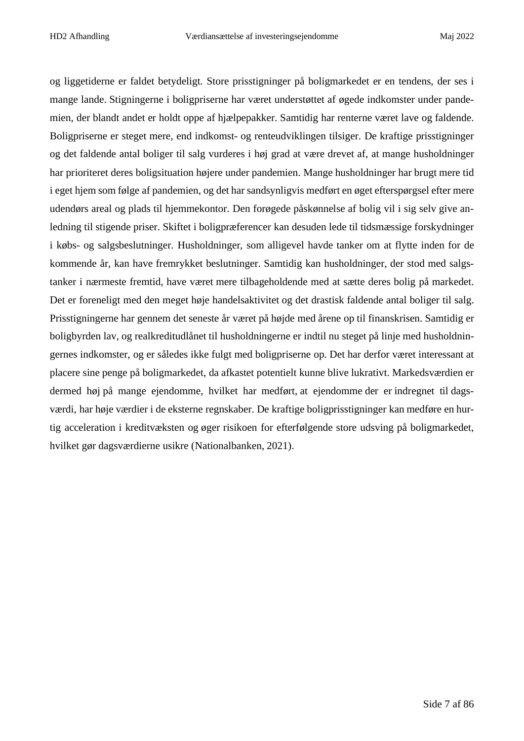og liggetiderne er faldet betydeligt. Store prisstigninger på boligmarkedet er en tendens, der ses i mange lande. Stigningerne i boligpriserne har været understøttet af øgede indkomster under pandemien, der blandt andet er holdt oppe af hjælpepakker. Samtidig har renterne været lave og faldende. Boligpriserne er steget mere, end indkomst- og renteudviklingen tilsiger. De kraftige prisstigninger og det faldende antal boliger til salg vurderes i høj grad at være drevet af, at mange husholdninger har prioriteret deres boligsituation højere under pandemien. Mange husholdninger har brugt mere tid i eget hjem som følge af pandemien, og det har sandsynligvis medført en øget efterspørgsel efter mere udendørs areal og plads til hjemmekontor. Den forøgede påskønnelse af bolig vil i sig selv give anledning til stigende priser. Skiftet i boligpræferencer kan desuden lede til tidsmæssige forskydninger i købs- og salgsbeslutninger. Husholdninger, som alligevel havde tanker om at flytte inden for de kommende år, kan have fremrykket beslutninger. Samtidig kan husholdninger, der stod med salgstanker i nærmeste fremtid, have været mere tilbageholdende med at sætte deres bolig på markedet. Det er foreneligt med den meget høje handelsaktivitet og det drastisk faldende antal boliger til salg. Prisstigningerne har gennem det seneste år været på højde med årene op til finanskrisen. Samtidig er boligbyrden lav, og realkreditudlånet til husholdningerne er indtil nu steget på linje med husholdningernes indkomster, og er således ikke fulgt med boligpriserne op. Det har derfor været interessant at placere sine penge på boligmarkedet, da afkastet potentielt kunne blive lukrativt. Markedsværdien er dermed høj på mange ejendomme, hvilket har medført, at ejendomme der er indregnet til dagsværdi, har høje værdier i de eksterne regnskaber. De kraftige boligprisstigninger kan medføre en hurtig acceleration i kreditvæksten og øger risikoen for efterfølgende store udsving på boligmarkedet, hvilket gør dagsværdierne usikre (Nationalbanken, 2021).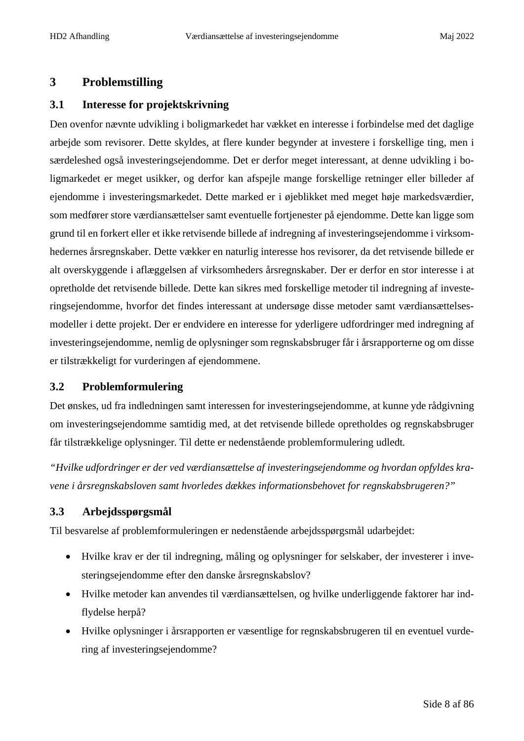## **3 Problemstilling**

#### **3.1 Interesse for projektskrivning**

Den ovenfor nævnte udvikling i boligmarkedet har vækket en interesse i forbindelse med det daglige arbejde som revisorer. Dette skyldes, at flere kunder begynder at investere i forskellige ting, men i særdeleshed også investeringsejendomme. Det er derfor meget interessant, at denne udvikling i boligmarkedet er meget usikker, og derfor kan afspejle mange forskellige retninger eller billeder af ejendomme i investeringsmarkedet. Dette marked er i øjeblikket med meget høje markedsværdier, som medfører store værdiansættelser samt eventuelle fortjenester på ejendomme. Dette kan ligge som grund til en forkert eller et ikke retvisende billede af indregning af investeringsejendomme i virksomhedernes årsregnskaber. Dette vækker en naturlig interesse hos revisorer, da det retvisende billede er alt overskyggende i aflæggelsen af virksomheders årsregnskaber. Der er derfor en stor interesse i at opretholde det retvisende billede. Dette kan sikres med forskellige metoder til indregning af investeringsejendomme, hvorfor det findes interessant at undersøge disse metoder samt værdiansættelsesmodeller i dette projekt. Der er endvidere en interesse for yderligere udfordringer med indregning af investeringsejendomme, nemlig de oplysninger som regnskabsbruger får i årsrapporterne og om disse er tilstrækkeligt for vurderingen af ejendommene.

## **3.2 Problemformulering**

Det ønskes, ud fra indledningen samt interessen for investeringsejendomme, at kunne yde rådgivning om investeringsejendomme samtidig med, at det retvisende billede opretholdes og regnskabsbruger får tilstrækkelige oplysninger. Til dette er nedenstående problemformulering udledt.

*"Hvilke udfordringer er der ved værdiansættelse af investeringsejendomme og hvordan opfyldes kravene i årsregnskabsloven samt hvorledes dækkes informationsbehovet for regnskabsbrugeren?"*

## **3.3 Arbejdsspørgsmål**

Til besvarelse af problemformuleringen er nedenstående arbejdsspørgsmål udarbejdet:

- Hvilke krav er der til indregning, måling og oplysninger for selskaber, der investerer i investeringsejendomme efter den danske årsregnskabslov?
- Hvilke metoder kan anvendes til værdiansættelsen, og hvilke underliggende faktorer har indflydelse herpå?
- Hvilke oplysninger i årsrapporten er væsentlige for regnskabsbrugeren til en eventuel vurdering af investeringsejendomme?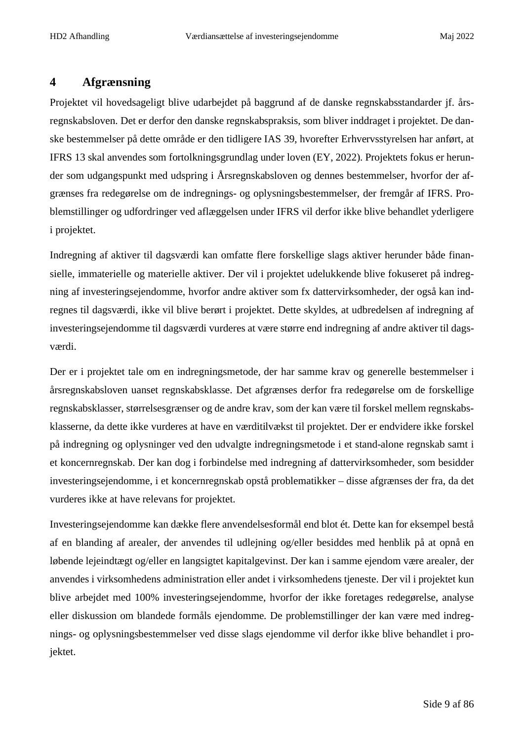## **4 Afgrænsning**

Projektet vil hovedsageligt blive udarbejdet på baggrund af de danske regnskabsstandarder jf. årsregnskabsloven. Det er derfor den danske regnskabspraksis, som bliver inddraget i projektet. De danske bestemmelser på dette område er den tidligere IAS 39, hvorefter Erhvervsstyrelsen har anført, at IFRS 13 skal anvendes som fortolkningsgrundlag under loven (EY, 2022). Projektets fokus er herunder som udgangspunkt med udspring i Årsregnskabsloven og dennes bestemmelser, hvorfor der afgrænses fra redegørelse om de indregnings- og oplysningsbestemmelser, der fremgår af IFRS. Problemstillinger og udfordringer ved aflæggelsen under IFRS vil derfor ikke blive behandlet yderligere i projektet.

Indregning af aktiver til dagsværdi kan omfatte flere forskellige slags aktiver herunder både finansielle, immaterielle og materielle aktiver. Der vil i projektet udelukkende blive fokuseret på indregning af investeringsejendomme, hvorfor andre aktiver som fx dattervirksomheder, der også kan indregnes til dagsværdi, ikke vil blive berørt i projektet. Dette skyldes, at udbredelsen af indregning af investeringsejendomme til dagsværdi vurderes at være større end indregning af andre aktiver til dagsværdi.

Der er i projektet tale om en indregningsmetode, der har samme krav og generelle bestemmelser i årsregnskabsloven uanset regnskabsklasse. Det afgrænses derfor fra redegørelse om de forskellige regnskabsklasser, størrelsesgrænser og de andre krav, som der kan være til forskel mellem regnskabsklasserne, da dette ikke vurderes at have en værditilvækst til projektet. Der er endvidere ikke forskel på indregning og oplysninger ved den udvalgte indregningsmetode i et stand-alone regnskab samt i et koncernregnskab. Der kan dog i forbindelse med indregning af dattervirksomheder, som besidder investeringsejendomme, i et koncernregnskab opstå problematikker – disse afgrænses der fra, da det vurderes ikke at have relevans for projektet.

Investeringsejendomme kan dække flere anvendelsesformål end blot ét. Dette kan for eksempel bestå af en blanding af arealer, der anvendes til udlejning og/eller besiddes med henblik på at opnå en løbende lejeindtægt og/eller en langsigtet kapitalgevinst. Der kan i samme ejendom være arealer, der anvendes i virksomhedens administration eller andet i virksomhedens tjeneste. Der vil i projektet kun blive arbejdet med 100% investeringsejendomme, hvorfor der ikke foretages redegørelse, analyse eller diskussion om blandede formåls ejendomme. De problemstillinger der kan være med indregnings- og oplysningsbestemmelser ved disse slags ejendomme vil derfor ikke blive behandlet i projektet.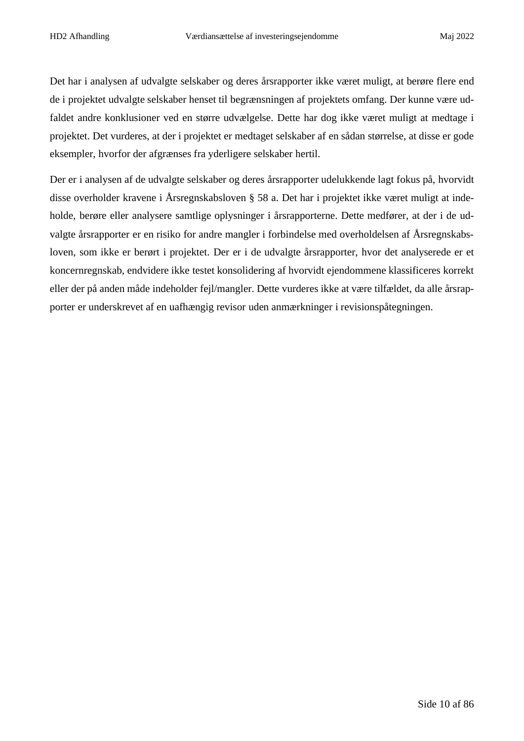Det har i analysen af udvalgte selskaber og deres årsrapporter ikke været muligt, at berøre flere end de i projektet udvalgte selskaber henset til begrænsningen af projektets omfang. Der kunne være udfaldet andre konklusioner ved en større udvælgelse. Dette har dog ikke været muligt at medtage i projektet. Det vurderes, at der i projektet er medtaget selskaber af en sådan størrelse, at disse er gode eksempler, hvorfor der afgrænses fra yderligere selskaber hertil.

Der er i analysen af de udvalgte selskaber og deres årsrapporter udelukkende lagt fokus på, hvorvidt disse overholder kravene i Årsregnskabsloven § 58 a. Det har i projektet ikke været muligt at indeholde, berøre eller analysere samtlige oplysninger i årsrapporterne. Dette medfører, at der i de udvalgte årsrapporter er en risiko for andre mangler i forbindelse med overholdelsen af Årsregnskabsloven, som ikke er berørt i projektet. Der er i de udvalgte årsrapporter, hvor det analyserede er et koncernregnskab, endvidere ikke testet konsolidering af hvorvidt ejendommene klassificeres korrekt eller der på anden måde indeholder fejl/mangler. Dette vurderes ikke at være tilfældet, da alle årsrapporter er underskrevet af en uafhængig revisor uden anmærkninger i revisionspåtegningen.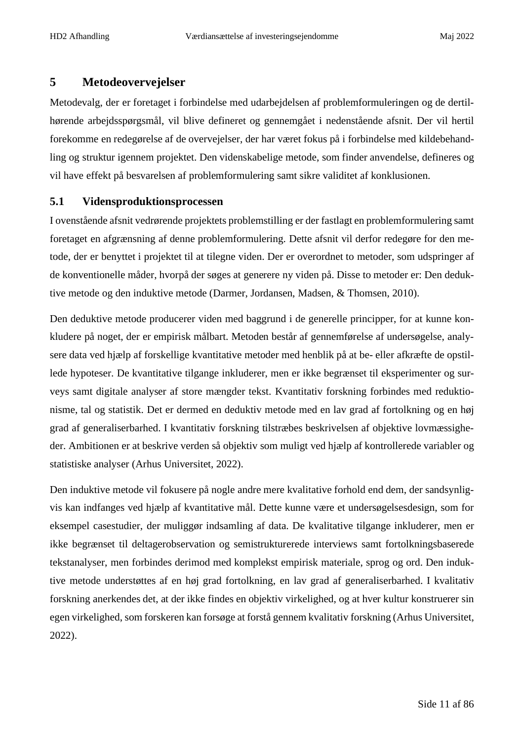## **5 Metodeovervejelser**

Metodevalg, der er foretaget i forbindelse med udarbejdelsen af problemformuleringen og de dertilhørende arbejdsspørgsmål, vil blive defineret og gennemgået i nedenstående afsnit. Der vil hertil forekomme en redegørelse af de overvejelser, der har været fokus på i forbindelse med kildebehandling og struktur igennem projektet. Den videnskabelige metode, som finder anvendelse, defineres og vil have effekt på besvarelsen af problemformulering samt sikre validitet af konklusionen.

#### **5.1 Vidensproduktionsprocessen**

I ovenstående afsnit vedrørende projektets problemstilling er der fastlagt en problemformulering samt foretaget en afgrænsning af denne problemformulering. Dette afsnit vil derfor redegøre for den metode, der er benyttet i projektet til at tilegne viden. Der er overordnet to metoder, som udspringer af de konventionelle måder, hvorpå der søges at generere ny viden på. Disse to metoder er: Den deduktive metode og den induktive metode (Darmer, Jordansen, Madsen, & Thomsen, 2010).

Den deduktive metode producerer viden med baggrund i de generelle principper, for at kunne konkludere på noget, der er empirisk målbart. Metoden består af gennemførelse af undersøgelse, analysere data ved hjælp af forskellige kvantitative metoder med henblik på at be- eller afkræfte de opstillede hypoteser. De kvantitative tilgange inkluderer, men er ikke begrænset til eksperimenter og surveys samt digitale analyser af store mængder tekst. Kvantitativ forskning forbindes med reduktionisme, tal og statistik. Det er dermed en deduktiv metode med en lav grad af fortolkning og en høj grad af generaliserbarhed. I kvantitativ forskning tilstræbes beskrivelsen af objektive lovmæssigheder. Ambitionen er at beskrive verden så objektiv som muligt ved hjælp af kontrollerede variabler og statistiske analyser (Arhus Universitet, 2022).

Den induktive metode vil fokusere på nogle andre mere kvalitative forhold end dem, der sandsynligvis kan indfanges ved hjælp af kvantitative mål. Dette kunne være et undersøgelsesdesign, som for eksempel casestudier, der muliggør indsamling af data. De kvalitative tilgange inkluderer, men er ikke begrænset til deltagerobservation og semistrukturerede interviews samt fortolkningsbaserede tekstanalyser, men forbindes derimod med komplekst empirisk materiale, sprog og ord. Den induktive metode understøttes af en høj grad fortolkning, en lav grad af generaliserbarhed. I kvalitativ forskning anerkendes det, at der ikke findes en objektiv virkelighed, og at hver kultur konstruerer sin egen virkelighed, som forskeren kan forsøge at forstå gennem kvalitativ forskning (Arhus Universitet, 2022).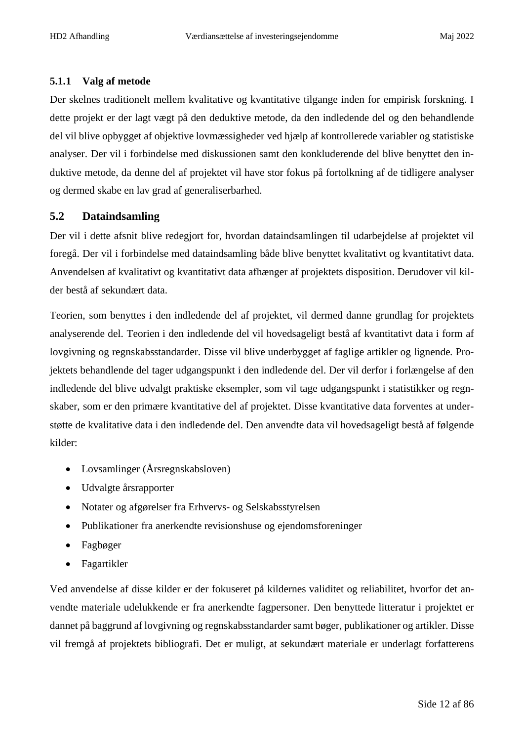#### **5.1.1 Valg af metode**

Der skelnes traditionelt mellem kvalitative og kvantitative tilgange inden for empirisk forskning. I dette projekt er der lagt vægt på den deduktive metode, da den indledende del og den behandlende del vil blive opbygget af objektive lovmæssigheder ved hjælp af kontrollerede variabler og statistiske analyser. Der vil i forbindelse med diskussionen samt den konkluderende del blive benyttet den induktive metode, da denne del af projektet vil have stor fokus på fortolkning af de tidligere analyser og dermed skabe en lav grad af generaliserbarhed.

#### **5.2 Dataindsamling**

Der vil i dette afsnit blive redegjort for, hvordan dataindsamlingen til udarbejdelse af projektet vil foregå. Der vil i forbindelse med dataindsamling både blive benyttet kvalitativt og kvantitativt data. Anvendelsen af kvalitativt og kvantitativt data afhænger af projektets disposition. Derudover vil kilder bestå af sekundært data.

Teorien, som benyttes i den indledende del af projektet, vil dermed danne grundlag for projektets analyserende del. Teorien i den indledende del vil hovedsageligt bestå af kvantitativt data i form af lovgivning og regnskabsstandarder. Disse vil blive underbygget af faglige artikler og lignende. Projektets behandlende del tager udgangspunkt i den indledende del. Der vil derfor i forlængelse af den indledende del blive udvalgt praktiske eksempler, som vil tage udgangspunkt i statistikker og regnskaber, som er den primære kvantitative del af projektet. Disse kvantitative data forventes at understøtte de kvalitative data i den indledende del. Den anvendte data vil hovedsageligt bestå af følgende kilder:

- Lovsamlinger (Årsregnskabsloven)
- Udvalgte årsrapporter
- Notater og afgørelser fra Erhvervs- og Selskabsstyrelsen
- Publikationer fra anerkendte revisionshuse og ejendomsforeninger
- Fagbøger
- Fagartikler

Ved anvendelse af disse kilder er der fokuseret på kildernes validitet og reliabilitet, hvorfor det anvendte materiale udelukkende er fra anerkendte fagpersoner. Den benyttede litteratur i projektet er dannet på baggrund af lovgivning og regnskabsstandarder samt bøger, publikationer og artikler. Disse vil fremgå af projektets bibliografi. Det er muligt, at sekundært materiale er underlagt forfatterens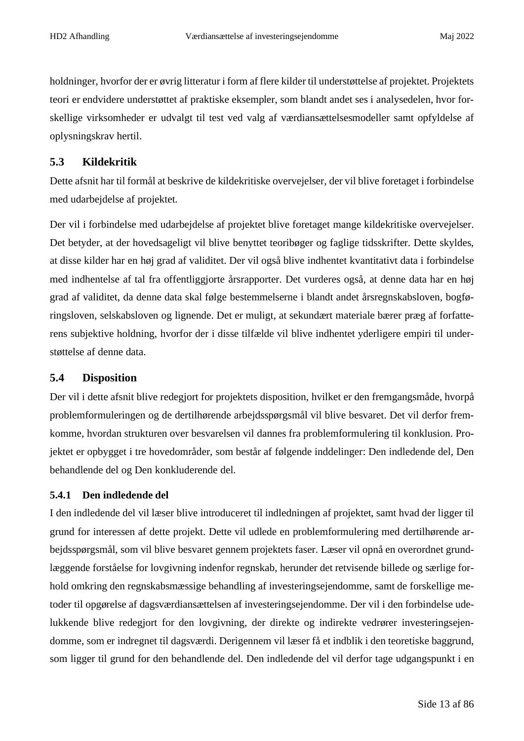holdninger, hvorfor der er øvrig litteratur i form af flere kilder til understøttelse af projektet. Projektets teori er endvidere understøttet af praktiske eksempler, som blandt andet ses i analysedelen, hvor forskellige virksomheder er udvalgt til test ved valg af værdiansættelsesmodeller samt opfyldelse af oplysningskrav hertil.

## **5.3 Kildekritik**

Dette afsnit har til formål at beskrive de kildekritiske overvejelser, der vil blive foretaget i forbindelse med udarbejdelse af projektet.

Der vil i forbindelse med udarbejdelse af projektet blive foretaget mange kildekritiske overvejelser. Det betyder, at der hovedsageligt vil blive benyttet teoribøger og faglige tidsskrifter. Dette skyldes, at disse kilder har en høj grad af validitet. Der vil også blive indhentet kvantitativt data i forbindelse med indhentelse af tal fra offentliggjorte årsrapporter. Det vurderes også, at denne data har en høj grad af validitet, da denne data skal følge bestemmelserne i blandt andet årsregnskabsloven, bogføringsloven, selskabsloven og lignende. Det er muligt, at sekundært materiale bærer præg af forfatterens subjektive holdning, hvorfor der i disse tilfælde vil blive indhentet yderligere empiri til understøttelse af denne data.

#### **5.4 Disposition**

Der vil i dette afsnit blive redegjort for projektets disposition, hvilket er den fremgangsmåde, hvorpå problemformuleringen og de dertilhørende arbejdsspørgsmål vil blive besvaret. Det vil derfor fremkomme, hvordan strukturen over besvarelsen vil dannes fra problemformulering til konklusion. Projektet er opbygget i tre hovedområder, som består af følgende inddelinger: Den indledende del, Den behandlende del og Den konkluderende del.

#### **5.4.1 Den indledende del**

I den indledende del vil læser blive introduceret til indledningen af projektet, samt hvad der ligger til grund for interessen af dette projekt. Dette vil udlede en problemformulering med dertilhørende arbejdsspørgsmål, som vil blive besvaret gennem projektets faser. Læser vil opnå en overordnet grundlæggende forståelse for lovgivning indenfor regnskab, herunder det retvisende billede og særlige forhold omkring den regnskabsmæssige behandling af investeringsejendomme, samt de forskellige metoder til opgørelse af dagsværdiansættelsen af investeringsejendomme. Der vil i den forbindelse udelukkende blive redegjort for den lovgivning, der direkte og indirekte vedrører investeringsejendomme, som er indregnet til dagsværdi. Derigennem vil læser få et indblik i den teoretiske baggrund, som ligger til grund for den behandlende del. Den indledende del vil derfor tage udgangspunkt i en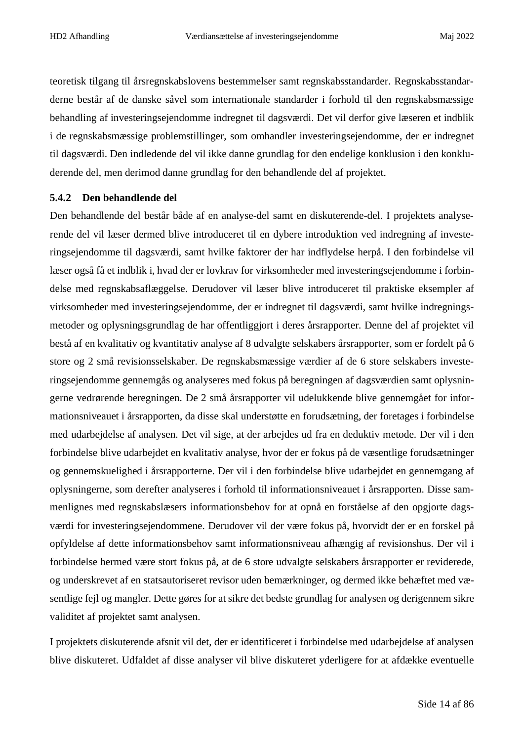teoretisk tilgang til årsregnskabslovens bestemmelser samt regnskabsstandarder. Regnskabsstandarderne består af de danske såvel som internationale standarder i forhold til den regnskabsmæssige behandling af investeringsejendomme indregnet til dagsværdi. Det vil derfor give læseren et indblik i de regnskabsmæssige problemstillinger, som omhandler investeringsejendomme, der er indregnet til dagsværdi. Den indledende del vil ikke danne grundlag for den endelige konklusion i den konkluderende del, men derimod danne grundlag for den behandlende del af projektet.

#### **5.4.2 Den behandlende del**

Den behandlende del består både af en analyse-del samt en diskuterende-del. I projektets analyserende del vil læser dermed blive introduceret til en dybere introduktion ved indregning af investeringsejendomme til dagsværdi, samt hvilke faktorer der har indflydelse herpå. I den forbindelse vil læser også få et indblik i, hvad der er lovkrav for virksomheder med investeringsejendomme i forbindelse med regnskabsaflæggelse. Derudover vil læser blive introduceret til praktiske eksempler af virksomheder med investeringsejendomme, der er indregnet til dagsværdi, samt hvilke indregningsmetoder og oplysningsgrundlag de har offentliggjort i deres årsrapporter. Denne del af projektet vil bestå af en kvalitativ og kvantitativ analyse af 8 udvalgte selskabers årsrapporter, som er fordelt på 6 store og 2 små revisionsselskaber. De regnskabsmæssige værdier af de 6 store selskabers investeringsejendomme gennemgås og analyseres med fokus på beregningen af dagsværdien samt oplysningerne vedrørende beregningen. De 2 små årsrapporter vil udelukkende blive gennemgået for informationsniveauet i årsrapporten, da disse skal understøtte en forudsætning, der foretages i forbindelse med udarbejdelse af analysen. Det vil sige, at der arbejdes ud fra en deduktiv metode. Der vil i den forbindelse blive udarbejdet en kvalitativ analyse, hvor der er fokus på de væsentlige forudsætninger og gennemskuelighed i årsrapporterne. Der vil i den forbindelse blive udarbejdet en gennemgang af oplysningerne, som derefter analyseres i forhold til informationsniveauet i årsrapporten. Disse sammenlignes med regnskabslæsers informationsbehov for at opnå en forståelse af den opgjorte dagsværdi for investeringsejendommene. Derudover vil der være fokus på, hvorvidt der er en forskel på opfyldelse af dette informationsbehov samt informationsniveau afhængig af revisionshus. Der vil i forbindelse hermed være stort fokus på, at de 6 store udvalgte selskabers årsrapporter er reviderede, og underskrevet af en statsautoriseret revisor uden bemærkninger, og dermed ikke behæftet med væsentlige fejl og mangler. Dette gøres for at sikre det bedste grundlag for analysen og derigennem sikre validitet af projektet samt analysen.

I projektets diskuterende afsnit vil det, der er identificeret i forbindelse med udarbejdelse af analysen blive diskuteret. Udfaldet af disse analyser vil blive diskuteret yderligere for at afdække eventuelle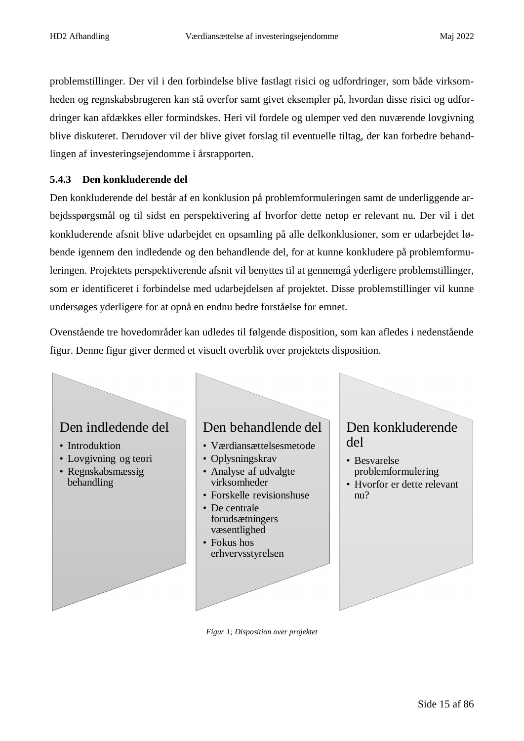problemstillinger. Der vil i den forbindelse blive fastlagt risici og udfordringer, som både virksomheden og regnskabsbrugeren kan stå overfor samt givet eksempler på, hvordan disse risici og udfordringer kan afdækkes eller formindskes. Heri vil fordele og ulemper ved den nuværende lovgivning blive diskuteret. Derudover vil der blive givet forslag til eventuelle tiltag, der kan forbedre behandlingen af investeringsejendomme i årsrapporten.

#### **5.4.3 Den konkluderende del**

Den konkluderende del består af en konklusion på problemformuleringen samt de underliggende arbejdsspørgsmål og til sidst en perspektivering af hvorfor dette netop er relevant nu. Der vil i det konkluderende afsnit blive udarbejdet en opsamling på alle delkonklusioner, som er udarbejdet løbende igennem den indledende og den behandlende del, for at kunne konkludere på problemformuleringen. Projektets perspektiverende afsnit vil benyttes til at gennemgå yderligere problemstillinger, som er identificeret i forbindelse med udarbejdelsen af projektet. Disse problemstillinger vil kunne undersøges yderligere for at opnå en endnu bedre forståelse for emnet.

Ovenstående tre hovedområder kan udledes til følgende disposition, som kan afledes i nedenstående figur. Denne figur giver dermed et visuelt overblik over projektets disposition.

## Den indledende del

- Introduktion
- Lovgivning og teori
- Regnskabsmæssig behandling

## Den behandlende del

- Værdiansættelsesmetode
- Oplysningskrav
- Analyse af udvalgte virksomheder
- Forskelle revisionshuse
- De centrale forudsætningers væsentlighed
- Fokus hos erhvervsstyrelsen

#### *Figur 1; Disposition over projektet*

## Den konkluderende del

- Besvarelse problemformulering
- Hvorfor er dette relevant nu?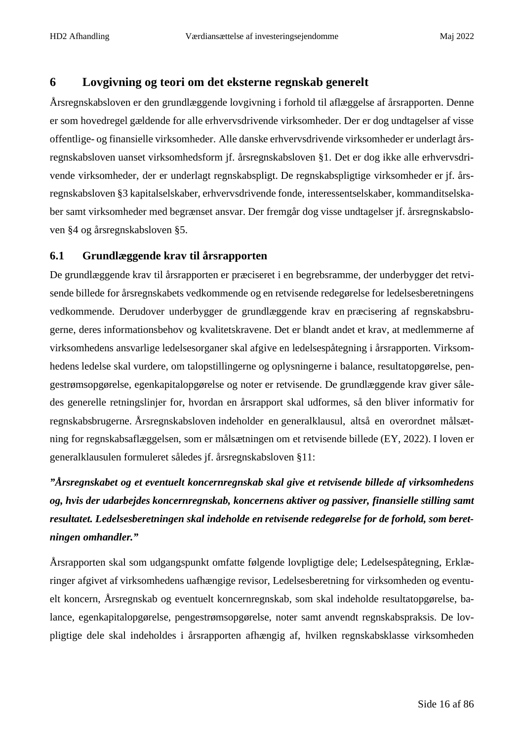## **6 Lovgivning og teori om det eksterne regnskab generelt**

Årsregnskabsloven er den grundlæggende lovgivning i forhold til aflæggelse af årsrapporten. Denne er som hovedregel gældende for alle erhvervsdrivende virksomheder. Der er dog undtagelser af visse offentlige- og finansielle virksomheder. Alle danske erhvervsdrivende virksomheder er underlagt årsregnskabsloven uanset virksomhedsform jf. årsregnskabsloven §1. Det er dog ikke alle erhvervsdrivende virksomheder, der er underlagt regnskabspligt. De regnskabspligtige virksomheder er jf. årsregnskabsloven §3 kapitalselskaber, erhvervsdrivende fonde, interessentselskaber, kommanditselskaber samt virksomheder med begrænset ansvar. Der fremgår dog visse undtagelser jf. årsregnskabsloven §4 og årsregnskabsloven §5.

## **6.1 Grundlæggende krav til årsrapporten**

De grundlæggende krav til årsrapporten er præciseret i en begrebsramme, der underbygger det retvisende billede for årsregnskabets vedkommende og en retvisende redegørelse for ledelsesberetningens vedkommende. Derudover underbygger de grundlæggende krav en præcisering af regnskabsbrugerne, deres informationsbehov og kvalitetskravene. Det er blandt andet et krav, at medlemmerne af virksomhedens ansvarlige ledelsesorganer skal afgive en ledelsespåtegning i årsrapporten. Virksomhedens ledelse skal vurdere, om talopstillingerne og oplysningerne i balance, resultatopgørelse, pengestrømsopgørelse, egenkapitalopgørelse og noter er retvisende. De grundlæggende krav giver således generelle retningslinjer for, hvordan en årsrapport skal udformes, så den bliver informativ for regnskabsbrugerne. Årsregnskabsloven indeholder en generalklausul, altså en overordnet målsætning for regnskabsaflæggelsen, som er målsætningen om et retvisende billede (EY, 2022). I loven er generalklausulen formuleret således jf. årsregnskabsloven §11:

*Ӂrsregnskabet og et eventuelt koncernregnskab skal give et retvisende billede af virksomhedens og, hvis der udarbejdes koncernregnskab, koncernens aktiver og passiver, finansielle stilling samt resultatet. Ledelsesberetningen skal indeholde en retvisende redegørelse for de forhold, som beretningen omhandler."*

Årsrapporten skal som udgangspunkt omfatte følgende lovpligtige dele; Ledelsespåtegning, Erklæringer afgivet af virksomhedens uafhængige revisor, Ledelsesberetning for virksomheden og eventuelt koncern, Årsregnskab og eventuelt koncernregnskab, som skal indeholde resultatopgørelse, balance, egenkapitalopgørelse, pengestrømsopgørelse, noter samt anvendt regnskabspraksis. De lovpligtige dele skal indeholdes i årsrapporten afhængig af, hvilken regnskabsklasse virksomheden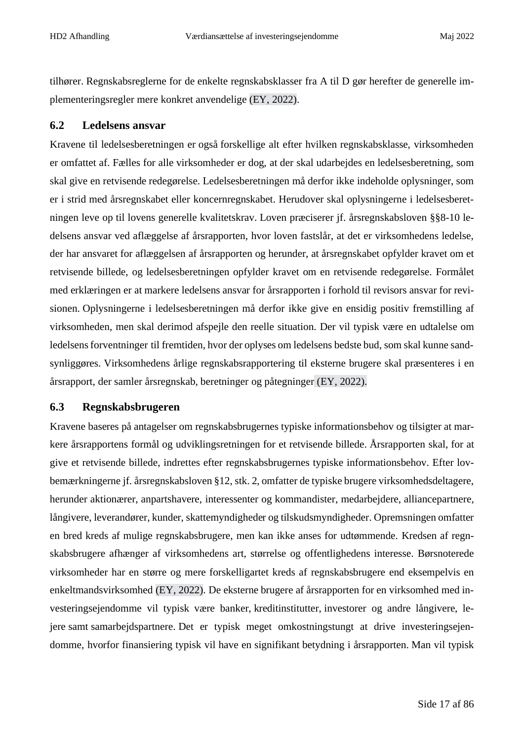tilhører. Regnskabsreglerne for de enkelte regnskabsklasser fra A til D gør herefter de generelle implementeringsregler mere konkret anvendelige (EY, 2022).

#### **6.2 Ledelsens ansvar**

Kravene til ledelsesberetningen er også forskellige alt efter hvilken regnskabsklasse, virksomheden er omfattet af. Fælles for alle virksomheder er dog, at der skal udarbejdes en ledelsesberetning, som skal give en retvisende redegørelse. Ledelsesberetningen må derfor ikke indeholde oplysninger, som er i strid med årsregnskabet eller koncernregnskabet. Herudover skal oplysningerne i ledelsesberetningen leve op til lovens generelle kvalitetskrav. Loven præciserer jf. årsregnskabsloven §§8-10 ledelsens ansvar ved aflæggelse af årsrapporten, hvor loven fastslår, at det er virksomhedens ledelse, der har ansvaret for aflæggelsen af årsrapporten og herunder, at årsregnskabet opfylder kravet om et retvisende billede, og ledelsesberetningen opfylder kravet om en retvisende redegørelse. Formålet med erklæringen er at markere ledelsens ansvar for årsrapporten i forhold til revisors ansvar for revisionen. Oplysningerne i ledelsesberetningen må derfor ikke give en ensidig positiv fremstilling af virksomheden, men skal derimod afspejle den reelle situation. Der vil typisk være en udtalelse om ledelsens forventninger til fremtiden, hvor der oplyses om ledelsens bedste bud, som skal kunne sandsynliggøres. Virksomhedens årlige regnskabsrapportering til eksterne brugere skal præsenteres i en årsrapport, der samler årsregnskab, beretninger og påtegninger (EY, 2022).

#### **6.3 Regnskabsbrugeren**

Kravene baseres på antagelser om regnskabsbrugernes typiske informationsbehov og tilsigter at markere årsrapportens formål og udviklingsretningen for et retvisende billede. Årsrapporten skal, for at give et retvisende billede, indrettes efter regnskabsbrugernes typiske informationsbehov. Efter lovbemærkningerne jf. årsregnskabsloven §12, stk. 2, omfatter de typiske brugere virksomhedsdeltagere, herunder aktionærer, anpartshavere, interessenter og kommandister, medarbejdere, alliancepartnere, långivere, leverandører, kunder, skattemyndigheder og tilskudsmyndigheder. Opremsningen omfatter en bred kreds af mulige regnskabsbrugere, men kan ikke anses for udtømmende. Kredsen af regnskabsbrugere afhænger af virksomhedens art, størrelse og offentlighedens interesse. Børsnoterede virksomheder har en større og mere forskelligartet kreds af regnskabsbrugere end eksempelvis en enkeltmandsvirksomhed (EY, 2022). De eksterne brugere af årsrapporten for en virksomhed med investeringsejendomme vil typisk være banker, kreditinstitutter, investorer og andre långivere, lejere samt samarbejdspartnere. Det er typisk meget omkostningstungt at drive investeringsejendomme, hvorfor finansiering typisk vil have en signifikant betydning i årsrapporten. Man vil typisk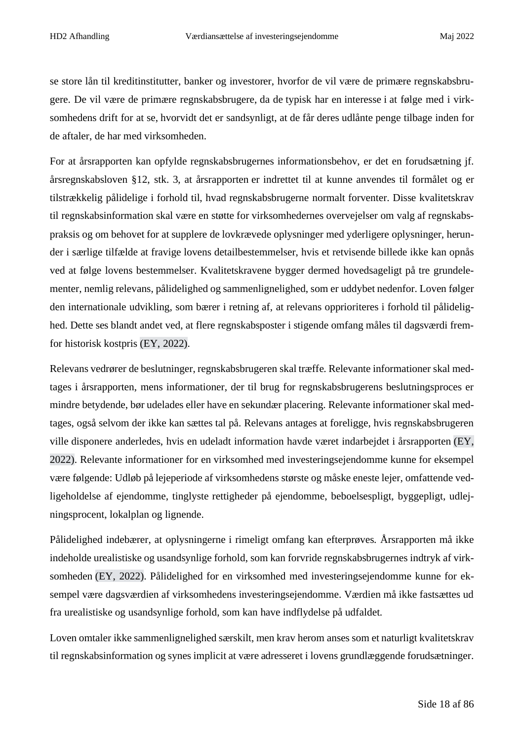se store lån til kreditinstitutter, banker og investorer, hvorfor de vil være de primære regnskabsbrugere. De vil være de primære regnskabsbrugere, da de typisk har en interesse i at følge med i virksomhedens drift for at se, hvorvidt det er sandsynligt, at de får deres udlånte penge tilbage inden for de aftaler, de har med virksomheden.

For at årsrapporten kan opfylde regnskabsbrugernes informationsbehov, er det en forudsætning jf. årsregnskabsloven §12, stk. 3, at årsrapporten er indrettet til at kunne anvendes til formålet og er tilstrækkelig pålidelige i forhold til, hvad regnskabsbrugerne normalt forventer. Disse kvalitetskrav til regnskabsinformation skal være en støtte for virksomhedernes overvejelser om valg af regnskabspraksis og om behovet for at supplere de lovkrævede oplysninger med yderligere oplysninger, herunder i særlige tilfælde at fravige lovens detailbestemmelser, hvis et retvisende billede ikke kan opnås ved at følge lovens bestemmelser. Kvalitetskravene bygger dermed hovedsageligt på tre grundelementer, nemlig relevans, pålidelighed og sammenlignelighed, som er uddybet nedenfor. Loven følger den internationale udvikling, som bærer i retning af, at relevans opprioriteres i forhold til pålidelighed. Dette ses blandt andet ved, at flere regnskabsposter i stigende omfang måles til dagsværdi fremfor historisk kostpris (EY, 2022).

Relevans vedrører de beslutninger, regnskabsbrugeren skal træffe. Relevante informationer skal medtages i årsrapporten, mens informationer, der til brug for regnskabsbrugerens beslutningsproces er mindre betydende, bør udelades eller have en sekundær placering. Relevante informationer skal medtages, også selvom der ikke kan sættes tal på. Relevans antages at foreligge, hvis regnskabsbrugeren ville disponere anderledes, hvis en udeladt information havde været indarbejdet i årsrapporten (EY, 2022). Relevante informationer for en virksomhed med investeringsejendomme kunne for eksempel være følgende: Udløb på lejeperiode af virksomhedens største og måske eneste lejer, omfattende vedligeholdelse af ejendomme, tinglyste rettigheder på ejendomme, beboelsespligt, byggepligt, udlejningsprocent, lokalplan og lignende.

Pålidelighed indebærer, at oplysningerne i rimeligt omfang kan efterprøves. Årsrapporten må ikke indeholde urealistiske og usandsynlige forhold, som kan forvride regnskabsbrugernes indtryk af virksomheden (EY, 2022). Pålidelighed for en virksomhed med investeringsejendomme kunne for eksempel være dagsværdien af virksomhedens investeringsejendomme. Værdien må ikke fastsættes ud fra urealistiske og usandsynlige forhold, som kan have indflydelse på udfaldet.

Loven omtaler ikke sammenlignelighed særskilt, men krav herom anses som et naturligt kvalitetskrav til regnskabsinformation og synes implicit at være adresseret i lovens grundlæggende forudsætninger.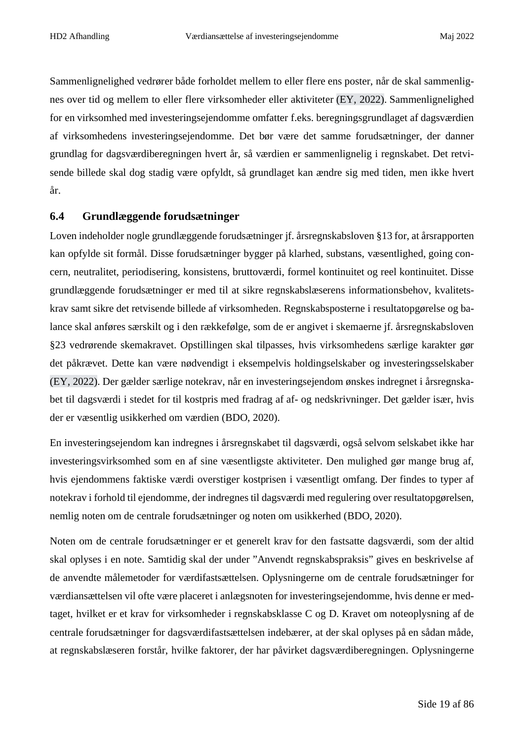Sammenlignelighed vedrører både forholdet mellem to eller flere ens poster, når de skal sammenlignes over tid og mellem to eller flere virksomheder eller aktiviteter (EY, 2022). Sammenlignelighed for en virksomhed med investeringsejendomme omfatter f.eks. beregningsgrundlaget af dagsværdien af virksomhedens investeringsejendomme. Det bør være det samme forudsætninger, der danner grundlag for dagsværdiberegningen hvert år, så værdien er sammenlignelig i regnskabet. Det retvisende billede skal dog stadig være opfyldt, så grundlaget kan ændre sig med tiden, men ikke hvert år.

## **6.4 Grundlæggende forudsætninger**

Loven indeholder nogle grundlæggende forudsætninger jf. årsregnskabsloven §13 for, at årsrapporten kan opfylde sit formål. Disse forudsætninger bygger på klarhed, substans, væsentlighed, going concern, neutralitet, periodisering, konsistens, bruttoværdi, formel kontinuitet og reel kontinuitet. Disse grundlæggende forudsætninger er med til at sikre regnskabslæserens informationsbehov, kvalitetskrav samt sikre det retvisende billede af virksomheden. Regnskabsposterne i resultatopgørelse og balance skal anføres særskilt og i den rækkefølge, som de er angivet i skemaerne jf. årsregnskabsloven §23 vedrørende skemakravet. Opstillingen skal tilpasses, hvis virksomhedens særlige karakter gør det påkrævet. Dette kan være nødvendigt i eksempelvis holdingselskaber og investeringsselskaber (EY, 2022). Der gælder særlige notekrav, når en investeringsejendom ønskes indregnet i årsregnskabet til dagsværdi i stedet for til kostpris med fradrag af af- og nedskrivninger. Det gælder især, hvis der er væsentlig usikkerhed om værdien (BDO, 2020).

En investeringsejendom kan indregnes i årsregnskabet til dagsværdi, også selvom selskabet ikke har investeringsvirksomhed som en af sine væsentligste aktiviteter. Den mulighed gør mange brug af, hvis ejendommens faktiske værdi overstiger kostprisen i væsentligt omfang. Der findes to typer af notekrav i forhold til ejendomme, der indregnes til dagsværdi med regulering over resultatopgørelsen, nemlig noten om de centrale forudsætninger og noten om usikkerhed (BDO, 2020).

Noten om de centrale forudsætninger er et generelt krav for den fastsatte dagsværdi, som der altid skal oplyses i en note. Samtidig skal der under "Anvendt regnskabspraksis" gives en beskrivelse af de anvendte målemetoder for værdifastsættelsen. Oplysningerne om de centrale forudsætninger for værdiansættelsen vil ofte være placeret i anlægsnoten for investeringsejendomme, hvis denne er medtaget, hvilket er et krav for virksomheder i regnskabsklasse C og D. Kravet om noteoplysning af de centrale forudsætninger for dagsværdifastsættelsen indebærer, at der skal oplyses på en sådan måde, at regnskabslæseren forstår, hvilke faktorer, der har påvirket dagsværdiberegningen. Oplysningerne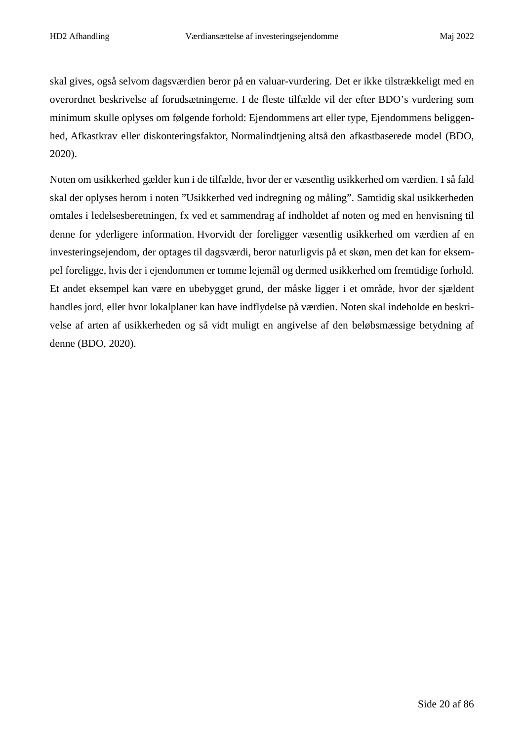skal gives, også selvom dagsværdien beror på en valuar-vurdering. Det er ikke tilstrækkeligt med en overordnet beskrivelse af forudsætningerne. I de fleste tilfælde vil der efter BDO's vurdering som minimum skulle oplyses om følgende forhold: Ejendommens art eller type, Ejendommens beliggenhed, Afkastkrav eller diskonteringsfaktor, Normalindtjening altså den afkastbaserede model (BDO, 2020).

Noten om usikkerhed gælder kun i de tilfælde, hvor der er væsentlig usikkerhed om værdien. I så fald skal der oplyses herom i noten "Usikkerhed ved indregning og måling". Samtidig skal usikkerheden omtales i ledelsesberetningen, fx ved et sammendrag af indholdet af noten og med en henvisning til denne for yderligere information. Hvorvidt der foreligger væsentlig usikkerhed om værdien af en investeringsejendom, der optages til dagsværdi, beror naturligvis på et skøn, men det kan for eksempel foreligge, hvis der i ejendommen er tomme lejemål og dermed usikkerhed om fremtidige forhold. Et andet eksempel kan være en ubebygget grund, der måske ligger i et område, hvor der sjældent handles jord, eller hvor lokalplaner kan have indflydelse på værdien. Noten skal indeholde en beskrivelse af arten af usikkerheden og så vidt muligt en angivelse af den beløbsmæssige betydning af denne (BDO, 2020).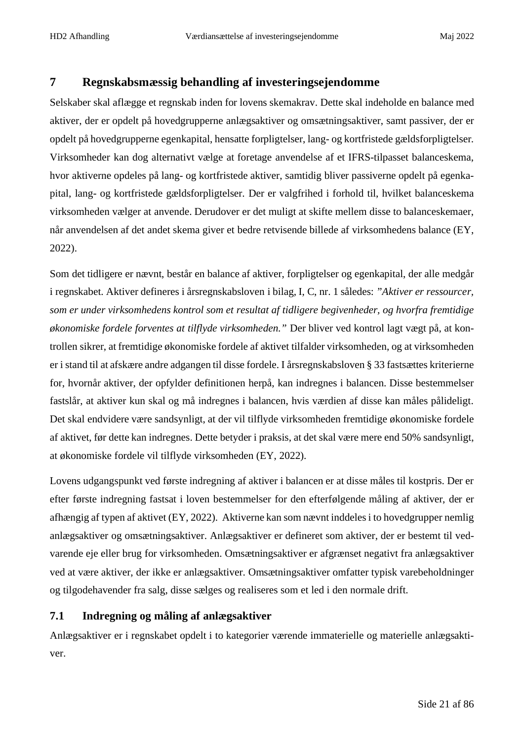## **7 Regnskabsmæssig behandling af investeringsejendomme**

Selskaber skal aflægge et regnskab inden for lovens skemakrav. Dette skal indeholde en balance med aktiver, der er opdelt på hovedgrupperne anlægsaktiver og omsætningsaktiver, samt passiver, der er opdelt på hovedgrupperne egenkapital, hensatte forpligtelser, lang- og kortfristede gældsforpligtelser. Virksomheder kan dog alternativt vælge at foretage anvendelse af et IFRS-tilpasset balanceskema, hvor aktiverne opdeles på lang- og kortfristede aktiver, samtidig bliver passiverne opdelt på egenkapital, lang- og kortfristede gældsforpligtelser. Der er valgfrihed i forhold til, hvilket balanceskema virksomheden vælger at anvende. Derudover er det muligt at skifte mellem disse to balanceskemaer, når anvendelsen af det andet skema giver et bedre retvisende billede af virksomhedens balance (EY, 2022).

Som det tidligere er nævnt, består en balance af aktiver, forpligtelser og egenkapital, der alle medgår i regnskabet. Aktiver defineres i årsregnskabsloven i bilag, I, C, nr. 1 således: *"Aktiver er ressourcer, som er under virksomhedens kontrol som et resultat af tidligere begivenheder, og hvorfra fremtidige økonomiske fordele forventes at tilflyde virksomheden."* Der bliver ved kontrol lagt vægt på, at kontrollen sikrer, at fremtidige økonomiske fordele af aktivet tilfalder virksomheden, og at virksomheden er i stand til at afskære andre adgangen til disse fordele. I årsregnskabsloven § 33 fastsættes kriterierne for, hvornår aktiver, der opfylder definitionen herpå, kan indregnes i balancen. Disse bestemmelser fastslår, at aktiver kun skal og må indregnes i balancen, hvis værdien af disse kan måles pålideligt. Det skal endvidere være sandsynligt, at der vil tilflyde virksomheden fremtidige økonomiske fordele af aktivet, før dette kan indregnes. Dette betyder i praksis, at det skal være mere end 50% sandsynligt, at økonomiske fordele vil tilflyde virksomheden (EY, 2022).

Lovens udgangspunkt ved første indregning af aktiver i balancen er at disse måles til kostpris. Der er efter første indregning fastsat i loven bestemmelser for den efterfølgende måling af aktiver, der er afhængig af typen af aktivet (EY, 2022). Aktiverne kan som nævnt inddeles i to hovedgrupper nemlig anlægsaktiver og omsætningsaktiver. Anlægsaktiver er defineret som aktiver, der er bestemt til vedvarende eje eller brug for virksomheden. Omsætningsaktiver er afgrænset negativt fra anlægsaktiver ved at være aktiver, der ikke er anlægsaktiver. Omsætningsaktiver omfatter typisk varebeholdninger og tilgodehavender fra salg, disse sælges og realiseres som et led i den normale drift.

## **7.1 Indregning og måling af anlægsaktiver**

Anlægsaktiver er i regnskabet opdelt i to kategorier værende immaterielle og materielle anlægsaktiver.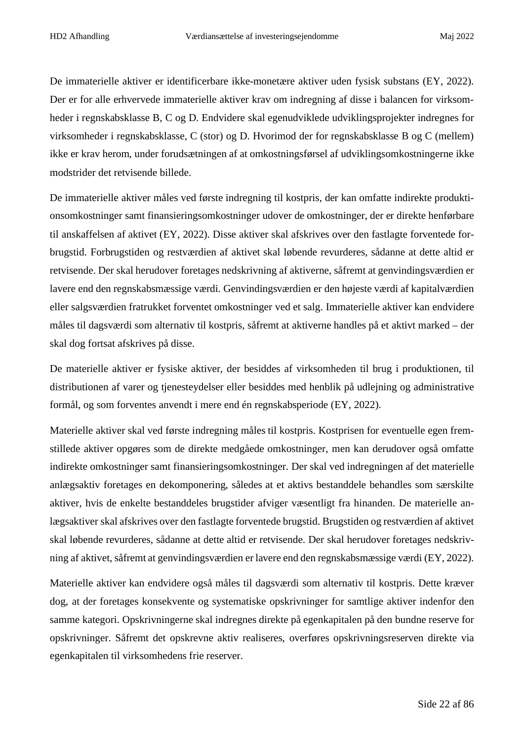De immaterielle aktiver er identificerbare ikke-monetære aktiver uden fysisk substans (EY, 2022). Der er for alle erhvervede immaterielle aktiver krav om indregning af disse i balancen for virksomheder i regnskabsklasse B, C og D. Endvidere skal egenudviklede udviklingsprojekter indregnes for virksomheder i regnskabsklasse, C (stor) og D. Hvorimod der for regnskabsklasse B og C (mellem) ikke er krav herom, under forudsætningen af at omkostningsførsel af udviklingsomkostningerne ikke modstrider det retvisende billede.

De immaterielle aktiver måles ved første indregning til kostpris, der kan omfatte indirekte produktionsomkostninger samt finansieringsomkostninger udover de omkostninger, der er direkte henførbare til anskaffelsen af aktivet (EY, 2022). Disse aktiver skal afskrives over den fastlagte forventede forbrugstid. Forbrugstiden og restværdien af aktivet skal løbende revurderes, sådanne at dette altid er retvisende. Der skal herudover foretages nedskrivning af aktiverne, såfremt at genvindingsværdien er lavere end den regnskabsmæssige værdi. Genvindingsværdien er den højeste værdi af kapitalværdien eller salgsværdien fratrukket forventet omkostninger ved et salg. Immaterielle aktiver kan endvidere måles til dagsværdi som alternativ til kostpris, såfremt at aktiverne handles på et aktivt marked – der skal dog fortsat afskrives på disse.

De materielle aktiver er fysiske aktiver, der besiddes af virksomheden til brug i produktionen, til distributionen af varer og tjenesteydelser eller besiddes med henblik på udlejning og administrative formål, og som forventes anvendt i mere end én regnskabsperiode (EY, 2022).

Materielle aktiver skal ved første indregning måles til kostpris. Kostprisen for eventuelle egen fremstillede aktiver opgøres som de direkte medgåede omkostninger, men kan derudover også omfatte indirekte omkostninger samt finansieringsomkostninger. Der skal ved indregningen af det materielle anlægsaktiv foretages en dekomponering, således at et aktivs bestanddele behandles som særskilte aktiver, hvis de enkelte bestanddeles brugstider afviger væsentligt fra hinanden. De materielle anlægsaktiver skal afskrives over den fastlagte forventede brugstid. Brugstiden og restværdien af aktivet skal løbende revurderes, sådanne at dette altid er retvisende. Der skal herudover foretages nedskrivning af aktivet, såfremt at genvindingsværdien er lavere end den regnskabsmæssige værdi (EY, 2022).

Materielle aktiver kan endvidere også måles til dagsværdi som alternativ til kostpris. Dette kræver dog, at der foretages konsekvente og systematiske opskrivninger for samtlige aktiver indenfor den samme kategori. Opskrivningerne skal indregnes direkte på egenkapitalen på den bundne reserve for opskrivninger. Såfremt det opskrevne aktiv realiseres, overføres opskrivningsreserven direkte via egenkapitalen til virksomhedens frie reserver.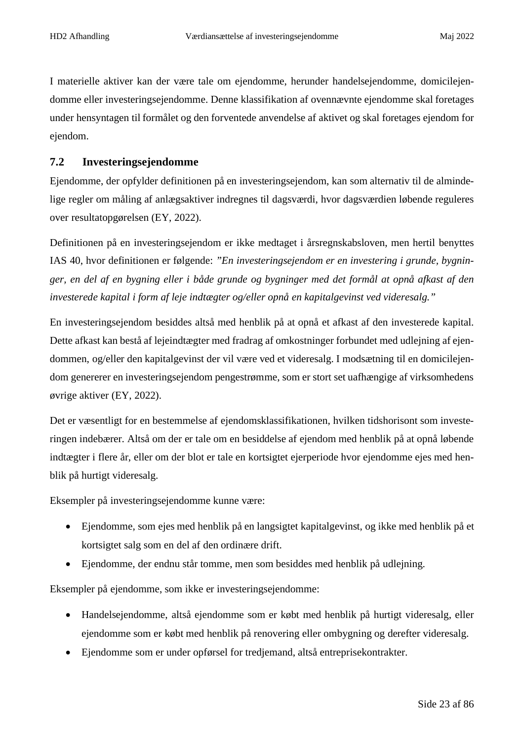I materielle aktiver kan der være tale om ejendomme, herunder handelsejendomme, domicilejendomme eller investeringsejendomme. Denne klassifikation af ovennævnte ejendomme skal foretages under hensyntagen til formålet og den forventede anvendelse af aktivet og skal foretages ejendom for ejendom.

## **7.2 Investeringsejendomme**

Ejendomme, der opfylder definitionen på en investeringsejendom, kan som alternativ til de almindelige regler om måling af anlægsaktiver indregnes til dagsværdi, hvor dagsværdien løbende reguleres over resultatopgørelsen (EY, 2022).

Definitionen på en investeringsejendom er ikke medtaget i årsregnskabsloven, men hertil benyttes IAS 40, hvor definitionen er følgende: *"En investeringsejendom er en investering i grunde, bygninger, en del af en bygning eller i både grunde og bygninger med det formål at opnå afkast af den investerede kapital i form af leje indtægter og/eller opnå en kapitalgevinst ved videresalg."*

En investeringsejendom besiddes altså med henblik på at opnå et afkast af den investerede kapital. Dette afkast kan bestå af lejeindtægter med fradrag af omkostninger forbundet med udlejning af ejendommen, og/eller den kapitalgevinst der vil være ved et videresalg. I modsætning til en domicilejendom genererer en investeringsejendom pengestrømme, som er stort set uafhængige af virksomhedens øvrige aktiver (EY, 2022).

Det er væsentligt for en bestemmelse af ejendomsklassifikationen, hvilken tidshorisont som investeringen indebærer. Altså om der er tale om en besiddelse af ejendom med henblik på at opnå løbende indtægter i flere år, eller om der blot er tale en kortsigtet ejerperiode hvor ejendomme ejes med henblik på hurtigt videresalg.

Eksempler på investeringsejendomme kunne være:

- Ejendomme, som ejes med henblik på en langsigtet kapitalgevinst, og ikke med henblik på et kortsigtet salg som en del af den ordinære drift.
- Ejendomme, der endnu står tomme, men som besiddes med henblik på udlejning.

Eksempler på ejendomme, som ikke er investeringsejendomme:

- Handelsejendomme, altså ejendomme som er købt med henblik på hurtigt videresalg, eller ejendomme som er købt med henblik på renovering eller ombygning og derefter videresalg.
- Ejendomme som er under opførsel for tredjemand, altså entreprisekontrakter.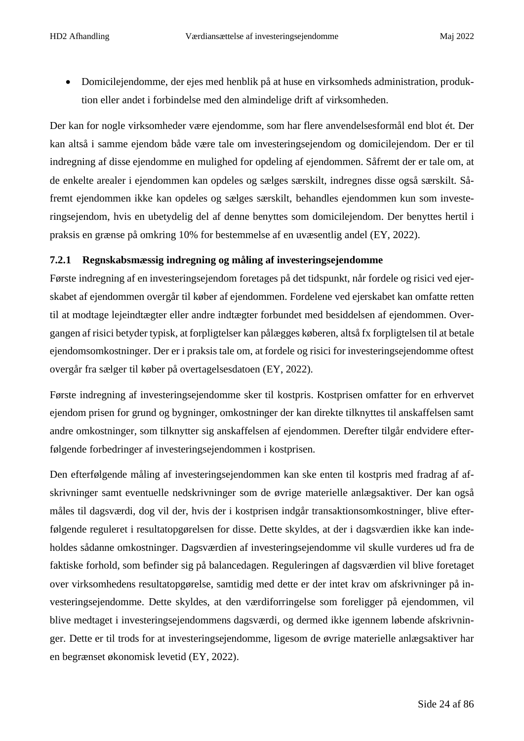Domicilejendomme, der ejes med henblik på at huse en virksomheds administration, produktion eller andet i forbindelse med den almindelige drift af virksomheden.

Der kan for nogle virksomheder være ejendomme, som har flere anvendelsesformål end blot ét. Der kan altså i samme ejendom både være tale om investeringsejendom og domicilejendom. Der er til indregning af disse ejendomme en mulighed for opdeling af ejendommen. Såfremt der er tale om, at de enkelte arealer i ejendommen kan opdeles og sælges særskilt, indregnes disse også særskilt. Såfremt ejendommen ikke kan opdeles og sælges særskilt, behandles ejendommen kun som investeringsejendom, hvis en ubetydelig del af denne benyttes som domicilejendom. Der benyttes hertil i praksis en grænse på omkring 10% for bestemmelse af en uvæsentlig andel (EY, 2022).

#### **7.2.1 Regnskabsmæssig indregning og måling af investeringsejendomme**

Første indregning af en investeringsejendom foretages på det tidspunkt, når fordele og risici ved ejerskabet af ejendommen overgår til køber af ejendommen. Fordelene ved ejerskabet kan omfatte retten til at modtage lejeindtægter eller andre indtægter forbundet med besiddelsen af ejendommen. Overgangen af risici betyder typisk, at forpligtelser kan pålægges køberen, altså fx forpligtelsen til at betale ejendomsomkostninger. Der er i praksis tale om, at fordele og risici for investeringsejendomme oftest overgår fra sælger til køber på overtagelsesdatoen (EY, 2022).

Første indregning af investeringsejendomme sker til kostpris. Kostprisen omfatter for en erhvervet ejendom prisen for grund og bygninger, omkostninger der kan direkte tilknyttes til anskaffelsen samt andre omkostninger, som tilknytter sig anskaffelsen af ejendommen. Derefter tilgår endvidere efterfølgende forbedringer af investeringsejendommen i kostprisen.

Den efterfølgende måling af investeringsejendommen kan ske enten til kostpris med fradrag af afskrivninger samt eventuelle nedskrivninger som de øvrige materielle anlægsaktiver. Der kan også måles til dagsværdi, dog vil der, hvis der i kostprisen indgår transaktionsomkostninger, blive efterfølgende reguleret i resultatopgørelsen for disse. Dette skyldes, at der i dagsværdien ikke kan indeholdes sådanne omkostninger. Dagsværdien af investeringsejendomme vil skulle vurderes ud fra de faktiske forhold, som befinder sig på balancedagen. Reguleringen af dagsværdien vil blive foretaget over virksomhedens resultatopgørelse, samtidig med dette er der intet krav om afskrivninger på investeringsejendomme. Dette skyldes, at den værdiforringelse som foreligger på ejendommen, vil blive medtaget i investeringsejendommens dagsværdi, og dermed ikke igennem løbende afskrivninger. Dette er til trods for at investeringsejendomme, ligesom de øvrige materielle anlægsaktiver har en begrænset økonomisk levetid (EY, 2022).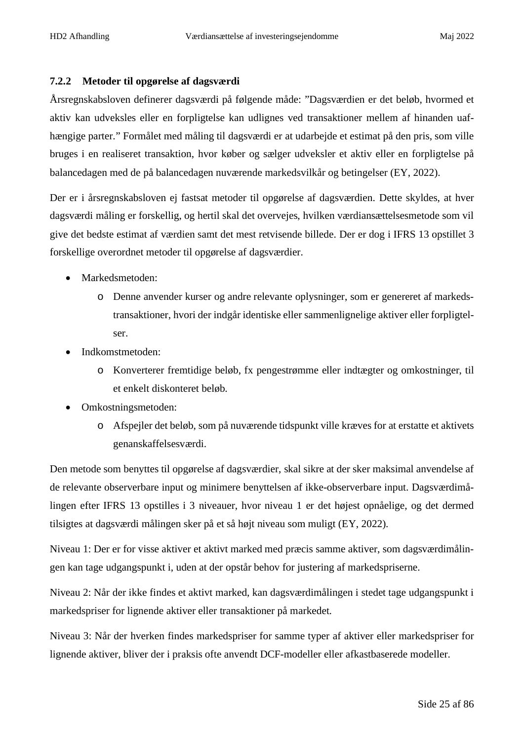#### **7.2.2 Metoder til opgørelse af dagsværdi**

Årsregnskabsloven definerer dagsværdi på følgende måde: "Dagsværdien er det beløb, hvormed et aktiv kan udveksles eller en forpligtelse kan udlignes ved transaktioner mellem af hinanden uafhængige parter." Formålet med måling til dagsværdi er at udarbejde et estimat på den pris, som ville bruges i en realiseret transaktion, hvor køber og sælger udveksler et aktiv eller en forpligtelse på balancedagen med de på balancedagen nuværende markedsvilkår og betingelser (EY, 2022).

Der er i årsregnskabsloven ej fastsat metoder til opgørelse af dagsværdien. Dette skyldes, at hver dagsværdi måling er forskellig, og hertil skal det overvejes, hvilken værdiansættelsesmetode som vil give det bedste estimat af værdien samt det mest retvisende billede. Der er dog i IFRS 13 opstillet 3 forskellige overordnet metoder til opgørelse af dagsværdier.

- Markedsmetoden:
	- o Denne anvender kurser og andre relevante oplysninger, som er genereret af markedstransaktioner, hvori der indgår identiske eller sammenlignelige aktiver eller forpligtelser.
- Indkomstmetoden:
	- o Konverterer fremtidige beløb, fx pengestrømme eller indtægter og omkostninger, til et enkelt diskonteret beløb.
- Omkostningsmetoden:
	- o Afspejler det beløb, som på nuværende tidspunkt ville kræves for at erstatte et aktivets genanskaffelsesværdi.

Den metode som benyttes til opgørelse af dagsværdier, skal sikre at der sker maksimal anvendelse af de relevante observerbare input og minimere benyttelsen af ikke-observerbare input. Dagsværdimålingen efter IFRS 13 opstilles i 3 niveauer, hvor niveau 1 er det højest opnåelige, og det dermed tilsigtes at dagsværdi målingen sker på et så højt niveau som muligt (EY, 2022).

Niveau 1: Der er for visse aktiver et aktivt marked med præcis samme aktiver, som dagsværdimålingen kan tage udgangspunkt i, uden at der opstår behov for justering af markedspriserne.

Niveau 2: Når der ikke findes et aktivt marked, kan dagsværdimålingen i stedet tage udgangspunkt i markedspriser for lignende aktiver eller transaktioner på markedet.

Niveau 3: Når der hverken findes markedspriser for samme typer af aktiver eller markedspriser for lignende aktiver, bliver der i praksis ofte anvendt DCF-modeller eller afkastbaserede modeller.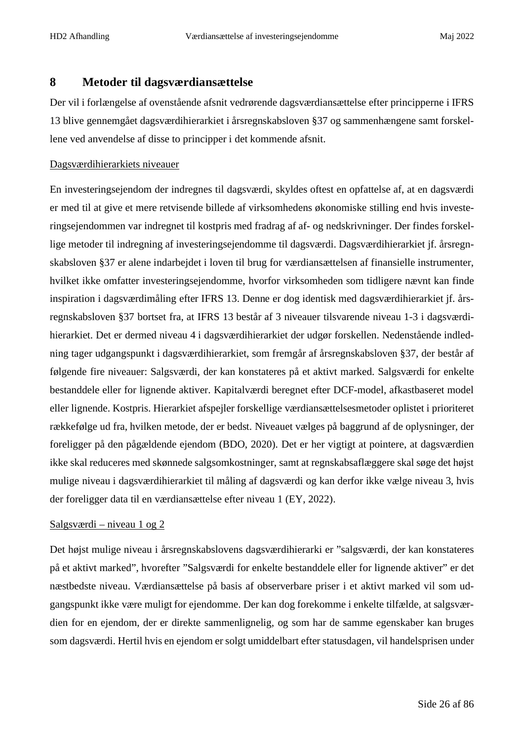## **8 Metoder til dagsværdiansættelse**

Der vil i forlængelse af ovenstående afsnit vedrørende dagsværdiansættelse efter principperne i IFRS 13 blive gennemgået dagsværdihierarkiet i årsregnskabsloven §37 og sammenhængene samt forskellene ved anvendelse af disse to principper i det kommende afsnit.

#### Dagsværdihierarkiets niveauer

En investeringsejendom der indregnes til dagsværdi, skyldes oftest en opfattelse af, at en dagsværdi er med til at give et mere retvisende billede af virksomhedens økonomiske stilling end hvis investeringsejendommen var indregnet til kostpris med fradrag af af- og nedskrivninger. Der findes forskellige metoder til indregning af investeringsejendomme til dagsværdi. Dagsværdihierarkiet jf. årsregnskabsloven §37 er alene indarbejdet i loven til brug for værdiansættelsen af finansielle instrumenter, hvilket ikke omfatter investeringsejendomme, hvorfor virksomheden som tidligere nævnt kan finde inspiration i dagsværdimåling efter IFRS 13. Denne er dog identisk med dagsværdihierarkiet jf. årsregnskabsloven §37 bortset fra, at IFRS 13 består af 3 niveauer tilsvarende niveau 1-3 i dagsværdihierarkiet. Det er dermed niveau 4 i dagsværdihierarkiet der udgør forskellen. Nedenstående indledning tager udgangspunkt i dagsværdihierarkiet, som fremgår af årsregnskabsloven §37, der består af følgende fire niveauer: Salgsværdi, der kan konstateres på et aktivt marked. Salgsværdi for enkelte bestanddele eller for lignende aktiver. Kapitalværdi beregnet efter DCF-model, afkastbaseret model eller lignende. Kostpris. Hierarkiet afspejler forskellige værdiansættelsesmetoder oplistet i prioriteret rækkefølge ud fra, hvilken metode, der er bedst. Niveauet vælges på baggrund af de oplysninger, der foreligger på den pågældende ejendom (BDO, 2020). Det er her vigtigt at pointere, at dagsværdien ikke skal reduceres med skønnede salgsomkostninger, samt at regnskabsaflæggere skal søge det højst mulige niveau i dagsværdihierarkiet til måling af dagsværdi og kan derfor ikke vælge niveau 3, hvis der foreligger data til en værdiansættelse efter niveau 1 (EY, 2022).

#### Salgsværdi – niveau 1 og 2

Det højst mulige niveau i årsregnskabslovens dagsværdihierarki er "salgsværdi, der kan konstateres på et aktivt marked", hvorefter "Salgsværdi for enkelte bestanddele eller for lignende aktiver" er det næstbedste niveau. Værdiansættelse på basis af observerbare priser i et aktivt marked vil som udgangspunkt ikke være muligt for ejendomme. Der kan dog forekomme i enkelte tilfælde, at salgsværdien for en ejendom, der er direkte sammenlignelig, og som har de samme egenskaber kan bruges som dagsværdi. Hertil hvis en ejendom er solgt umiddelbart efter statusdagen, vil handelsprisen under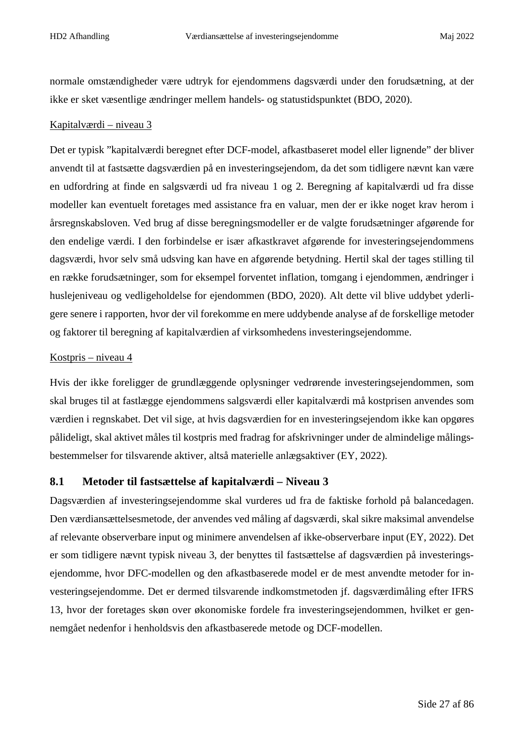normale omstændigheder være udtryk for ejendommens dagsværdi under den forudsætning, at der ikke er sket væsentlige ændringer mellem handels- og statustidspunktet (BDO, 2020).

#### Kapitalværdi – niveau 3

Det er typisk "kapitalværdi beregnet efter DCF-model, afkastbaseret model eller lignende" der bliver anvendt til at fastsætte dagsværdien på en investeringsejendom, da det som tidligere nævnt kan være en udfordring at finde en salgsværdi ud fra niveau 1 og 2. Beregning af kapitalværdi ud fra disse modeller kan eventuelt foretages med assistance fra en valuar, men der er ikke noget krav herom i årsregnskabsloven. Ved brug af disse beregningsmodeller er de valgte forudsætninger afgørende for den endelige værdi. I den forbindelse er især afkastkravet afgørende for investeringsejendommens dagsværdi, hvor selv små udsving kan have en afgørende betydning. Hertil skal der tages stilling til en række forudsætninger, som for eksempel forventet inflation, tomgang i ejendommen, ændringer i huslejeniveau og vedligeholdelse for ejendommen (BDO, 2020). Alt dette vil blive uddybet yderligere senere i rapporten, hvor der vil forekomme en mere uddybende analyse af de forskellige metoder og faktorer til beregning af kapitalværdien af virksomhedens investeringsejendomme.

#### Kostpris – niveau 4

Hvis der ikke foreligger de grundlæggende oplysninger vedrørende investeringsejendommen, som skal bruges til at fastlægge ejendommens salgsværdi eller kapitalværdi må kostprisen anvendes som værdien i regnskabet. Det vil sige, at hvis dagsværdien for en investeringsejendom ikke kan opgøres pålideligt, skal aktivet måles til kostpris med fradrag for afskrivninger under de almindelige målingsbestemmelser for tilsvarende aktiver, altså materielle anlægsaktiver (EY, 2022).

## **8.1 Metoder til fastsættelse af kapitalværdi – Niveau 3**

Dagsværdien af investeringsejendomme skal vurderes ud fra de faktiske forhold på balancedagen. Den værdiansættelsesmetode, der anvendes ved måling af dagsværdi, skal sikre maksimal anvendelse af relevante observerbare input og minimere anvendelsen af ikke-observerbare input (EY, 2022). Det er som tidligere nævnt typisk niveau 3, der benyttes til fastsættelse af dagsværdien på investeringsejendomme, hvor DFC-modellen og den afkastbaserede model er de mest anvendte metoder for investeringsejendomme. Det er dermed tilsvarende indkomstmetoden jf. dagsværdimåling efter IFRS 13, hvor der foretages skøn over økonomiske fordele fra investeringsejendommen, hvilket er gennemgået nedenfor i henholdsvis den afkastbaserede metode og DCF-modellen.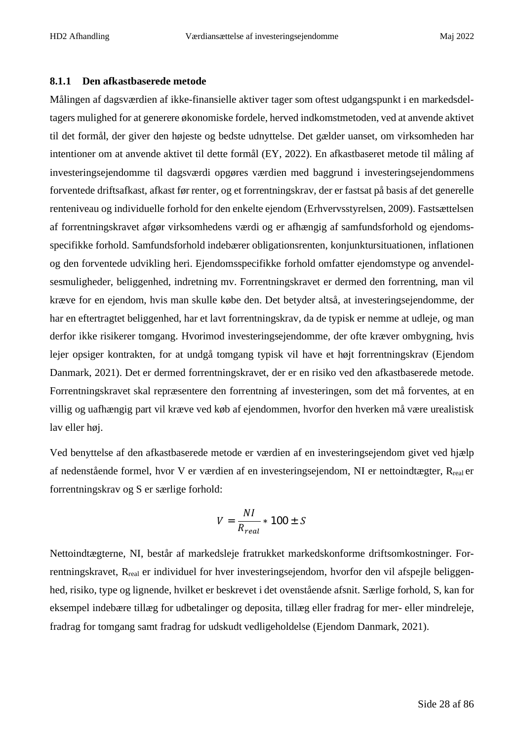#### **8.1.1 Den afkastbaserede metode**

Målingen af dagsværdien af ikke-finansielle aktiver tager som oftest udgangspunkt i en markedsdeltagers mulighed for at generere økonomiske fordele, herved indkomstmetoden, ved at anvende aktivet til det formål, der giver den højeste og bedste udnyttelse. Det gælder uanset, om virksomheden har intentioner om at anvende aktivet til dette formål (EY, 2022). En afkastbaseret metode til måling af investeringsejendomme til dagsværdi opgøres værdien med baggrund i investeringsejendommens forventede driftsafkast, afkast før renter, og et forrentningskrav, der er fastsat på basis af det generelle renteniveau og individuelle forhold for den enkelte ejendom (Erhvervsstyrelsen, 2009). Fastsættelsen af forrentningskravet afgør virksomhedens værdi og er afhængig af samfundsforhold og ejendomsspecifikke forhold. Samfundsforhold indebærer obligationsrenten, konjunktursituationen, inflationen og den forventede udvikling heri. Ejendomsspecifikke forhold omfatter ejendomstype og anvendelsesmuligheder, beliggenhed, indretning mv. Forrentningskravet er dermed den forrentning, man vil kræve for en ejendom, hvis man skulle købe den. Det betyder altså, at investeringsejendomme, der har en eftertragtet beliggenhed, har et lavt forrentningskrav, da de typisk er nemme at udleje, og man derfor ikke risikerer tomgang. Hvorimod investeringsejendomme, der ofte kræver ombygning, hvis lejer opsiger kontrakten, for at undgå tomgang typisk vil have et højt forrentningskrav (Ejendom Danmark, 2021). Det er dermed forrentningskravet, der er en risiko ved den afkastbaserede metode. Forrentningskravet skal repræsentere den forrentning af investeringen, som det må forventes, at en villig og uafhængig part vil kræve ved køb af ejendommen, hvorfor den hverken må være urealistisk lav eller høj.

Ved benyttelse af den afkastbaserede metode er værdien af en investeringsejendom givet ved hjælp af nedenstående formel, hvor V er værdien af en investeringsejendom, NI er nettoindtægter, Rreal er forrentningskrav og S er særlige forhold:

$$
V = \frac{NI}{R_{real}} * 100 \pm S
$$

Nettoindtægterne, NI, består af markedsleje fratrukket markedskonforme driftsomkostninger. Forrentningskravet, R<sub>real</sub> er individuel for hver investeringsejendom, hvorfor den vil afspejle beliggenhed, risiko, type og lignende, hvilket er beskrevet i det ovenstående afsnit. Særlige forhold, S, kan for eksempel indebære tillæg for udbetalinger og deposita, tillæg eller fradrag for mer- eller mindreleje, fradrag for tomgang samt fradrag for udskudt vedligeholdelse (Ejendom Danmark, 2021).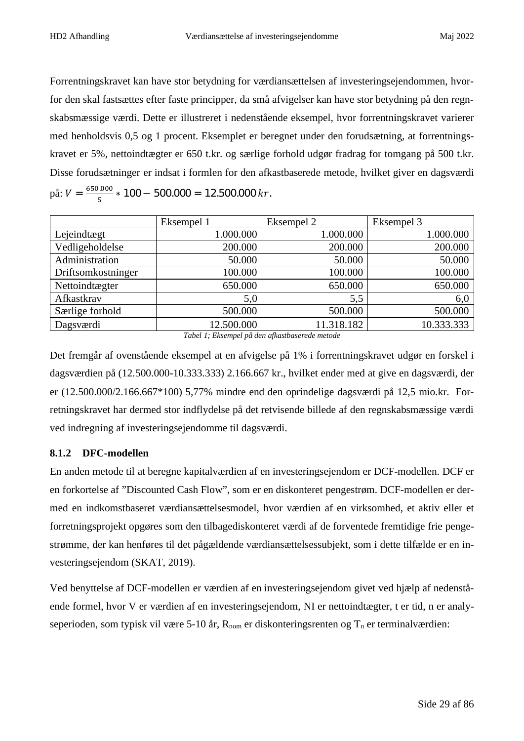Forrentningskravet kan have stor betydning for værdiansættelsen af investeringsejendommen, hvorfor den skal fastsættes efter faste principper, da små afvigelser kan have stor betydning på den regnskabsmæssige værdi. Dette er illustreret i nedenstående eksempel, hvor forrentningskravet varierer med henholdsvis 0,5 og 1 procent. Eksemplet er beregnet under den forudsætning, at forrentningskravet er 5%, nettoindtægter er 650 t.kr. og særlige forhold udgør fradrag for tomgang på 500 t.kr. Disse forudsætninger er indsat i formlen for den afkastbaserede metode, hvilket giver en dagsværdi  $\text{p\AA: } V = \frac{650.000}{5}$  $\frac{1000}{5}$  \* 100 – 500.000 = 12.500.000 kr.

|                    | Eksempel 1 | Eksempel 2 | Eksempel 3 |
|--------------------|------------|------------|------------|
| Lejeindtægt        | 1.000.000  | 1.000.000  | 1.000.000  |
| Vedligeholdelse    | 200.000    | 200.000    | 200.000    |
| Administration     | 50.000     | 50.000     | 50.000     |
| Driftsomkostninger | 100.000    | 100.000    | 100.000    |
| Nettoindtægter     | 650.000    | 650.000    | 650.000    |
| Afkastkrav         | 5,0        | 5,5        | 6,0        |
| Særlige forhold    | 500.000    | 500.000    | 500.000    |
| Dagsværdi          | 12.500.000 | 11.318.182 | 10.333.333 |

*Tabel 1; Eksempel på den afkastbaserede metode*

Det fremgår af ovenstående eksempel at en afvigelse på 1% i forrentningskravet udgør en forskel i dagsværdien på (12.500.000-10.333.333) 2.166.667 kr., hvilket ender med at give en dagsværdi, der er (12.500.000/2.166.667\*100) 5,77% mindre end den oprindelige dagsværdi på 12,5 mio.kr. Forretningskravet har dermed stor indflydelse på det retvisende billede af den regnskabsmæssige værdi ved indregning af investeringsejendomme til dagsværdi.

#### **8.1.2 DFC-modellen**

En anden metode til at beregne kapitalværdien af en investeringsejendom er DCF-modellen. DCF er en forkortelse af "Discounted Cash Flow", som er en diskonteret pengestrøm. DCF-modellen er dermed en indkomstbaseret værdiansættelsesmodel, hvor værdien af en virksomhed, et aktiv eller et forretningsprojekt opgøres som den tilbagediskonteret værdi af de forventede fremtidige frie pengestrømme, der kan henføres til det pågældende værdiansættelsessubjekt, som i dette tilfælde er en investeringsejendom (SKAT, 2019).

Ved benyttelse af DCF-modellen er værdien af en investeringsejendom givet ved hjælp af nedenstående formel, hvor V er værdien af en investeringsejendom, NI er nettoindtægter, t er tid, n er analyseperioden, som typisk vil være 5-10 år,  $R_{nom}$  er diskonteringsrenten og  $T_n$  er terminalværdien: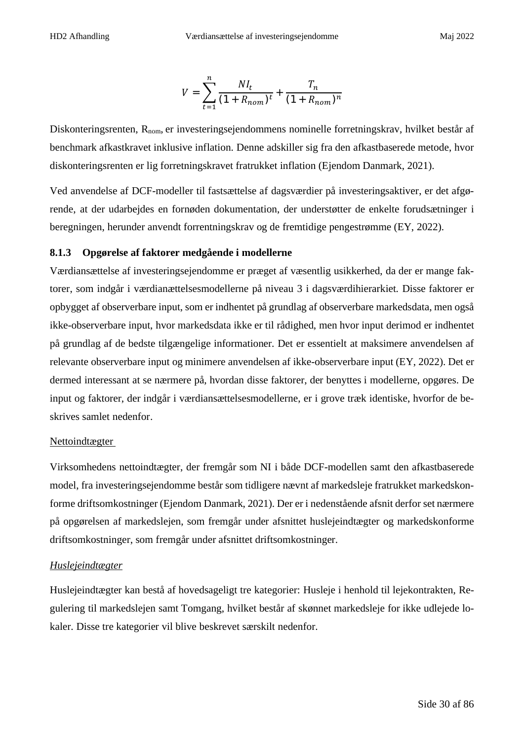$$
V = \sum_{t=1}^{n} \frac{NI_t}{(1 + R_{nom})^t} + \frac{T_n}{(1 + R_{nom})^n}
$$

Diskonteringsrenten, R<sub>nom</sub>, er investeringsejendommens nominelle forretningskrav, hvilket består af benchmark afkastkravet inklusive inflation. Denne adskiller sig fra den afkastbaserede metode, hvor diskonteringsrenten er lig forretningskravet fratrukket inflation (Ejendom Danmark, 2021).

Ved anvendelse af DCF-modeller til fastsættelse af dagsværdier på investeringsaktiver, er det afgørende, at der udarbejdes en fornøden dokumentation, der understøtter de enkelte forudsætninger i beregningen, herunder anvendt forrentningskrav og de fremtidige pengestrømme (EY, 2022).

#### **8.1.3 Opgørelse af faktorer medgående i modellerne**

Værdiansættelse af investeringsejendomme er præget af væsentlig usikkerhed, da der er mange faktorer, som indgår i værdianættelsesmodellerne på niveau 3 i dagsværdihierarkiet. Disse faktorer er opbygget af observerbare input, som er indhentet på grundlag af observerbare markedsdata, men også ikke-observerbare input, hvor markedsdata ikke er til rådighed, men hvor input derimod er indhentet på grundlag af de bedste tilgængelige informationer. Det er essentielt at maksimere anvendelsen af relevante observerbare input og minimere anvendelsen af ikke-observerbare input (EY, 2022). Det er dermed interessant at se nærmere på, hvordan disse faktorer, der benyttes i modellerne, opgøres. De input og faktorer, der indgår i værdiansættelsesmodellerne, er i grove træk identiske, hvorfor de beskrives samlet nedenfor.

#### Nettoindtægter

Virksomhedens nettoindtægter, der fremgår som NI i både DCF-modellen samt den afkastbaserede model, fra investeringsejendomme består som tidligere nævnt af markedsleje fratrukket markedskonforme driftsomkostninger (Ejendom Danmark, 2021). Der er i nedenstående afsnit derfor set nærmere på opgørelsen af markedslejen, som fremgår under afsnittet huslejeindtægter og markedskonforme driftsomkostninger, som fremgår under afsnittet driftsomkostninger.

#### *Huslejeindtægter*

Huslejeindtægter kan bestå af hovedsageligt tre kategorier: Husleje i henhold til lejekontrakten, Regulering til markedslejen samt Tomgang, hvilket består af skønnet markedsleje for ikke udlejede lokaler. Disse tre kategorier vil blive beskrevet særskilt nedenfor.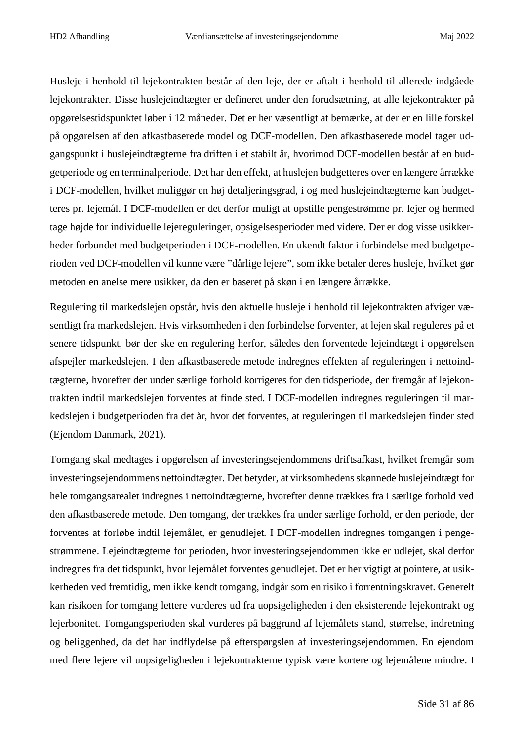Husleje i henhold til lejekontrakten består af den leje, der er aftalt i henhold til allerede indgåede lejekontrakter. Disse huslejeindtægter er defineret under den forudsætning, at alle lejekontrakter på opgørelsestidspunktet løber i 12 måneder. Det er her væsentligt at bemærke, at der er en lille forskel på opgørelsen af den afkastbaserede model og DCF-modellen. Den afkastbaserede model tager udgangspunkt i huslejeindtægterne fra driften i et stabilt år, hvorimod DCF-modellen består af en budgetperiode og en terminalperiode. Det har den effekt, at huslejen budgetteres over en længere årrække i DCF-modellen, hvilket muliggør en høj detaljeringsgrad, i og med huslejeindtægterne kan budgetteres pr. lejemål. I DCF-modellen er det derfor muligt at opstille pengestrømme pr. lejer og hermed tage højde for individuelle lejereguleringer, opsigelsesperioder med videre. Der er dog visse usikkerheder forbundet med budgetperioden i DCF-modellen. En ukendt faktor i forbindelse med budgetperioden ved DCF-modellen vil kunne være "dårlige lejere", som ikke betaler deres husleje, hvilket gør metoden en anelse mere usikker, da den er baseret på skøn i en længere årrække.

Regulering til markedslejen opstår, hvis den aktuelle husleje i henhold til lejekontrakten afviger væsentligt fra markedslejen. Hvis virksomheden i den forbindelse forventer, at lejen skal reguleres på et senere tidspunkt, bør der ske en regulering herfor, således den forventede lejeindtægt i opgørelsen afspejler markedslejen. I den afkastbaserede metode indregnes effekten af reguleringen i nettoindtægterne, hvorefter der under særlige forhold korrigeres for den tidsperiode, der fremgår af lejekontrakten indtil markedslejen forventes at finde sted. I DCF-modellen indregnes reguleringen til markedslejen i budgetperioden fra det år, hvor det forventes, at reguleringen til markedslejen finder sted (Ejendom Danmark, 2021).

Tomgang skal medtages i opgørelsen af investeringsejendommens driftsafkast, hvilket fremgår som investeringsejendommens nettoindtægter. Det betyder, at virksomhedens skønnede huslejeindtægt for hele tomgangsarealet indregnes i nettoindtægterne, hvorefter denne trækkes fra i særlige forhold ved den afkastbaserede metode. Den tomgang, der trækkes fra under særlige forhold, er den periode, der forventes at forløbe indtil lejemålet, er genudlejet. I DCF-modellen indregnes tomgangen i pengestrømmene. Lejeindtægterne for perioden, hvor investeringsejendommen ikke er udlejet, skal derfor indregnes fra det tidspunkt, hvor lejemålet forventes genudlejet. Det er her vigtigt at pointere, at usikkerheden ved fremtidig, men ikke kendt tomgang, indgår som en risiko i forrentningskravet. Generelt kan risikoen for tomgang lettere vurderes ud fra uopsigeligheden i den eksisterende lejekontrakt og lejerbonitet. Tomgangsperioden skal vurderes på baggrund af lejemålets stand, størrelse, indretning og beliggenhed, da det har indflydelse på efterspørgslen af investeringsejendommen. En ejendom med flere lejere vil uopsigeligheden i lejekontrakterne typisk være kortere og lejemålene mindre. I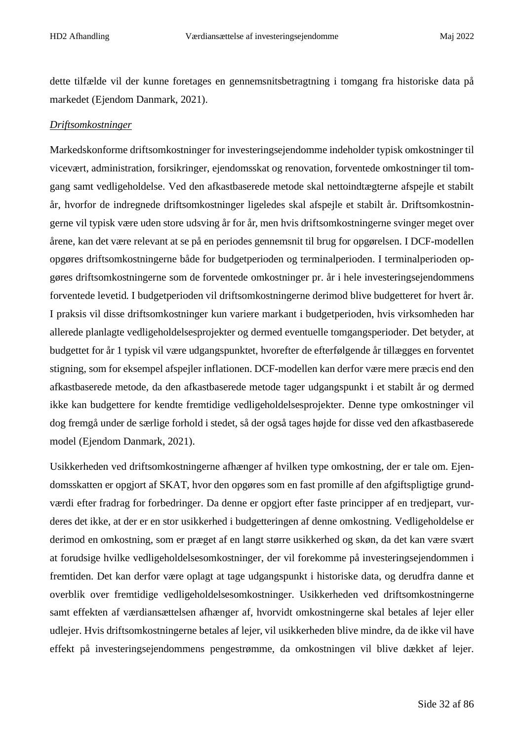dette tilfælde vil der kunne foretages en gennemsnitsbetragtning i tomgang fra historiske data på markedet (Ejendom Danmark, 2021).

#### *Driftsomkostninger*

Markedskonforme driftsomkostninger for investeringsejendomme indeholder typisk omkostninger til vicevært, administration, forsikringer, ejendomsskat og renovation, forventede omkostninger til tomgang samt vedligeholdelse. Ved den afkastbaserede metode skal nettoindtægterne afspejle et stabilt år, hvorfor de indregnede driftsomkostninger ligeledes skal afspejle et stabilt år. Driftsomkostningerne vil typisk være uden store udsving år for år, men hvis driftsomkostningerne svinger meget over årene, kan det være relevant at se på en periodes gennemsnit til brug for opgørelsen. I DCF-modellen opgøres driftsomkostningerne både for budgetperioden og terminalperioden. I terminalperioden opgøres driftsomkostningerne som de forventede omkostninger pr. år i hele investeringsejendommens forventede levetid. I budgetperioden vil driftsomkostningerne derimod blive budgetteret for hvert år. I praksis vil disse driftsomkostninger kun variere markant i budgetperioden, hvis virksomheden har allerede planlagte vedligeholdelsesprojekter og dermed eventuelle tomgangsperioder. Det betyder, at budgettet for år 1 typisk vil være udgangspunktet, hvorefter de efterfølgende år tillægges en forventet stigning, som for eksempel afspejler inflationen. DCF-modellen kan derfor være mere præcis end den afkastbaserede metode, da den afkastbaserede metode tager udgangspunkt i et stabilt år og dermed ikke kan budgettere for kendte fremtidige vedligeholdelsesprojekter. Denne type omkostninger vil dog fremgå under de særlige forhold i stedet, så der også tages højde for disse ved den afkastbaserede model (Ejendom Danmark, 2021).

Usikkerheden ved driftsomkostningerne afhænger af hvilken type omkostning, der er tale om. Ejendomsskatten er opgjort af SKAT, hvor den opgøres som en fast promille af den afgiftspligtige grundværdi efter fradrag for forbedringer. Da denne er opgjort efter faste principper af en tredjepart, vurderes det ikke, at der er en stor usikkerhed i budgetteringen af denne omkostning. Vedligeholdelse er derimod en omkostning, som er præget af en langt større usikkerhed og skøn, da det kan være svært at forudsige hvilke vedligeholdelsesomkostninger, der vil forekomme på investeringsejendommen i fremtiden. Det kan derfor være oplagt at tage udgangspunkt i historiske data, og derudfra danne et overblik over fremtidige vedligeholdelsesomkostninger. Usikkerheden ved driftsomkostningerne samt effekten af værdiansættelsen afhænger af, hvorvidt omkostningerne skal betales af lejer eller udlejer. Hvis driftsomkostningerne betales af lejer, vil usikkerheden blive mindre, da de ikke vil have effekt på investeringsejendommens pengestrømme, da omkostningen vil blive dækket af lejer.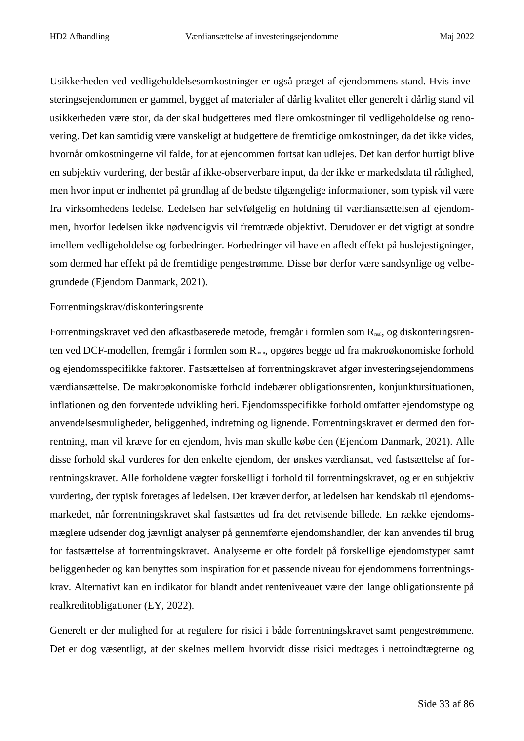Usikkerheden ved vedligeholdelsesomkostninger er også præget af ejendommens stand. Hvis investeringsejendommen er gammel, bygget af materialer af dårlig kvalitet eller generelt i dårlig stand vil usikkerheden være stor, da der skal budgetteres med flere omkostninger til vedligeholdelse og renovering. Det kan samtidig være vanskeligt at budgettere de fremtidige omkostninger, da det ikke vides, hvornår omkostningerne vil falde, for at ejendommen fortsat kan udlejes. Det kan derfor hurtigt blive en subjektiv vurdering, der består af ikke-observerbare input, da der ikke er markedsdata til rådighed, men hvor input er indhentet på grundlag af de bedste tilgængelige informationer, som typisk vil være fra virksomhedens ledelse. Ledelsen har selvfølgelig en holdning til værdiansættelsen af ejendommen, hvorfor ledelsen ikke nødvendigvis vil fremtræde objektivt. Derudover er det vigtigt at sondre imellem vedligeholdelse og forbedringer. Forbedringer vil have en afledt effekt på huslejestigninger, som dermed har effekt på de fremtidige pengestrømme. Disse bør derfor være sandsynlige og velbegrundede (Ejendom Danmark, 2021).

#### Forrentningskrav/diskonteringsrente

Forrentningskravet ved den afkastbaserede metode, fremgår i formlen som R<sub>real</sub>, og diskonteringsrenten ved DCF-modellen, fremgår i formlen som  $R_{nom}$ , opgøres begge ud fra makroøkonomiske forhold og ejendomsspecifikke faktorer. Fastsættelsen af forrentningskravet afgør investeringsejendommens værdiansættelse. De makroøkonomiske forhold indebærer obligationsrenten, konjunktursituationen, inflationen og den forventede udvikling heri. Ejendomsspecifikke forhold omfatter ejendomstype og anvendelsesmuligheder, beliggenhed, indretning og lignende. Forrentningskravet er dermed den forrentning, man vil kræve for en ejendom, hvis man skulle købe den (Ejendom Danmark, 2021). Alle disse forhold skal vurderes for den enkelte ejendom, der ønskes værdiansat, ved fastsættelse af forrentningskravet. Alle forholdene vægter forskelligt i forhold til forrentningskravet, og er en subjektiv vurdering, der typisk foretages af ledelsen. Det kræver derfor, at ledelsen har kendskab til ejendomsmarkedet, når forrentningskravet skal fastsættes ud fra det retvisende billede. En række ejendomsmæglere udsender dog jævnligt analyser på gennemførte ejendomshandler, der kan anvendes til brug for fastsættelse af forrentningskravet. Analyserne er ofte fordelt på forskellige ejendomstyper samt beliggenheder og kan benyttes som inspiration for et passende niveau for ejendommens forrentningskrav. Alternativt kan en indikator for blandt andet renteniveauet være den lange obligationsrente på realkreditobligationer (EY, 2022).

Generelt er der mulighed for at regulere for risici i både forrentningskravet samt pengestrømmene. Det er dog væsentligt, at der skelnes mellem hvorvidt disse risici medtages i nettoindtægterne og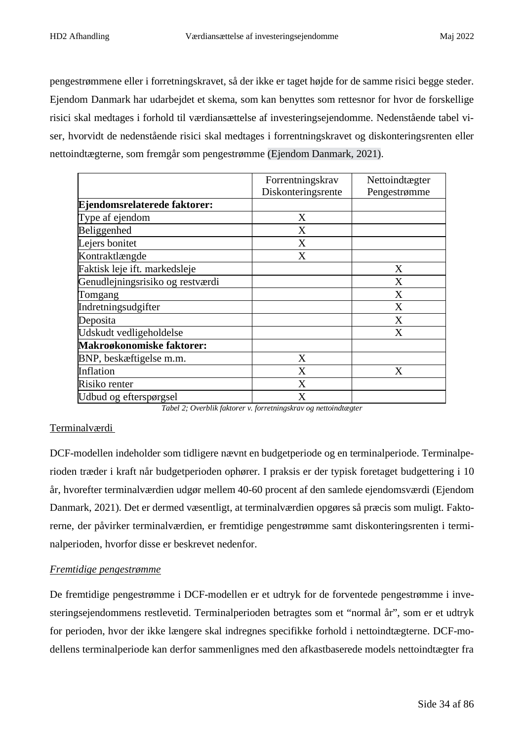pengestrømmene eller i forretningskravet, så der ikke er taget højde for de samme risici begge steder. Ejendom Danmark har udarbejdet et skema, som kan benyttes som rettesnor for hvor de forskellige risici skal medtages i forhold til værdiansættelse af investeringsejendomme. Nedenstående tabel viser, hvorvidt de nedenstående risici skal medtages i forrentningskravet og diskonteringsrenten eller nettoindtægterne, som fremgår som pengestrømme (Ejendom Danmark, 2021).

|                                  | Forrentningskrav   | Nettoindtægter |
|----------------------------------|--------------------|----------------|
|                                  | Diskonteringsrente | Pengestrømme   |
| Ejendomsrelaterede faktorer:     |                    |                |
| Type af ejendom                  | X                  |                |
| Beliggenhed                      | X                  |                |
| Lejers bonitet                   | X                  |                |
| Kontraktlængde                   | X                  |                |
| Faktisk leje ift. markedsleje    |                    | X              |
| Genudlejningsrisiko og restværdi |                    | X              |
| Tomgang                          |                    | X              |
| Indretningsudgifter              |                    | X              |
| Deposita                         |                    | X              |
| Udskudt vedligeholdelse          |                    | X              |
| Makroøkonomiske faktorer:        |                    |                |
| BNP, beskæftigelse m.m.          | X                  |                |
| Inflation                        | X                  | X              |
| Risiko renter                    | X                  |                |
| Udbud og efterspørgsel           | X                  |                |

*Tabel 2; Overblik faktorer v. forretningskrav og nettoindtægter*

#### Terminalværdi

DCF-modellen indeholder som tidligere nævnt en budgetperiode og en terminalperiode. Terminalperioden træder i kraft når budgetperioden ophører. I praksis er der typisk foretaget budgettering i 10 år, hvorefter terminalværdien udgør mellem 40-60 procent af den samlede ejendomsværdi (Ejendom Danmark, 2021). Det er dermed væsentligt, at terminalværdien opgøres så præcis som muligt. Faktorerne, der påvirker terminalværdien, er fremtidige pengestrømme samt diskonteringsrenten i terminalperioden, hvorfor disse er beskrevet nedenfor.

#### *Fremtidige pengestrømme*

De fremtidige pengestrømme i DCF-modellen er et udtryk for de forventede pengestrømme i investeringsejendommens restlevetid. Terminalperioden betragtes som et "normal år", som er et udtryk for perioden, hvor der ikke længere skal indregnes specifikke forhold i nettoindtægterne. DCF-modellens terminalperiode kan derfor sammenlignes med den afkastbaserede models nettoindtægter fra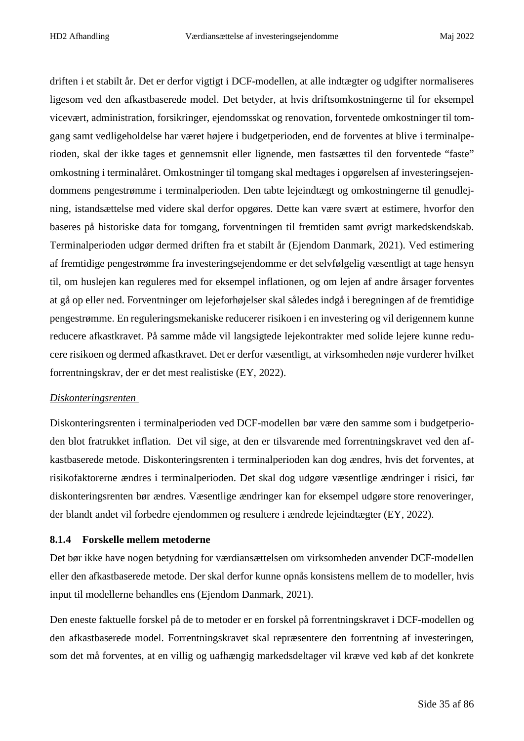driften i et stabilt år. Det er derfor vigtigt i DCF-modellen, at alle indtægter og udgifter normaliseres ligesom ved den afkastbaserede model. Det betyder, at hvis driftsomkostningerne til for eksempel vicevært, administration, forsikringer, ejendomsskat og renovation, forventede omkostninger til tomgang samt vedligeholdelse har været højere i budgetperioden, end de forventes at blive i terminalperioden, skal der ikke tages et gennemsnit eller lignende, men fastsættes til den forventede "faste" omkostning i terminalåret. Omkostninger til tomgang skal medtages i opgørelsen af investeringsejendommens pengestrømme i terminalperioden. Den tabte lejeindtægt og omkostningerne til genudlejning, istandsættelse med videre skal derfor opgøres. Dette kan være svært at estimere, hvorfor den baseres på historiske data for tomgang, forventningen til fremtiden samt øvrigt markedskendskab. Terminalperioden udgør dermed driften fra et stabilt år (Ejendom Danmark, 2021). Ved estimering af fremtidige pengestrømme fra investeringsejendomme er det selvfølgelig væsentligt at tage hensyn til, om huslejen kan reguleres med for eksempel inflationen, og om lejen af andre årsager forventes at gå op eller ned. Forventninger om lejeforhøjelser skal således indgå i beregningen af de fremtidige pengestrømme. En reguleringsmekaniske reducerer risikoen i en investering og vil derigennem kunne reducere afkastkravet. På samme måde vil langsigtede lejekontrakter med solide lejere kunne reducere risikoen og dermed afkastkravet. Det er derfor væsentligt, at virksomheden nøje vurderer hvilket forrentningskrav, der er det mest realistiske (EY, 2022).

#### *Diskonteringsrenten*

Diskonteringsrenten i terminalperioden ved DCF-modellen bør være den samme som i budgetperioden blot fratrukket inflation. Det vil sige, at den er tilsvarende med forrentningskravet ved den afkastbaserede metode. Diskonteringsrenten i terminalperioden kan dog ændres, hvis det forventes, at risikofaktorerne ændres i terminalperioden. Det skal dog udgøre væsentlige ændringer i risici, før diskonteringsrenten bør ændres. Væsentlige ændringer kan for eksempel udgøre store renoveringer, der blandt andet vil forbedre ejendommen og resultere i ændrede lejeindtægter (EY, 2022).

#### **8.1.4 Forskelle mellem metoderne**

Det bør ikke have nogen betydning for værdiansættelsen om virksomheden anvender DCF-modellen eller den afkastbaserede metode. Der skal derfor kunne opnås konsistens mellem de to modeller, hvis input til modellerne behandles ens (Ejendom Danmark, 2021).

Den eneste faktuelle forskel på de to metoder er en forskel på forrentningskravet i DCF-modellen og den afkastbaserede model. Forrentningskravet skal repræsentere den forrentning af investeringen, som det må forventes, at en villig og uafhængig markedsdeltager vil kræve ved køb af det konkrete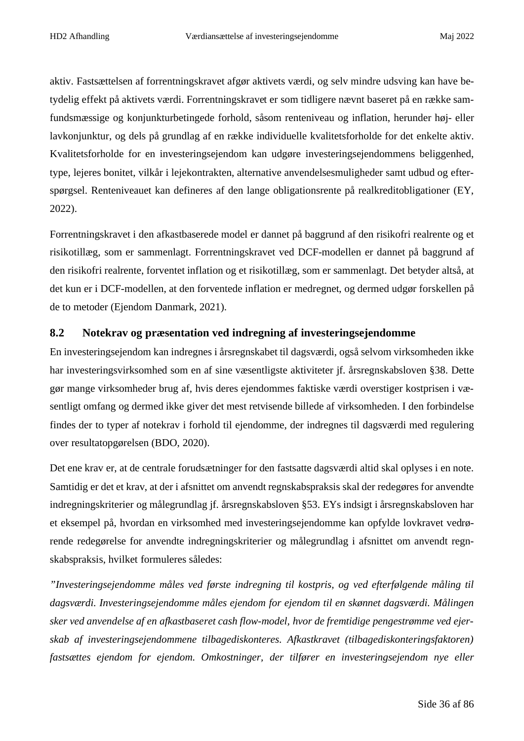aktiv. Fastsættelsen af forrentningskravet afgør aktivets værdi, og selv mindre udsving kan have betydelig effekt på aktivets værdi. Forrentningskravet er som tidligere nævnt baseret på en række samfundsmæssige og konjunkturbetingede forhold, såsom renteniveau og inflation, herunder høj- eller lavkonjunktur, og dels på grundlag af en række individuelle kvalitetsforholde for det enkelte aktiv. Kvalitetsforholde for en investeringsejendom kan udgøre investeringsejendommens beliggenhed, type, lejeres bonitet, vilkår i lejekontrakten, alternative anvendelsesmuligheder samt udbud og efterspørgsel. Renteniveauet kan defineres af den lange obligationsrente på realkreditobligationer (EY, 2022).

Forrentningskravet i den afkastbaserede model er dannet på baggrund af den risikofri realrente og et risikotillæg, som er sammenlagt. Forrentningskravet ved DCF-modellen er dannet på baggrund af den risikofri realrente, forventet inflation og et risikotillæg, som er sammenlagt. Det betyder altså, at det kun er i DCF-modellen, at den forventede inflation er medregnet, og dermed udgør forskellen på de to metoder (Ejendom Danmark, 2021).

## **8.2 Notekrav og præsentation ved indregning af investeringsejendomme**

En investeringsejendom kan indregnes i årsregnskabet til dagsværdi, også selvom virksomheden ikke har investeringsvirksomhed som en af sine væsentligste aktiviteter jf. årsregnskabsloven §38. Dette gør mange virksomheder brug af, hvis deres ejendommes faktiske værdi overstiger kostprisen i væsentligt omfang og dermed ikke giver det mest retvisende billede af virksomheden. I den forbindelse findes der to typer af notekrav i forhold til ejendomme, der indregnes til dagsværdi med regulering over resultatopgørelsen (BDO, 2020).

Det ene krav er, at de centrale forudsætninger for den fastsatte dagsværdi altid skal oplyses i en note. Samtidig er det et krav, at der i afsnittet om anvendt regnskabspraksis skal der redegøres for anvendte indregningskriterier og målegrundlag jf. årsregnskabsloven §53. EYs indsigt i årsregnskabsloven har et eksempel på, hvordan en virksomhed med investeringsejendomme kan opfylde lovkravet vedrørende redegørelse for anvendte indregningskriterier og målegrundlag i afsnittet om anvendt regnskabspraksis, hvilket formuleres således:

*"Investeringsejendomme måles ved første indregning til kostpris, og ved efterfølgende måling til dagsværdi. Investeringsejendomme måles ejendom for ejendom til en skønnet dagsværdi. Målingen sker ved anvendelse af en afkastbaseret cash flow-model, hvor de fremtidige pengestrømme ved ejerskab af investeringsejendommene tilbagediskonteres. Afkastkravet (tilbagediskonteringsfaktoren) fastsættes ejendom for ejendom. Omkostninger, der tilfører en investeringsejendom nye eller*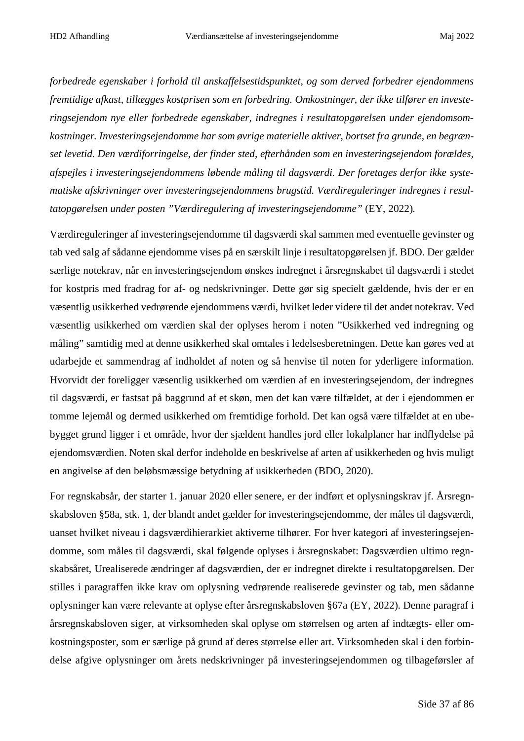*forbedrede egenskaber i forhold til anskaffelsestidspunktet, og som derved forbedrer ejendommens fremtidige afkast, tillægges kostprisen som en forbedring. Omkostninger, der ikke tilfører en investeringsejendom nye eller forbedrede egenskaber, indregnes i resultatopgørelsen under ejendomsomkostninger. Investeringsejendomme har som øvrige materielle aktiver, bortset fra grunde, en begrænset levetid. Den værdiforringelse, der finder sted, efterhånden som en investeringsejendom forældes, afspejles i investeringsejendommens løbende måling til dagsværdi. Der foretages derfor ikke systematiske afskrivninger over investeringsejendommens brugstid. Værdireguleringer indregnes i resultatopgørelsen under posten "Værdiregulering af investeringsejendomme"* (EY, 2022)*.*

Værdireguleringer af investeringsejendomme til dagsværdi skal sammen med eventuelle gevinster og tab ved salg af sådanne ejendomme vises på en særskilt linje i resultatopgørelsen jf. BDO. Der gælder særlige notekrav, når en investeringsejendom ønskes indregnet i årsregnskabet til dagsværdi i stedet for kostpris med fradrag for af- og nedskrivninger. Dette gør sig specielt gældende, hvis der er en væsentlig usikkerhed vedrørende ejendommens værdi, hvilket leder videre til det andet notekrav. Ved væsentlig usikkerhed om værdien skal der oplyses herom i noten "Usikkerhed ved indregning og måling" samtidig med at denne usikkerhed skal omtales i ledelsesberetningen. Dette kan gøres ved at udarbejde et sammendrag af indholdet af noten og så henvise til noten for yderligere information. Hvorvidt der foreligger væsentlig usikkerhed om værdien af en investeringsejendom, der indregnes til dagsværdi, er fastsat på baggrund af et skøn, men det kan være tilfældet, at der i ejendommen er tomme lejemål og dermed usikkerhed om fremtidige forhold. Det kan også være tilfældet at en ubebygget grund ligger i et område, hvor der sjældent handles jord eller lokalplaner har indflydelse på ejendomsværdien. Noten skal derfor indeholde en beskrivelse af arten af usikkerheden og hvis muligt en angivelse af den beløbsmæssige betydning af usikkerheden (BDO, 2020).

For regnskabsår, der starter 1. januar 2020 eller senere, er der indført et oplysningskrav jf. Årsregnskabsloven §58a, stk. 1, der blandt andet gælder for investeringsejendomme, der måles til dagsværdi, uanset hvilket niveau i dagsværdihierarkiet aktiverne tilhører. For hver kategori af investeringsejendomme, som måles til dagsværdi, skal følgende oplyses i årsregnskabet: Dagsværdien ultimo regnskabsåret, Urealiserede ændringer af dagsværdien, der er indregnet direkte i resultatopgørelsen. Der stilles i paragraffen ikke krav om oplysning vedrørende realiserede gevinster og tab, men sådanne oplysninger kan være relevante at oplyse efter årsregnskabsloven §67a (EY, 2022). Denne paragraf i årsregnskabsloven siger, at virksomheden skal oplyse om størrelsen og arten af indtægts- eller omkostningsposter, som er særlige på grund af deres størrelse eller art. Virksomheden skal i den forbindelse afgive oplysninger om årets nedskrivninger på investeringsejendommen og tilbageførsler af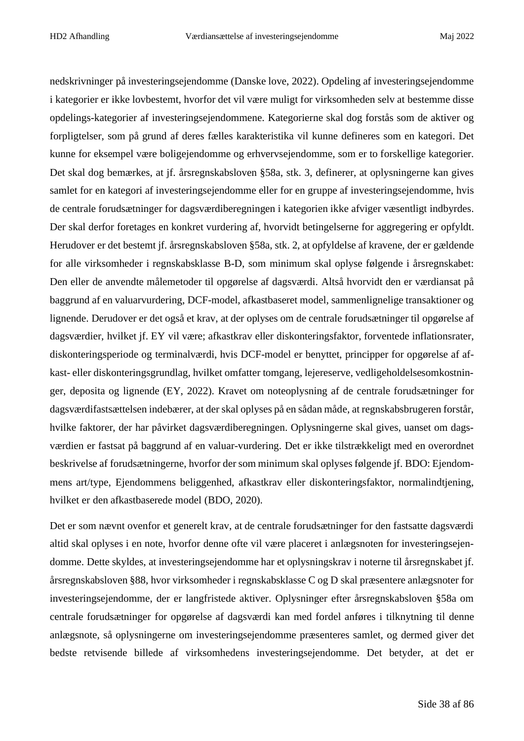nedskrivninger på investeringsejendomme (Danske love, 2022). Opdeling af investeringsejendomme i kategorier er ikke lovbestemt, hvorfor det vil være muligt for virksomheden selv at bestemme disse opdelings-kategorier af investeringsejendommene. Kategorierne skal dog forstås som de aktiver og forpligtelser, som på grund af deres fælles karakteristika vil kunne defineres som en kategori. Det kunne for eksempel være boligejendomme og erhvervsejendomme, som er to forskellige kategorier. Det skal dog bemærkes, at jf. årsregnskabsloven §58a, stk. 3, definerer, at oplysningerne kan gives samlet for en kategori af investeringsejendomme eller for en gruppe af investeringsejendomme, hvis de centrale forudsætninger for dagsværdiberegningen i kategorien ikke afviger væsentligt indbyrdes. Der skal derfor foretages en konkret vurdering af, hvorvidt betingelserne for aggregering er opfyldt. Herudover er det bestemt jf. årsregnskabsloven §58a, stk. 2, at opfyldelse af kravene, der er gældende for alle virksomheder i regnskabsklasse B-D, som minimum skal oplyse følgende i årsregnskabet: Den eller de anvendte målemetoder til opgørelse af dagsværdi. Altså hvorvidt den er værdiansat på baggrund af en valuarvurdering, DCF-model, afkastbaseret model, sammenlignelige transaktioner og lignende. Derudover er det også et krav, at der oplyses om de centrale forudsætninger til opgørelse af dagsværdier, hvilket jf. EY vil være; afkastkrav eller diskonteringsfaktor, forventede inflationsrater, diskonteringsperiode og terminalværdi, hvis DCF-model er benyttet, principper for opgørelse af afkast- eller diskonteringsgrundlag, hvilket omfatter tomgang, lejereserve, vedligeholdelsesomkostninger, deposita og lignende (EY, 2022). Kravet om noteoplysning af de centrale forudsætninger for dagsværdifastsættelsen indebærer, at der skal oplyses på en sådan måde, at regnskabsbrugeren forstår, hvilke faktorer, der har påvirket dagsværdiberegningen. Oplysningerne skal gives, uanset om dagsværdien er fastsat på baggrund af en valuar-vurdering. Det er ikke tilstrækkeligt med en overordnet beskrivelse af forudsætningerne, hvorfor der som minimum skal oplyses følgende jf. BDO: Ejendommens art/type, Ejendommens beliggenhed, afkastkrav eller diskonteringsfaktor, normalindtjening, hvilket er den afkastbaserede model (BDO, 2020).

Det er som nævnt ovenfor et generelt krav, at de centrale forudsætninger for den fastsatte dagsværdi altid skal oplyses i en note, hvorfor denne ofte vil være placeret i anlægsnoten for investeringsejendomme. Dette skyldes, at investeringsejendomme har et oplysningskrav i noterne til årsregnskabet jf. årsregnskabsloven §88, hvor virksomheder i regnskabsklasse C og D skal præsentere anlægsnoter for investeringsejendomme, der er langfristede aktiver. Oplysninger efter årsregnskabsloven §58a om centrale forudsætninger for opgørelse af dagsværdi kan med fordel anføres i tilknytning til denne anlægsnote, så oplysningerne om investeringsejendomme præsenteres samlet, og dermed giver det bedste retvisende billede af virksomhedens investeringsejendomme. Det betyder, at det er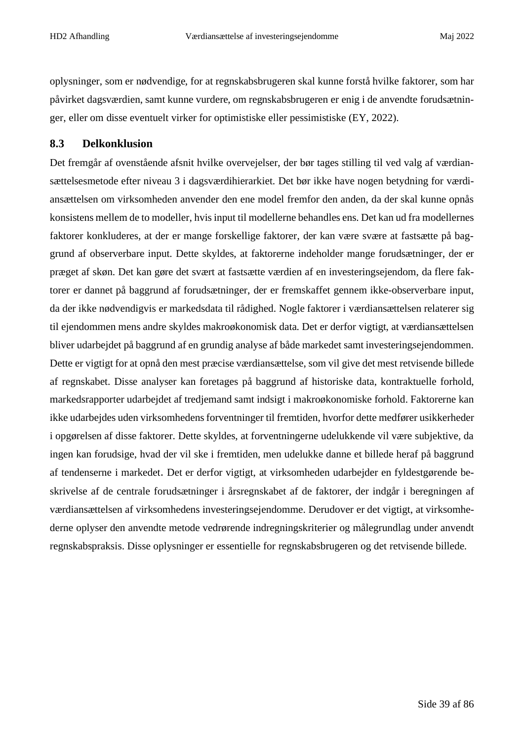oplysninger, som er nødvendige, for at regnskabsbrugeren skal kunne forstå hvilke faktorer, som har påvirket dagsværdien, samt kunne vurdere, om regnskabsbrugeren er enig i de anvendte forudsætninger, eller om disse eventuelt virker for optimistiske eller pessimistiske (EY, 2022).

# **8.3 Delkonklusion**

Det fremgår af ovenstående afsnit hvilke overvejelser, der bør tages stilling til ved valg af værdiansættelsesmetode efter niveau 3 i dagsværdihierarkiet. Det bør ikke have nogen betydning for værdiansættelsen om virksomheden anvender den ene model fremfor den anden, da der skal kunne opnås konsistens mellem de to modeller, hvis input til modellerne behandles ens. Det kan ud fra modellernes faktorer konkluderes, at der er mange forskellige faktorer, der kan være svære at fastsætte på baggrund af observerbare input. Dette skyldes, at faktorerne indeholder mange forudsætninger, der er præget af skøn. Det kan gøre det svært at fastsætte værdien af en investeringsejendom, da flere faktorer er dannet på baggrund af forudsætninger, der er fremskaffet gennem ikke-observerbare input, da der ikke nødvendigvis er markedsdata til rådighed. Nogle faktorer i værdiansættelsen relaterer sig til ejendommen mens andre skyldes makroøkonomisk data. Det er derfor vigtigt, at værdiansættelsen bliver udarbejdet på baggrund af en grundig analyse af både markedet samt investeringsejendommen. Dette er vigtigt for at opnå den mest præcise værdiansættelse, som vil give det mest retvisende billede af regnskabet. Disse analyser kan foretages på baggrund af historiske data, kontraktuelle forhold, markedsrapporter udarbejdet af tredjemand samt indsigt i makroøkonomiske forhold. Faktorerne kan ikke udarbejdes uden virksomhedens forventninger til fremtiden, hvorfor dette medfører usikkerheder i opgørelsen af disse faktorer. Dette skyldes, at forventningerne udelukkende vil være subjektive, da ingen kan forudsige, hvad der vil ske i fremtiden, men udelukke danne et billede heraf på baggrund af tendenserne i markedet. Det er derfor vigtigt, at virksomheden udarbejder en fyldestgørende beskrivelse af de centrale forudsætninger i årsregnskabet af de faktorer, der indgår i beregningen af værdiansættelsen af virksomhedens investeringsejendomme. Derudover er det vigtigt, at virksomhederne oplyser den anvendte metode vedrørende indregningskriterier og målegrundlag under anvendt regnskabspraksis. Disse oplysninger er essentielle for regnskabsbrugeren og det retvisende billede.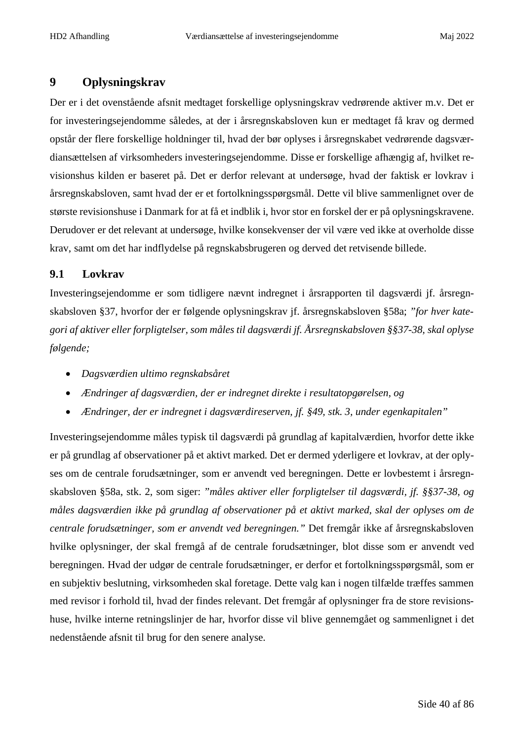# **9 Oplysningskrav**

Der er i det ovenstående afsnit medtaget forskellige oplysningskrav vedrørende aktiver m.v. Det er for investeringsejendomme således, at der i årsregnskabsloven kun er medtaget få krav og dermed opstår der flere forskellige holdninger til, hvad der bør oplyses i årsregnskabet vedrørende dagsværdiansættelsen af virksomheders investeringsejendomme. Disse er forskellige afhængig af, hvilket revisionshus kilden er baseret på. Det er derfor relevant at undersøge, hvad der faktisk er lovkrav i årsregnskabsloven, samt hvad der er et fortolkningsspørgsmål. Dette vil blive sammenlignet over de største revisionshuse i Danmark for at få et indblik i, hvor stor en forskel der er på oplysningskravene. Derudover er det relevant at undersøge, hvilke konsekvenser der vil være ved ikke at overholde disse krav, samt om det har indflydelse på regnskabsbrugeren og derved det retvisende billede.

## **9.1 Lovkrav**

Investeringsejendomme er som tidligere nævnt indregnet i årsrapporten til dagsværdi jf. årsregnskabsloven §37, hvorfor der er følgende oplysningskrav jf. årsregnskabsloven §58a; *"for hver kategori af aktiver eller forpligtelser, som måles til dagsværdi jf. Årsregnskabsloven §§37-38, skal oplyse følgende;*

- *Dagsværdien ultimo regnskabsåret*
- *Ændringer af dagsværdien, der er indregnet direkte i resultatopgørelsen, og*
- *Ændringer, der er indregnet i dagsværdireserven, jf. §49, stk. 3, under egenkapitalen"*

Investeringsejendomme måles typisk til dagsværdi på grundlag af kapitalværdien, hvorfor dette ikke er på grundlag af observationer på et aktivt marked. Det er dermed yderligere et lovkrav, at der oplyses om de centrale forudsætninger, som er anvendt ved beregningen. Dette er lovbestemt i årsregnskabsloven §58a, stk. 2, som siger: *"måles aktiver eller forpligtelser til dagsværdi, jf. §§37-38, og måles dagsværdien ikke på grundlag af observationer på et aktivt marked, skal der oplyses om de centrale forudsætninger, som er anvendt ved beregningen."* Det fremgår ikke af årsregnskabsloven hvilke oplysninger, der skal fremgå af de centrale forudsætninger, blot disse som er anvendt ved beregningen. Hvad der udgør de centrale forudsætninger, er derfor et fortolkningsspørgsmål, som er en subjektiv beslutning, virksomheden skal foretage. Dette valg kan i nogen tilfælde træffes sammen med revisor i forhold til, hvad der findes relevant. Det fremgår af oplysninger fra de store revisionshuse, hvilke interne retningslinjer de har, hvorfor disse vil blive gennemgået og sammenlignet i det nedenstående afsnit til brug for den senere analyse.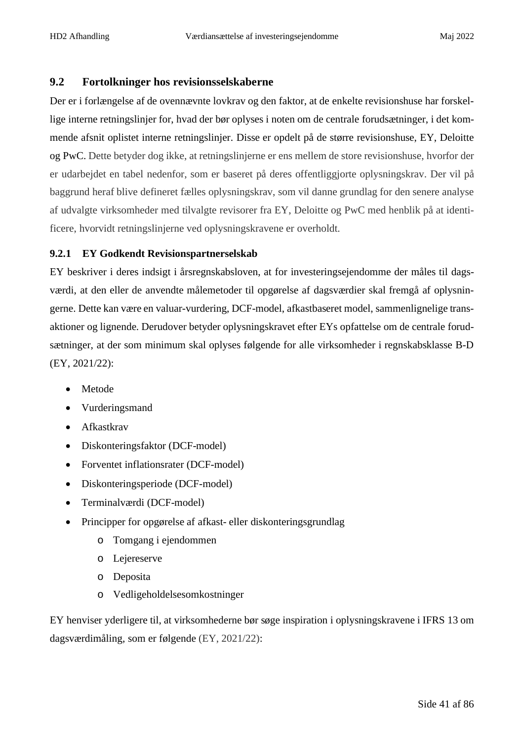#### **9.2 Fortolkninger hos revisionsselskaberne**

Der er i forlængelse af de ovennævnte lovkrav og den faktor, at de enkelte revisionshuse har forskellige interne retningslinjer for, hvad der bør oplyses i noten om de centrale forudsætninger, i det kommende afsnit oplistet interne retningslinjer. Disse er opdelt på de større revisionshuse, EY, Deloitte og PwC. Dette betyder dog ikke, at retningslinjerne er ens mellem de store revisionshuse, hvorfor der er udarbejdet en tabel nedenfor, som er baseret på deres offentliggjorte oplysningskrav. Der vil på baggrund heraf blive defineret fælles oplysningskrav, som vil danne grundlag for den senere analyse af udvalgte virksomheder med tilvalgte revisorer fra EY, Deloitte og PwC med henblik på at identificere, hvorvidt retningslinjerne ved oplysningskravene er overholdt.

#### **9.2.1 EY Godkendt Revisionspartnerselskab**

EY beskriver i deres indsigt i årsregnskabsloven, at for investeringsejendomme der måles til dagsværdi, at den eller de anvendte målemetoder til opgørelse af dagsværdier skal fremgå af oplysningerne. Dette kan være en valuar-vurdering, DCF-model, afkastbaseret model, sammenlignelige transaktioner og lignende. Derudover betyder oplysningskravet efter EYs opfattelse om de centrale forudsætninger, at der som minimum skal oplyses følgende for alle virksomheder i regnskabsklasse B-D (EY, 2021/22):

- Metode
- Vurderingsmand
- Afkastkrav
- Diskonteringsfaktor (DCF-model)
- Forventet inflationsrater (DCF-model)
- Diskonteringsperiode (DCF-model)
- Terminalværdi (DCF-model)
- Principper for opgørelse af afkast- eller diskonteringsgrundlag
	- o Tomgang i ejendommen
	- o Lejereserve
	- o Deposita
	- o Vedligeholdelsesomkostninger

EY henviser yderligere til, at virksomhederne bør søge inspiration i oplysningskravene i IFRS 13 om dagsværdimåling, som er følgende (EY, 2021/22):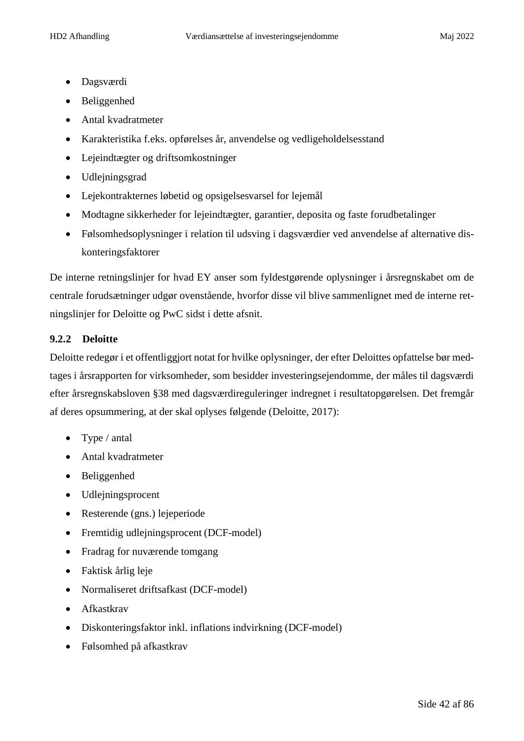- Dagsværdi
- Beliggenhed
- Antal kvadratmeter
- Karakteristika f.eks. opførelses år, anvendelse og vedligeholdelsesstand
- Lejeindtægter og driftsomkostninger
- Udlejningsgrad
- Lejekontrakternes løbetid og opsigelsesvarsel for lejemål
- Modtagne sikkerheder for lejeindtægter, garantier, deposita og faste forudbetalinger
- Følsomhedsoplysninger i relation til udsving i dagsværdier ved anvendelse af alternative diskonteringsfaktorer

De interne retningslinjer for hvad EY anser som fyldestgørende oplysninger i årsregnskabet om de centrale forudsætninger udgør ovenstående, hvorfor disse vil blive sammenlignet med de interne retningslinjer for Deloitte og PwC sidst i dette afsnit.

# **9.2.2 Deloitte**

Deloitte redegør i et offentliggjort notat for hvilke oplysninger, der efter Deloittes opfattelse bør medtages i årsrapporten for virksomheder, som besidder investeringsejendomme, der måles til dagsværdi efter årsregnskabsloven §38 med dagsværdireguleringer indregnet i resultatopgørelsen. Det fremgår af deres opsummering, at der skal oplyses følgende (Deloitte, 2017):

- Type / antal
- Antal kvadratmeter
- Beliggenhed
- Udlejningsprocent
- Resterende (gns.) lejeperiode
- Fremtidig udlejningsprocent (DCF-model)
- Fradrag for nuværende tomgang
- Faktisk årlig leje
- Normaliseret driftsafkast (DCF-model)
- Afkastkrav
- Diskonteringsfaktor inkl. inflations indvirkning (DCF-model)
- Følsomhed på afkastkrav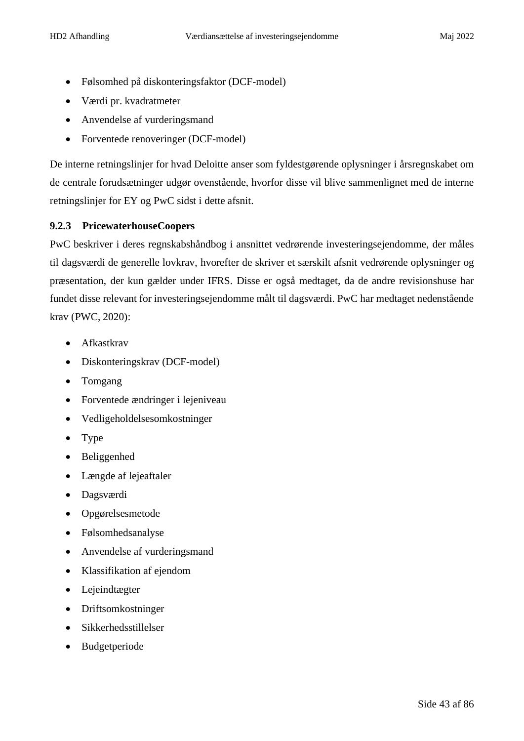- Følsomhed på diskonteringsfaktor (DCF-model)
- Værdi pr. kvadratmeter
- Anvendelse af vurderingsmand
- Forventede renoveringer (DCF-model)

De interne retningslinjer for hvad Deloitte anser som fyldestgørende oplysninger i årsregnskabet om de centrale forudsætninger udgør ovenstående, hvorfor disse vil blive sammenlignet med de interne retningslinjer for EY og PwC sidst i dette afsnit.

# **9.2.3 PricewaterhouseCoopers**

PwC beskriver i deres regnskabshåndbog i ansnittet vedrørende investeringsejendomme, der måles til dagsværdi de generelle lovkrav, hvorefter de skriver et særskilt afsnit vedrørende oplysninger og præsentation, der kun gælder under IFRS. Disse er også medtaget, da de andre revisionshuse har fundet disse relevant for investeringsejendomme målt til dagsværdi. PwC har medtaget nedenstående krav (PWC, 2020):

- Afkastkrav
- Diskonteringskrav (DCF-model)
- Tomgang
- Forventede ændringer i lejeniveau
- Vedligeholdelsesomkostninger
- Type
- Beliggenhed
- Længde af lejeaftaler
- Dagsværdi
- Opgørelsesmetode
- Følsomhedsanalyse
- Anvendelse af vurderingsmand
- Klassifikation af ejendom
- Lejeindtægter
- Driftsomkostninger
- Sikkerhedsstillelser
- Budgetperiode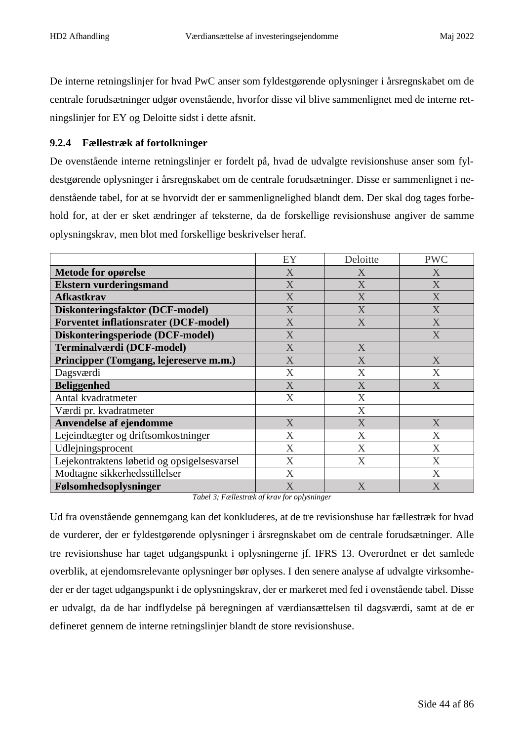De interne retningslinjer for hvad PwC anser som fyldestgørende oplysninger i årsregnskabet om de centrale forudsætninger udgør ovenstående, hvorfor disse vil blive sammenlignet med de interne retningslinjer for EY og Deloitte sidst i dette afsnit.

## **9.2.4 Fællestræk af fortolkninger**

De ovenstående interne retningslinjer er fordelt på, hvad de udvalgte revisionshuse anser som fyldestgørende oplysninger i årsregnskabet om de centrale forudsætninger. Disse er sammenlignet i nedenstående tabel, for at se hvorvidt der er sammenlignelighed blandt dem. Der skal dog tages forbehold for, at der er sket ændringer af teksterne, da de forskellige revisionshuse angiver de samme oplysningskrav, men blot med forskellige beskrivelser heraf.

|                                              | EY | Deloitte | <b>PWC</b>              |
|----------------------------------------------|----|----------|-------------------------|
| <b>Metode for opørelse</b>                   | X  | X        | X                       |
| <b>Ekstern vurderingsmand</b>                | X  | X        | X                       |
| <b>Afkastkrav</b>                            | X  | X        | X                       |
| Diskonteringsfaktor (DCF-model)              | X  | X        | X                       |
| <b>Forventet inflationsrater (DCF-model)</b> | X  | X        | X                       |
| Diskonteringsperiode (DCF-model)             | X  |          | X                       |
| Terminalværdi (DCF-model)                    | X  | X        |                         |
| Principper (Tomgang, lejereserve m.m.)       | X  | X        | X                       |
| Dagsværdi                                    | X  | X        | $\overline{\mathrm{X}}$ |
| <b>Beliggenhed</b>                           | X  | X        | $\overline{\text{X}}$   |
| Antal kvadratmeter                           | X  | X        |                         |
| Værdi pr. kvadratmeter                       |    | X        |                         |
| Anvendelse af ejendomme                      | X  | X        | X                       |
| Lejeindtægter og driftsomkostninger          | X  | X        | X                       |
| Udlejningsprocent                            | X  | X        | X                       |
| Lejekontraktens løbetid og opsigelsesvarsel  | X  | X        | X                       |
| Modtagne sikkerhedsstillelser                | X  |          | X                       |
| Følsomhedsoplysninger                        | X  | X        | X                       |

*Tabel 3; Fællestræk af krav for oplysninger*

Ud fra ovenstående gennemgang kan det konkluderes, at de tre revisionshuse har fællestræk for hvad de vurderer, der er fyldestgørende oplysninger i årsregnskabet om de centrale forudsætninger. Alle tre revisionshuse har taget udgangspunkt i oplysningerne jf. IFRS 13. Overordnet er det samlede overblik, at ejendomsrelevante oplysninger bør oplyses. I den senere analyse af udvalgte virksomheder er der taget udgangspunkt i de oplysningskrav, der er markeret med fed i ovenstående tabel. Disse er udvalgt, da de har indflydelse på beregningen af værdiansættelsen til dagsværdi, samt at de er defineret gennem de interne retningslinjer blandt de store revisionshuse.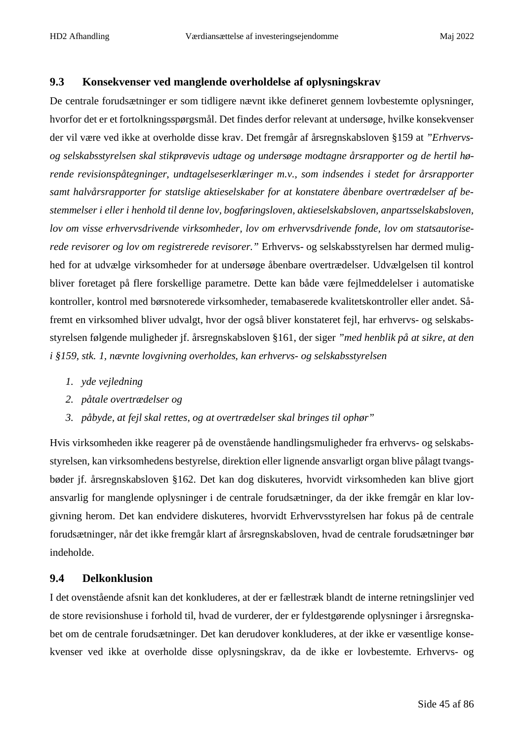#### **9.3 Konsekvenser ved manglende overholdelse af oplysningskrav**

De centrale forudsætninger er som tidligere nævnt ikke defineret gennem lovbestemte oplysninger, hvorfor det er et fortolkningsspørgsmål. Det findes derfor relevant at undersøge, hvilke konsekvenser der vil være ved ikke at overholde disse krav. Det fremgår af årsregnskabsloven §159 at *"Erhvervsog selskabsstyrelsen skal stikprøvevis udtage og undersøge modtagne årsrapporter og de hertil hørende revisionspåtegninger, undtagelseserklæringer m.v., som indsendes i stedet for årsrapporter samt halvårsrapporter for statslige aktieselskaber for at konstatere åbenbare overtrædelser af bestemmelser i eller i henhold til denne lov, bogføringsloven, aktieselskabsloven, anpartsselskabsloven, lov om visse erhvervsdrivende virksomheder, lov om erhvervsdrivende fonde, lov om statsautoriserede revisorer og lov om registrerede revisorer."* Erhvervs- og selskabsstyrelsen har dermed mulighed for at udvælge virksomheder for at undersøge åbenbare overtrædelser. Udvælgelsen til kontrol bliver foretaget på flere forskellige parametre. Dette kan både være fejlmeddelelser i automatiske kontroller, kontrol med børsnoterede virksomheder, temabaserede kvalitetskontroller eller andet. Såfremt en virksomhed bliver udvalgt, hvor der også bliver konstateret fejl, har erhvervs- og selskabsstyrelsen følgende muligheder jf. årsregnskabsloven §161, der siger *"med henblik på at sikre, at den i §159, stk. 1, nævnte lovgivning overholdes, kan erhvervs- og selskabsstyrelsen*

- *1. yde vejledning*
- *2. påtale overtrædelser og*
- *3. påbyde, at fejl skal rettes, og at overtrædelser skal bringes til ophør"*

Hvis virksomheden ikke reagerer på de ovenstående handlingsmuligheder fra erhvervs- og selskabsstyrelsen, kan virksomhedens bestyrelse, direktion eller lignende ansvarligt organ blive pålagt tvangsbøder jf. årsregnskabsloven §162. Det kan dog diskuteres, hvorvidt virksomheden kan blive gjort ansvarlig for manglende oplysninger i de centrale forudsætninger, da der ikke fremgår en klar lovgivning herom. Det kan endvidere diskuteres, hvorvidt Erhvervsstyrelsen har fokus på de centrale forudsætninger, når det ikke fremgår klart af årsregnskabsloven, hvad de centrale forudsætninger bør indeholde.

#### **9.4 Delkonklusion**

I det ovenstående afsnit kan det konkluderes, at der er fællestræk blandt de interne retningslinjer ved de store revisionshuse i forhold til, hvad de vurderer, der er fyldestgørende oplysninger i årsregnskabet om de centrale forudsætninger. Det kan derudover konkluderes, at der ikke er væsentlige konsekvenser ved ikke at overholde disse oplysningskrav, da de ikke er lovbestemte. Erhvervs- og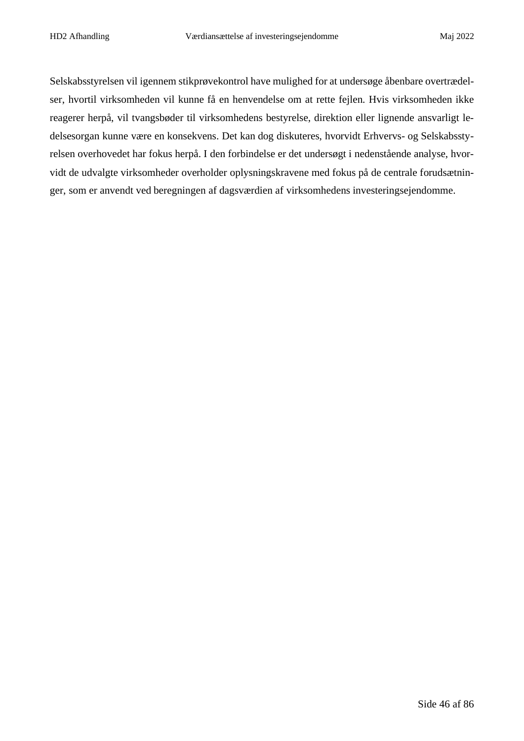Selskabsstyrelsen vil igennem stikprøvekontrol have mulighed for at undersøge åbenbare overtrædelser, hvortil virksomheden vil kunne få en henvendelse om at rette fejlen. Hvis virksomheden ikke reagerer herpå, vil tvangsbøder til virksomhedens bestyrelse, direktion eller lignende ansvarligt ledelsesorgan kunne være en konsekvens. Det kan dog diskuteres, hvorvidt Erhvervs- og Selskabsstyrelsen overhovedet har fokus herpå. I den forbindelse er det undersøgt i nedenstående analyse, hvorvidt de udvalgte virksomheder overholder oplysningskravene med fokus på de centrale forudsætninger, som er anvendt ved beregningen af dagsværdien af virksomhedens investeringsejendomme.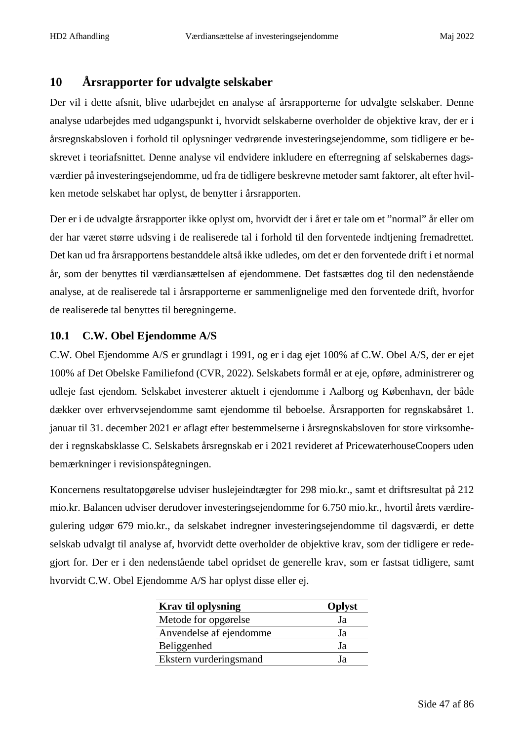# **10 Årsrapporter for udvalgte selskaber**

Der vil i dette afsnit, blive udarbejdet en analyse af årsrapporterne for udvalgte selskaber. Denne analyse udarbejdes med udgangspunkt i, hvorvidt selskaberne overholder de objektive krav, der er i årsregnskabsloven i forhold til oplysninger vedrørende investeringsejendomme, som tidligere er beskrevet i teoriafsnittet. Denne analyse vil endvidere inkludere en efterregning af selskabernes dagsværdier på investeringsejendomme, ud fra de tidligere beskrevne metoder samt faktorer, alt efter hvilken metode selskabet har oplyst, de benytter i årsrapporten.

Der er i de udvalgte årsrapporter ikke oplyst om, hvorvidt der i året er tale om et "normal" år eller om der har været større udsving i de realiserede tal i forhold til den forventede indtjening fremadrettet. Det kan ud fra årsrapportens bestanddele altså ikke udledes, om det er den forventede drift i et normal år, som der benyttes til værdiansættelsen af ejendommene. Det fastsættes dog til den nedenstående analyse, at de realiserede tal i årsrapporterne er sammenlignelige med den forventede drift, hvorfor de realiserede tal benyttes til beregningerne.

# **10.1 C.W. Obel Ejendomme A/S**

C.W. Obel Ejendomme A/S er grundlagt i 1991, og er i dag ejet 100% af C.W. Obel A/S, der er ejet 100% af Det Obelske Familiefond (CVR, 2022). Selskabets formål er at eje, opføre, administrerer og udleje fast ejendom. Selskabet investerer aktuelt i ejendomme i Aalborg og København, der både dækker over erhvervsejendomme samt ejendomme til beboelse. Årsrapporten for regnskabsåret 1. januar til 31. december 2021 er aflagt efter bestemmelserne i årsregnskabsloven for store virksomheder i regnskabsklasse C. Selskabets årsregnskab er i 2021 revideret af PricewaterhouseCoopers uden bemærkninger i revisionspåtegningen.

Koncernens resultatopgørelse udviser huslejeindtægter for 298 mio.kr., samt et driftsresultat på 212 mio.kr. Balancen udviser derudover investeringsejendomme for 6.750 mio.kr., hvortil årets værdiregulering udgør 679 mio.kr., da selskabet indregner investeringsejendomme til dagsværdi, er dette selskab udvalgt til analyse af, hvorvidt dette overholder de objektive krav, som der tidligere er redegjort for. Der er i den nedenstående tabel opridset de generelle krav, som er fastsat tidligere, samt hvorvidt C.W. Obel Ejendomme A/S har oplyst disse eller ej.

| <b>Krav til oplysning</b> | Oplyst |
|---------------------------|--------|
| Metode for opgørelse      | Ja     |
| Anvendelse af ejendomme   | Ja     |
| Beliggenhed               | Jа     |
| Ekstern vurderingsmand    | Iя     |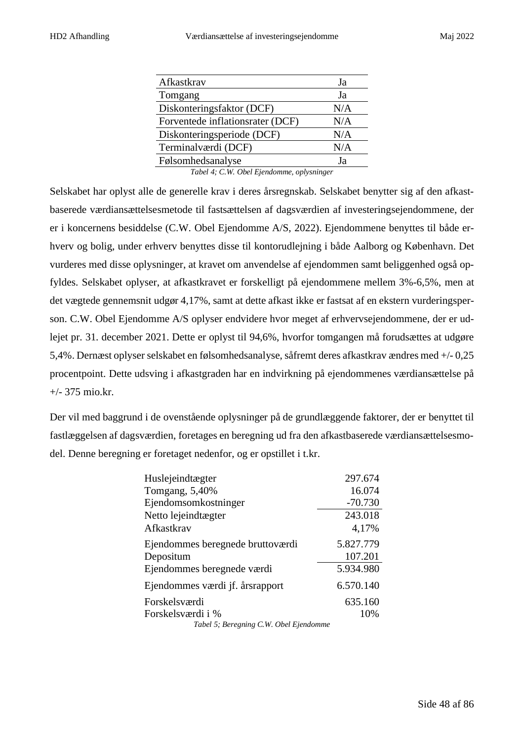| Afkastkrav                       | Ja  |
|----------------------------------|-----|
| Tomgang                          | Ja  |
| Diskonteringsfaktor (DCF)        | N/A |
| Forventede inflationsrater (DCF) | N/A |
| Diskonteringsperiode (DCF)       | N/A |
| Terminalværdi (DCF)              | N/A |
| Følsomhedsanalyse                | Jа  |
| _ _ __ _ _ . _                   |     |

*Tabel 4; C.W. Obel Ejendomme, oplysninger*

Selskabet har oplyst alle de generelle krav i deres årsregnskab. Selskabet benytter sig af den afkastbaserede værdiansættelsesmetode til fastsættelsen af dagsværdien af investeringsejendommene, der er i koncernens besiddelse (C.W. Obel Ejendomme A/S, 2022). Ejendommene benyttes til både erhverv og bolig, under erhverv benyttes disse til kontorudlejning i både Aalborg og København. Det vurderes med disse oplysninger, at kravet om anvendelse af ejendommen samt beliggenhed også opfyldes. Selskabet oplyser, at afkastkravet er forskelligt på ejendommene mellem 3%-6,5%, men at det vægtede gennemsnit udgør 4,17%, samt at dette afkast ikke er fastsat af en ekstern vurderingsperson. C.W. Obel Ejendomme A/S oplyser endvidere hvor meget af erhvervsejendommene, der er udlejet pr. 31. december 2021. Dette er oplyst til 94,6%, hvorfor tomgangen må forudsættes at udgøre 5,4%. Dernæst oplyser selskabet en følsomhedsanalyse, såfremt deres afkastkrav ændres med +/- 0,25 procentpoint. Dette udsving i afkastgraden har en indvirkning på ejendommenes værdiansættelse på +/- 375 mio.kr.

Der vil med baggrund i de ovenstående oplysninger på de grundlæggende faktorer, der er benyttet til fastlæggelsen af dagsværdien, foretages en beregning ud fra den afkastbaserede værdiansættelsesmodel. Denne beregning er foretaget nedenfor, og er opstillet i t.kr.

| Huslejeindtægter                       | 297.674   |
|----------------------------------------|-----------|
| Tomgang, 5,40%                         | 16.074    |
| Ejendomsomkostninger                   | $-70.730$ |
| Netto lejeindtægter                    | 243.018   |
| Afkastkrav                             | 4,17%     |
| Ejendommes beregnede bruttoværdi       | 5.827.779 |
| Depositum                              | 107.201   |
| Ejendommes beregnede værdi             | 5.934.980 |
| Ejendommes værdi jf. årsrapport        | 6.570.140 |
| Forskelsværdi                          | 635.160   |
| Forskelsværdi i %                      | 10%       |
| Tabel 5; Beregning C.W. Obel Ejendomme |           |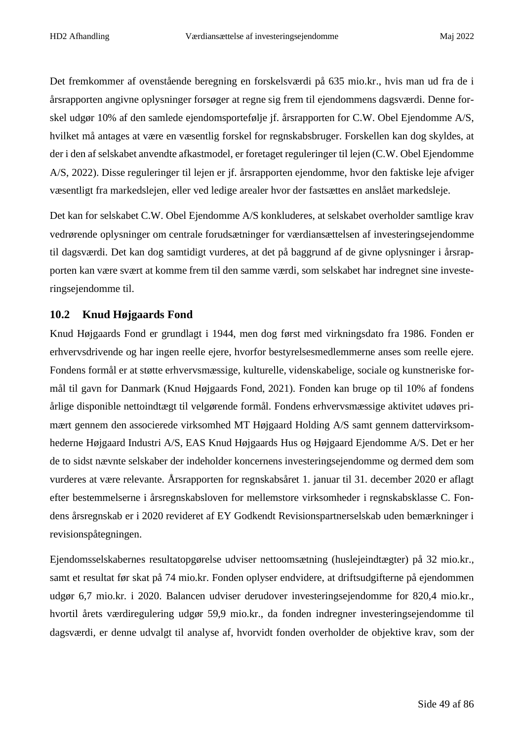Det fremkommer af ovenstående beregning en forskelsværdi på 635 mio.kr., hvis man ud fra de i årsrapporten angivne oplysninger forsøger at regne sig frem til ejendommens dagsværdi. Denne forskel udgør 10% af den samlede ejendomsportefølje jf. årsrapporten for C.W. Obel Ejendomme A/S, hvilket må antages at være en væsentlig forskel for regnskabsbruger. Forskellen kan dog skyldes, at der i den af selskabet anvendte afkastmodel, er foretaget reguleringer til lejen (C.W. Obel Ejendomme A/S, 2022). Disse reguleringer til lejen er jf. årsrapporten ejendomme, hvor den faktiske leje afviger væsentligt fra markedslejen, eller ved ledige arealer hvor der fastsættes en anslået markedsleje.

Det kan for selskabet C.W. Obel Ejendomme A/S konkluderes, at selskabet overholder samtlige krav vedrørende oplysninger om centrale forudsætninger for værdiansættelsen af investeringsejendomme til dagsværdi. Det kan dog samtidigt vurderes, at det på baggrund af de givne oplysninger i årsrapporten kan være svært at komme frem til den samme værdi, som selskabet har indregnet sine investeringsejendomme til.

## **10.2 Knud Højgaards Fond**

Knud Højgaards Fond er grundlagt i 1944, men dog først med virkningsdato fra 1986. Fonden er erhvervsdrivende og har ingen reelle ejere, hvorfor bestyrelsesmedlemmerne anses som reelle ejere. Fondens formål er at støtte erhvervsmæssige, kulturelle, videnskabelige, sociale og kunstneriske formål til gavn for Danmark (Knud Højgaards Fond, 2021). Fonden kan bruge op til 10% af fondens årlige disponible nettoindtægt til velgørende formål. Fondens erhvervsmæssige aktivitet udøves primært gennem den associerede virksomhed MT Højgaard Holding A/S samt gennem dattervirksomhederne Højgaard Industri A/S, EAS Knud Højgaards Hus og Højgaard Ejendomme A/S. Det er her de to sidst nævnte selskaber der indeholder koncernens investeringsejendomme og dermed dem som vurderes at være relevante. Årsrapporten for regnskabsåret 1. januar til 31. december 2020 er aflagt efter bestemmelserne i årsregnskabsloven for mellemstore virksomheder i regnskabsklasse C. Fondens årsregnskab er i 2020 revideret af EY Godkendt Revisionspartnerselskab uden bemærkninger i revisionspåtegningen.

Ejendomsselskabernes resultatopgørelse udviser nettoomsætning (huslejeindtægter) på 32 mio.kr., samt et resultat før skat på 74 mio.kr. Fonden oplyser endvidere, at driftsudgifterne på ejendommen udgør 6,7 mio.kr. i 2020. Balancen udviser derudover investeringsejendomme for 820,4 mio.kr., hvortil årets værdiregulering udgør 59,9 mio.kr., da fonden indregner investeringsejendomme til dagsværdi, er denne udvalgt til analyse af, hvorvidt fonden overholder de objektive krav, som der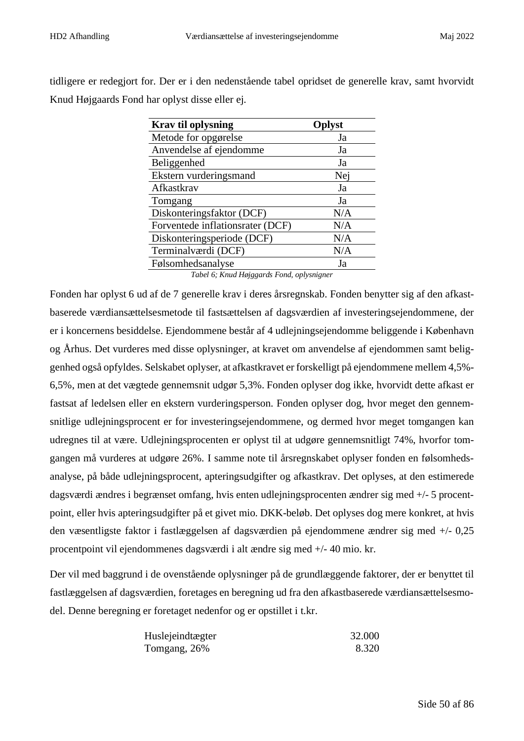tidligere er redegjort for. Der er i den nedenstående tabel opridset de generelle krav, samt hvorvidt Knud Højgaards Fond har oplyst disse eller ej.

| <b>Krav til oplysning</b>        | Oplyst |
|----------------------------------|--------|
| Metode for opgørelse             | Ja     |
| Anvendelse af ejendomme          | Ja     |
| Beliggenhed                      | Ja     |
| Ekstern vurderingsmand           | Nej    |
| Afkastkrav                       | Ja     |
| Tomgang                          | Ja     |
| Diskonteringsfaktor (DCF)        | N/A    |
| Forventede inflationsrater (DCF) | N/A    |
| Diskonteringsperiode (DCF)       | N/A    |
| Terminalværdi (DCF)              | N/A    |
| Følsomhedsanalyse                | Ja     |

*Tabel 6; Knud Højggards Fond, oplysnigner*

Fonden har oplyst 6 ud af de 7 generelle krav i deres årsregnskab. Fonden benytter sig af den afkastbaserede værdiansættelsesmetode til fastsættelsen af dagsværdien af investeringsejendommene, der er i koncernens besiddelse. Ejendommene består af 4 udlejningsejendomme beliggende i København og Århus. Det vurderes med disse oplysninger, at kravet om anvendelse af ejendommen samt beliggenhed også opfyldes. Selskabet oplyser, at afkastkravet er forskelligt på ejendommene mellem 4,5%- 6,5%, men at det vægtede gennemsnit udgør 5,3%. Fonden oplyser dog ikke, hvorvidt dette afkast er fastsat af ledelsen eller en ekstern vurderingsperson. Fonden oplyser dog, hvor meget den gennemsnitlige udlejningsprocent er for investeringsejendommene, og dermed hvor meget tomgangen kan udregnes til at være. Udlejningsprocenten er oplyst til at udgøre gennemsnitligt 74%, hvorfor tomgangen må vurderes at udgøre 26%. I samme note til årsregnskabet oplyser fonden en følsomhedsanalyse, på både udlejningsprocent, apteringsudgifter og afkastkrav. Det oplyses, at den estimerede dagsværdi ændres i begrænset omfang, hvis enten udlejningsprocenten ændrer sig med +/- 5 procentpoint, eller hvis apteringsudgifter på et givet mio. DKK-beløb. Det oplyses dog mere konkret, at hvis den væsentligste faktor i fastlæggelsen af dagsværdien på ejendommene ændrer sig med +/- 0,25 procentpoint vil ejendommenes dagsværdi i alt ændre sig med +/- 40 mio. kr.

Der vil med baggrund i de ovenstående oplysninger på de grundlæggende faktorer, der er benyttet til fastlæggelsen af dagsværdien, foretages en beregning ud fra den afkastbaserede værdiansættelsesmodel. Denne beregning er foretaget nedenfor og er opstillet i t.kr.

| Huslejeindtægter | 32.000 |
|------------------|--------|
| Tomgang, 26%     | 8.320  |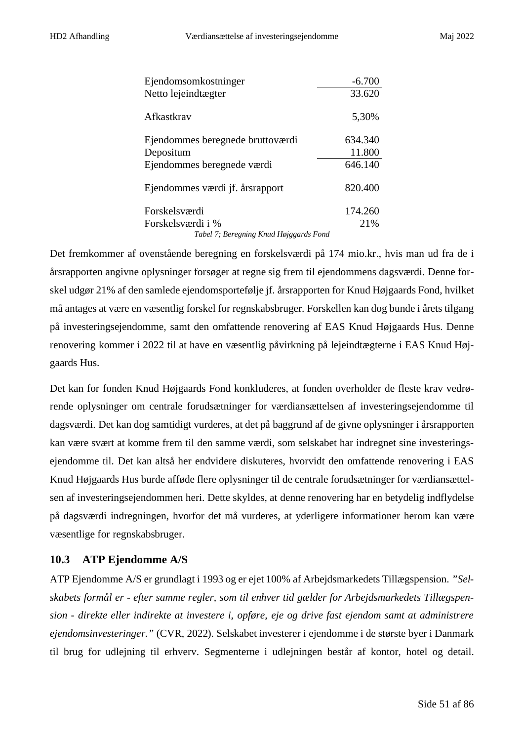| Ejendomsomkostninger             | $-6.700$ |
|----------------------------------|----------|
| Netto lejeindtægter              | 33.620   |
| Afkastkrav                       | 5,30%    |
| Ejendommes beregnede bruttoværdi | 634.340  |
| Depositum                        | 11.800   |
| Ejendommes beregnede værdi       | 646.140  |
| Ejendommes værdi jf. årsrapport  | 820.400  |
| Forskelsværdi                    | 174.260  |
| Forskelsværdi i %                | 21%      |

*Tabel 7; Beregning Knud Højggards Fond*

Det fremkommer af ovenstående beregning en forskelsværdi på 174 mio.kr., hvis man ud fra de i årsrapporten angivne oplysninger forsøger at regne sig frem til ejendommens dagsværdi. Denne forskel udgør 21% af den samlede ejendomsportefølje jf. årsrapporten for Knud Højgaards Fond, hvilket må antages at være en væsentlig forskel for regnskabsbruger. Forskellen kan dog bunde i årets tilgang på investeringsejendomme, samt den omfattende renovering af EAS Knud Højgaards Hus. Denne renovering kommer i 2022 til at have en væsentlig påvirkning på lejeindtægterne i EAS Knud Højgaards Hus.

Det kan for fonden Knud Højgaards Fond konkluderes, at fonden overholder de fleste krav vedrørende oplysninger om centrale forudsætninger for værdiansættelsen af investeringsejendomme til dagsværdi. Det kan dog samtidigt vurderes, at det på baggrund af de givne oplysninger i årsrapporten kan være svært at komme frem til den samme værdi, som selskabet har indregnet sine investeringsejendomme til. Det kan altså her endvidere diskuteres, hvorvidt den omfattende renovering i EAS Knud Højgaards Hus burde afføde flere oplysninger til de centrale forudsætninger for værdiansættelsen af investeringsejendommen heri. Dette skyldes, at denne renovering har en betydelig indflydelse på dagsværdi indregningen, hvorfor det må vurderes, at yderligere informationer herom kan være væsentlige for regnskabsbruger.

#### **10.3 ATP Ejendomme A/S**

ATP Ejendomme A/S er grundlagt i 1993 og er ejet 100% af Arbejdsmarkedets Tillægspension. *"Selskabets formål er - efter samme regler, som til enhver tid gælder for Arbejdsmarkedets Tillægspension - direkte eller indirekte at investere i, opføre, eje og drive fast ejendom samt at administrere ejendomsinvesteringer."* (CVR, 2022)*.* Selskabet investerer i ejendomme i de største byer i Danmark til brug for udlejning til erhverv. Segmenterne i udlejningen består af kontor, hotel og detail.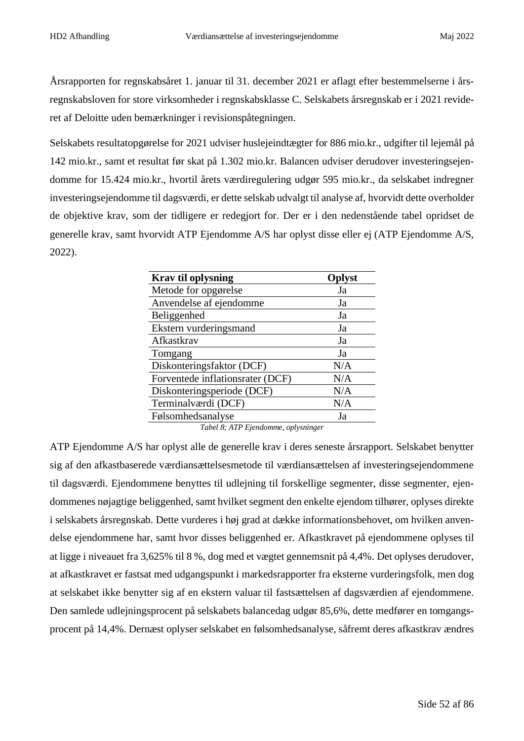Årsrapporten for regnskabsåret 1. januar til 31. december 2021 er aflagt efter bestemmelserne i årsregnskabsloven for store virksomheder i regnskabsklasse C. Selskabets årsregnskab er i 2021 revideret af Deloitte uden bemærkninger i revisionspåtegningen.

Selskabets resultatopgørelse for 2021 udviser huslejeindtægter for 886 mio.kr., udgifter til lejemål på 142 mio.kr., samt et resultat før skat på 1.302 mio.kr. Balancen udviser derudover investeringsejendomme for 15.424 mio.kr., hvortil årets værdiregulering udgør 595 mio.kr., da selskabet indregner investeringsejendomme til dagsværdi, er dette selskab udvalgt til analyse af, hvorvidt dette overholder de objektive krav, som der tidligere er redegjort for. Der er i den nedenstående tabel opridset de generelle krav, samt hvorvidt ATP Ejendomme A/S har oplyst disse eller ej (ATP Ejendomme A/S, 2022).

| <b>Krav til oplysning</b>        | Oplyst |
|----------------------------------|--------|
| Metode for opgørelse             | Ja     |
| Anvendelse af ejendomme          | Ja     |
| Beliggenhed                      | Ja     |
| Ekstern vurderingsmand           | Ja     |
| Afkastkrav                       | Ja     |
| Tomgang                          | Ja     |
| Diskonteringsfaktor (DCF)        | N/A    |
| Forventede inflationsrater (DCF) | N/A    |
| Diskonteringsperiode (DCF)       | N/A    |
| Terminalværdi (DCF)              | N/A    |
| Følsomhedsanalyse                | Ja     |

*Tabel 8; ATP Ejendomme, oplysninger*

ATP Ejendomme A/S har oplyst alle de generelle krav i deres seneste årsrapport. Selskabet benytter sig af den afkastbaserede værdiansættelsesmetode til værdiansættelsen af investeringsejendommene til dagsværdi. Ejendommene benyttes til udlejning til forskellige segmenter, disse segmenter, ejendommenes nøjagtige beliggenhed, samt hvilket segment den enkelte ejendom tilhører, oplyses direkte i selskabets årsregnskab. Dette vurderes i høj grad at dække informationsbehovet, om hvilken anvendelse ejendommene har, samt hvor disses beliggenhed er. Afkastkravet på ejendommene oplyses til at ligge i niveauet fra 3,625% til 8 %, dog med et vægtet gennemsnit på 4,4%. Det oplyses derudover, at afkastkravet er fastsat med udgangspunkt i markedsrapporter fra eksterne vurderingsfolk, men dog at selskabet ikke benytter sig af en ekstern valuar til fastsættelsen af dagsværdien af ejendommene. Den samlede udlejningsprocent på selskabets balancedag udgør 85,6%, dette medfører en tomgangsprocent på 14,4%. Dernæst oplyser selskabet en følsomhedsanalyse, såfremt deres afkastkrav ændres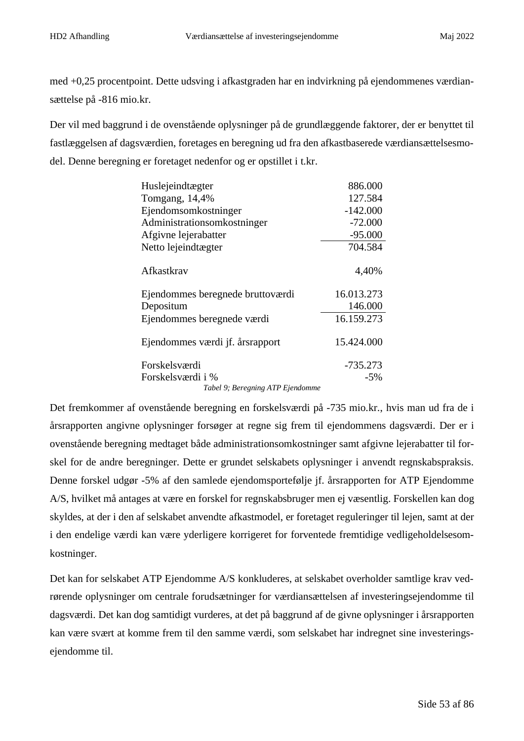med +0,25 procentpoint. Dette udsving i afkastgraden har en indvirkning på ejendommenes værdiansættelse på -816 mio.kr.

Der vil med baggrund i de ovenstående oplysninger på de grundlæggende faktorer, der er benyttet til fastlæggelsen af dagsværdien, foretages en beregning ud fra den afkastbaserede værdiansættelsesmodel. Denne beregning er foretaget nedenfor og er opstillet i t.kr.

| Huslejeindtægter                 | 886.000    |
|----------------------------------|------------|
| Tomgang, 14,4%                   | 127.584    |
| Ejendomsomkostninger             | $-142.000$ |
| Administrationsomkostninger      | $-72.000$  |
| Afgivne lejerabatter             | $-95.000$  |
| Netto lejeindtægter              | 704.584    |
| Afkastkrav                       | 4,40%      |
| Ejendommes beregnede bruttoværdi | 16.013.273 |
| Depositum                        | 146.000    |
| Ejendommes beregnede værdi       | 16.159.273 |
| Ejendommes værdi jf. årsrapport  | 15.424.000 |
| Forskelsværdi                    | -735.273   |
| Forskelsværdi i %                | $-5%$      |
| Tabel 9; Beregning ATP Ejendomme |            |

Det fremkommer af ovenstående beregning en forskelsværdi på -735 mio.kr., hvis man ud fra de i årsrapporten angivne oplysninger forsøger at regne sig frem til ejendommens dagsværdi. Der er i ovenstående beregning medtaget både administrationsomkostninger samt afgivne lejerabatter til forskel for de andre beregninger. Dette er grundet selskabets oplysninger i anvendt regnskabspraksis. Denne forskel udgør -5% af den samlede ejendomsportefølje jf. årsrapporten for ATP Ejendomme A/S, hvilket må antages at være en forskel for regnskabsbruger men ej væsentlig. Forskellen kan dog skyldes, at der i den af selskabet anvendte afkastmodel, er foretaget reguleringer til lejen, samt at der i den endelige værdi kan være yderligere korrigeret for forventede fremtidige vedligeholdelsesomkostninger.

Det kan for selskabet ATP Ejendomme A/S konkluderes, at selskabet overholder samtlige krav vedrørende oplysninger om centrale forudsætninger for værdiansættelsen af investeringsejendomme til dagsværdi. Det kan dog samtidigt vurderes, at det på baggrund af de givne oplysninger i årsrapporten kan være svært at komme frem til den samme værdi, som selskabet har indregnet sine investeringsejendomme til.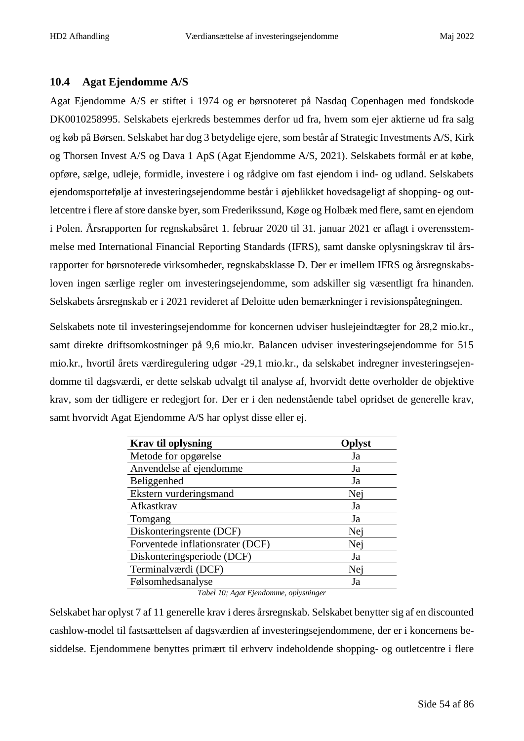## **10.4 Agat Ejendomme A/S**

Agat Ejendomme A/S er stiftet i 1974 og er børsnoteret på Nasdaq Copenhagen med fondskode DK0010258995. Selskabets ejerkreds bestemmes derfor ud fra, hvem som ejer aktierne ud fra salg og køb på Børsen. Selskabet har dog 3 betydelige ejere, som består af Strategic Investments A/S, Kirk og Thorsen Invest A/S og Dava 1 ApS (Agat Ejendomme A/S, 2021). Selskabets formål er at købe, opføre, sælge, udleje, formidle, investere i og rådgive om fast ejendom i ind- og udland. Selskabets ejendomsportefølje af investeringsejendomme består i øjeblikket hovedsageligt af shopping- og outletcentre i flere af store danske byer, som Frederikssund, Køge og Holbæk med flere, samt en ejendom i Polen. Årsrapporten for regnskabsåret 1. februar 2020 til 31. januar 2021 er aflagt i overensstemmelse med International Financial Reporting Standards (IFRS), samt danske oplysningskrav til årsrapporter for børsnoterede virksomheder, regnskabsklasse D. Der er imellem IFRS og årsregnskabsloven ingen særlige regler om investeringsejendomme, som adskiller sig væsentligt fra hinanden. Selskabets årsregnskab er i 2021 revideret af Deloitte uden bemærkninger i revisionspåtegningen.

Selskabets note til investeringsejendomme for koncernen udviser huslejeindtægter for 28,2 mio.kr., samt direkte driftsomkostninger på 9,6 mio.kr. Balancen udviser investeringsejendomme for 515 mio.kr., hvortil årets værdiregulering udgør -29,1 mio.kr., da selskabet indregner investeringsejendomme til dagsværdi, er dette selskab udvalgt til analyse af, hvorvidt dette overholder de objektive krav, som der tidligere er redegjort for. Der er i den nedenstående tabel opridset de generelle krav, samt hvorvidt Agat Ejendomme A/S har oplyst disse eller ej.

| <b>Krav til oplysning</b>        | Oplyst |
|----------------------------------|--------|
| Metode for opgørelse             | Ja     |
| Anvendelse af ejendomme          | Ja     |
| Beliggenhed                      | Ja     |
| Ekstern vurderingsmand           | Nej    |
| Afkastkrav                       | Ja     |
| Tomgang                          | Ja     |
| Diskonteringsrente (DCF)         | Nej    |
| Forventede inflationsrater (DCF) | Nei    |
| Diskonteringsperiode (DCF)       | Ja     |
| Terminalværdi (DCF)              | Nei    |
| Følsomhedsanalyse                | Ja     |

#### *Tabel 10; Agat Ejendomme, oplysninger*

Selskabet har oplyst 7 af 11 generelle krav i deres årsregnskab. Selskabet benytter sig af en discounted cashlow-model til fastsættelsen af dagsværdien af investeringsejendommene, der er i koncernens besiddelse. Ejendommene benyttes primært til erhverv indeholdende shopping- og outletcentre i flere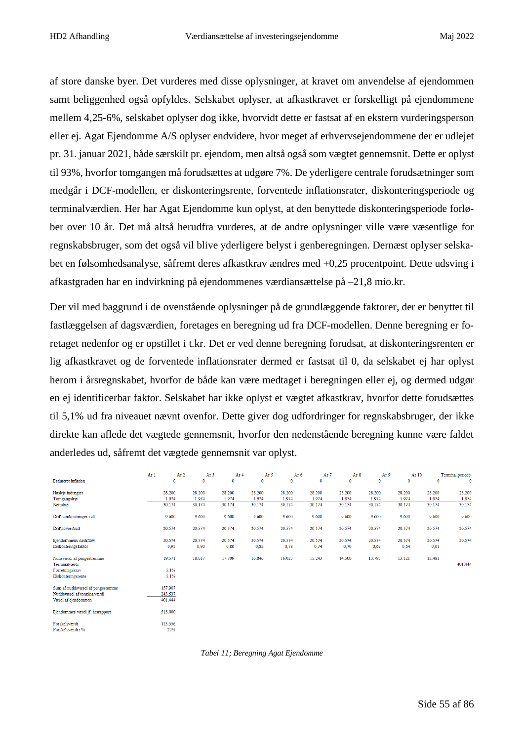af store danske byer. Det vurderes med disse oplysninger, at kravet om anvendelse af ejendommen samt beliggenhed også opfyldes. Selskabet oplyser, at afkastkravet er forskelligt på ejendommene mellem 4,25-6%, selskabet oplyser dog ikke, hvorvidt dette er fastsat af en ekstern vurderingsperson eller ej. Agat Ejendomme A/S oplyser endvidere, hvor meget af erhvervsejendommene der er udlejet pr. 31. januar 2021, både særskilt pr. ejendom, men altså også som vægtet gennemsnit. Dette er oplyst til 93%, hvorfor tomgangen må forudsættes at udgøre 7%. De yderligere centrale forudsætninger som medgår i DCF-modellen, er diskonteringsrente, forventede inflationsrater, diskonteringsperiode og terminalværdien. Her har Agat Ejendomme kun oplyst, at den benyttede diskonteringsperiode forløber over 10 år. Det må altså herudfra vurderes, at de andre oplysninger ville være væsentlige for regnskabsbruger, som det også vil blive yderligere belyst i genberegningen. Dernæst oplyser selskabet en følsomhedsanalyse, såfremt deres afkastkrav ændres med +0,25 procentpoint. Dette udsving i afkastgraden har en indvirkning på ejendommenes værdiansættelse på –21,8 mio.kr.

Der vil med baggrund i de ovenstående oplysninger på de grundlæggende faktorer, der er benyttet til fastlæggelsen af dagsværdien, foretages en beregning ud fra DCF-modellen. Denne beregning er foretaget nedenfor og er opstillet i t.kr. Det er ved denne beregning forudsat, at diskonteringsrenten er lig afkastkravet og de forventede inflationsrater dermed er fastsat til 0, da selskabet ej har oplyst herom i årsregnskabet, hvorfor de både kan være medtaget i beregningen eller ej, og dermed udgør en ej identificerbar faktor. Selskabet har ikke oplyst et vægtet afkastkrav, hvorfor dette forudsættes til 5,1% ud fra niveauet nævnt ovenfor. Dette giver dog udfordringer for regnskabsbruger, der ikke direkte kan aflede det vægtede gennemsnit, hvorfor den nedenstående beregning kunne være faldet anderledes ud, såfremt det vægtede gennemsnit var oplyst.

|                                   | År 1 | Ar <sub>2</sub> | År 3   | År 4   | År 5        | År 6        | År 7        | År 8        | År 9        | År 10       |             | Terminal periode |
|-----------------------------------|------|-----------------|--------|--------|-------------|-------------|-------------|-------------|-------------|-------------|-------------|------------------|
| <b>Estimeret</b> inflation        |      | 0               | 0      | 0      | $\mathbf 0$ | $\mathbf 0$ | $\mathbf 0$ | $\mathbf 0$ | $\mathbf 0$ | $\mathbf 0$ | $\mathbf 0$ | $\mathbf{0}$     |
| Husleje indtægter                 |      | 28.200          | 28.200 | 28.200 | 28.200      | 28.200      | 28.200      | 28.200      | 28.200      | 28.200      | 28.200      | 28.200           |
| Tomgangsleje                      |      | 1.974           | 1.974  | 1.974  | 1.974       | 1.974       | 1.974       | 1.974       | 1.974       | 1.974       | 1.974       | 1.974            |
| Nettoleje                         |      | 30.174          | 30.174 | 30.174 | 30.174      | 30.174      | 30.174      | 30.174      | 30.174      | 30.174      | 30.174      | 30.174           |
| Driftsomkostninger i alt          |      | 9.600           | 9.600  | 9.600  | 9.600       | 9.600       | 9.600       | 9.600       | 9.600       | 9.600       | 9.600       | 9.600            |
| Driftsoverskud                    |      | 20.574          | 20.574 | 20.574 | 20.574      | 20.574      | 20.574      | 20.574      | 20.574      | 20.574      | 20.574      | 20.574           |
| Ejendommens cashflow              |      | 20.574          | 20.574 | 20.574 | 20.574      | 20.574      | 20.574      | 20.574      | 20.574      | 20.574      | 20.574      | 20.574           |
| Diskonteringsfaktor               |      | 0.95            | 0,90   | 0,86   | 0,82        | 0,78        | 0,74        | 0,70        | 0,67        | 0,64        | 0,61        |                  |
| Nutisværdi af pengestrømme        |      | 19.571          | 18.617 | 17.709 | 16.846      | 16.025      | 15.243      | 14.500      | 13.793      | 13.121      | 12.481      |                  |
| Terminalværdi                     |      |                 |        |        |             |             |             |             |             |             |             | 401.444          |
| Forretningskrav                   |      | 5,1%            |        |        |             |             |             |             |             |             |             |                  |
| Diskonteringsrente                |      | 5,1%            |        |        |             |             |             |             |             |             |             |                  |
| Sum af nutidsværdi af pengestømme |      | 157.907         |        |        |             |             |             |             |             |             |             |                  |
| Nutidsværdi af terminalværdi      |      | 243.537         |        |        |             |             |             |             |             |             |             |                  |
| Værdi af ejendommen               |      | 401.444         |        |        |             |             |             |             |             |             |             |                  |
| Ejendommes værdi jf. årsrapport   |      | 515.000         |        |        |             |             |             |             |             |             |             |                  |
| Forskelsværdi                     |      | 113.556         |        |        |             |             |             |             |             |             |             |                  |
| Forskelsværdi i %                 |      | 22%             |        |        |             |             |             |             |             |             |             |                  |

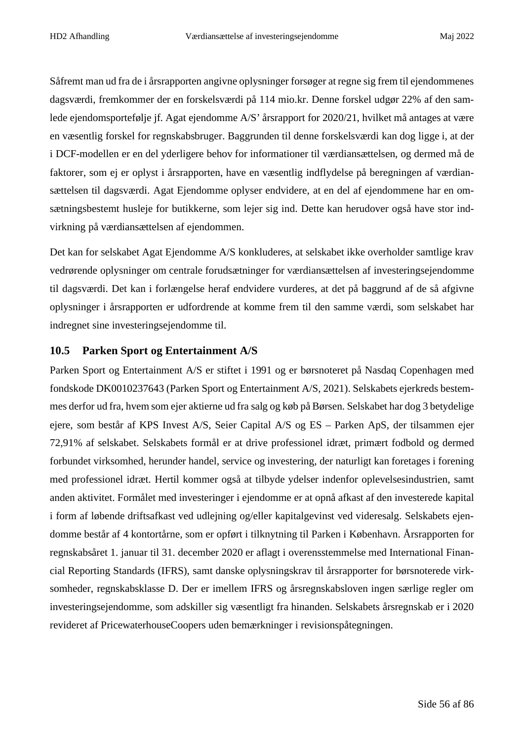Såfremt man ud fra de i årsrapporten angivne oplysninger forsøger at regne sig frem til ejendommenes dagsværdi, fremkommer der en forskelsværdi på 114 mio.kr. Denne forskel udgør 22% af den samlede ejendomsportefølje jf. Agat ejendomme A/S' årsrapport for 2020/21, hvilket må antages at være en væsentlig forskel for regnskabsbruger. Baggrunden til denne forskelsværdi kan dog ligge i, at der i DCF-modellen er en del yderligere behov for informationer til værdiansættelsen, og dermed må de faktorer, som ej er oplyst i årsrapporten, have en væsentlig indflydelse på beregningen af værdiansættelsen til dagsværdi. Agat Ejendomme oplyser endvidere, at en del af ejendommene har en omsætningsbestemt husleje for butikkerne, som lejer sig ind. Dette kan herudover også have stor indvirkning på værdiansættelsen af ejendommen.

Det kan for selskabet Agat Ejendomme A/S konkluderes, at selskabet ikke overholder samtlige krav vedrørende oplysninger om centrale forudsætninger for værdiansættelsen af investeringsejendomme til dagsværdi. Det kan i forlængelse heraf endvidere vurderes, at det på baggrund af de så afgivne oplysninger i årsrapporten er udfordrende at komme frem til den samme værdi, som selskabet har indregnet sine investeringsejendomme til.

## **10.5 Parken Sport og Entertainment A/S**

Parken Sport og Entertainment A/S er stiftet i 1991 og er børsnoteret på Nasdaq Copenhagen med fondskode DK0010237643 (Parken Sport og Entertainment A/S, 2021). Selskabets ejerkreds bestemmes derfor ud fra, hvem som ejer aktierne ud fra salg og køb på Børsen. Selskabet har dog 3 betydelige ejere, som består af KPS Invest A/S, Seier Capital A/S og ES – Parken ApS, der tilsammen ejer 72,91% af selskabet. Selskabets formål er at drive professionel idræt, primært fodbold og dermed forbundet virksomhed, herunder handel, service og investering, der naturligt kan foretages i forening med professionel idræt. Hertil kommer også at tilbyde ydelser indenfor oplevelsesindustrien, samt anden aktivitet. Formålet med investeringer i ejendomme er at opnå afkast af den investerede kapital i form af løbende driftsafkast ved udlejning og/eller kapitalgevinst ved videresalg. Selskabets ejendomme består af 4 kontortårne, som er opført i tilknytning til Parken i København. Årsrapporten for regnskabsåret 1. januar til 31. december 2020 er aflagt i overensstemmelse med International Financial Reporting Standards (IFRS), samt danske oplysningskrav til årsrapporter for børsnoterede virksomheder, regnskabsklasse D. Der er imellem IFRS og årsregnskabsloven ingen særlige regler om investeringsejendomme, som adskiller sig væsentligt fra hinanden. Selskabets årsregnskab er i 2020 revideret af PricewaterhouseCoopers uden bemærkninger i revisionspåtegningen.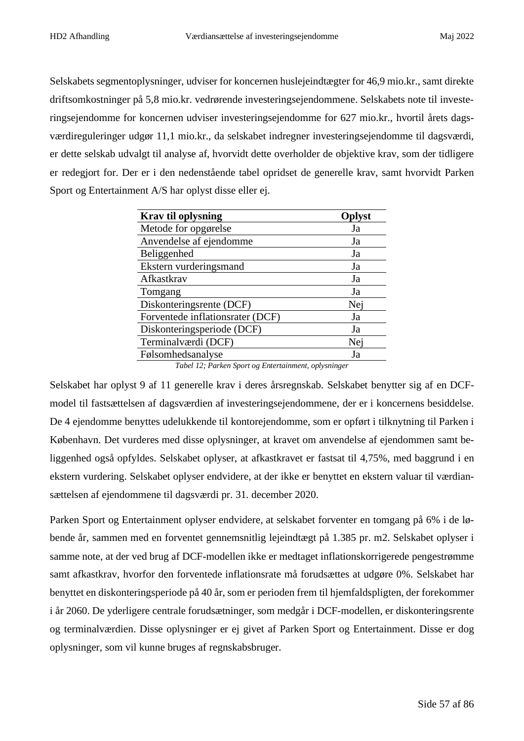Selskabets segmentoplysninger, udviser for koncernen huslejeindtægter for 46,9 mio.kr., samt direkte driftsomkostninger på 5,8 mio.kr. vedrørende investeringsejendommene. Selskabets note til investeringsejendomme for koncernen udviser investeringsejendomme for 627 mio.kr., hvortil årets dagsværdireguleringer udgør 11,1 mio.kr., da selskabet indregner investeringsejendomme til dagsværdi, er dette selskab udvalgt til analyse af, hvorvidt dette overholder de objektive krav, som der tidligere er redegjort for. Der er i den nedenstående tabel opridset de generelle krav, samt hvorvidt Parken Sport og Entertainment A/S har oplyst disse eller ej.

| <b>Krav til oplysning</b>        | Oplyst |
|----------------------------------|--------|
| Metode for opgørelse             | Ja     |
| Anvendelse af ejendomme          | Ja     |
| Beliggenhed                      | Ja     |
| Ekstern vurderingsmand           | Ja     |
| Afkastkrav                       | Ja     |
| Tomgang                          | Ja     |
| Diskonteringsrente (DCF)         | Nej    |
| Forventede inflationsrater (DCF) | Ja     |
| Diskonteringsperiode (DCF)       | Ja     |
| Terminalværdi (DCF)              | Nej    |
| Følsomhedsanalyse                | Ja     |

*Tabel 12; Parken Sport og Entertainment, oplysninger*

Selskabet har oplyst 9 af 11 generelle krav i deres årsregnskab. Selskabet benytter sig af en DCFmodel til fastsættelsen af dagsværdien af investeringsejendommene, der er i koncernens besiddelse. De 4 ejendomme benyttes udelukkende til kontorejendomme, som er opført i tilknytning til Parken i København. Det vurderes med disse oplysninger, at kravet om anvendelse af ejendommen samt beliggenhed også opfyldes. Selskabet oplyser, at afkastkravet er fastsat til 4,75%, med baggrund i en ekstern vurdering. Selskabet oplyser endvidere, at der ikke er benyttet en ekstern valuar til værdiansættelsen af ejendommene til dagsværdi pr. 31. december 2020.

Parken Sport og Entertainment oplyser endvidere, at selskabet forventer en tomgang på 6% i de løbende år, sammen med en forventet gennemsnitlig lejeindtægt på 1.385 pr. m2. Selskabet oplyser i samme note, at der ved brug af DCF-modellen ikke er medtaget inflationskorrigerede pengestrømme samt afkastkrav, hvorfor den forventede inflationsrate må forudsættes at udgøre 0%. Selskabet har benyttet en diskonteringsperiode på 40 år, som er perioden frem til hjemfaldspligten, der forekommer i år 2060. De yderligere centrale forudsætninger, som medgår i DCF-modellen, er diskonteringsrente og terminalværdien. Disse oplysninger er ej givet af Parken Sport og Entertainment. Disse er dog oplysninger, som vil kunne bruges af regnskabsbruger.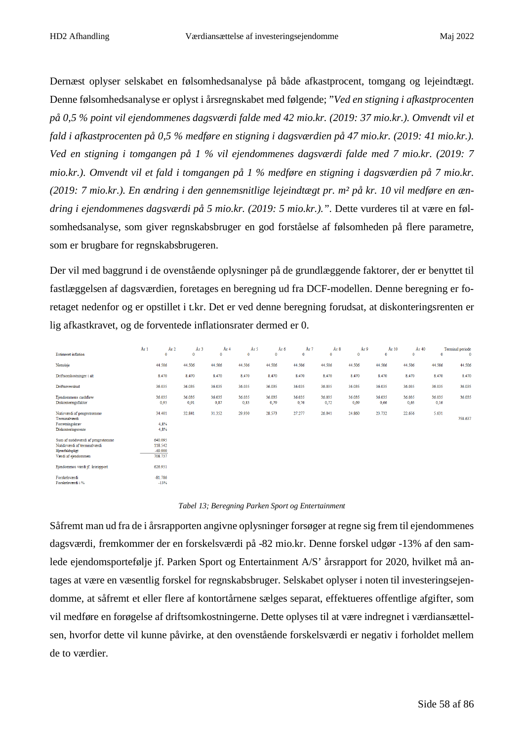Dernæst oplyser selskabet en følsomhedsanalyse på både afkastprocent, tomgang og lejeindtægt. Denne følsomhedsanalyse er oplyst i årsregnskabet med følgende; "*Ved en stigning i afkastprocenten på 0,5 % point vil ejendommenes dagsværdi falde med 42 mio.kr. (2019: 37 mio.kr.). Omvendt vil et fald i afkastprocenten på 0,5 % medføre en stigning i dagsværdien på 47 mio.kr. (2019: 41 mio.kr.). Ved en stigning i tomgangen på 1 % vil ejendommenes dagsværdi falde med 7 mio.kr. (2019: 7 mio.kr.). Omvendt vil et fald i tomgangen på 1 % medføre en stigning i dagsværdien på 7 mio.kr. (2019: 7 mio.kr.). En ændring i den gennemsnitlige lejeindtægt pr. m² på kr. 10 vil medføre en ændring i ejendommenes dagsværdi på 5 mio.kr. (2019: 5 mio.kr.)."*. Dette vurderes til at være en følsomhedsanalyse, som giver regnskabsbruger en god forståelse af følsomheden på flere parametre, som er brugbare for regnskabsbrugeren.

Der vil med baggrund i de ovenstående oplysninger på de grundlæggende faktorer, der er benyttet til fastlæggelsen af dagsværdien, foretages en beregning ud fra DCF-modellen. Denne beregning er foretaget nedenfor og er opstillet i t.kr. Det er ved denne beregning forudsat, at diskonteringsrenten er lig afkastkravet, og de forventede inflationsrater dermed er 0.

| <b>Estimeret</b> inflation                                                                                 | År 1 | Ar <sub>2</sub><br>$\mathbf 0$             | År 3<br>$\mathbf 0$ | År 4<br>$\bullet$ | År 5<br>$\bullet$ | År 6<br>$\mathbf{0}$ | År 7<br>$\mathbf{0}$ | År 8<br>$\mathbf{0}$ | År 9<br>$\mathbf{0}$ | År 10<br>$\mathbf{0}$ | År 40<br>$\mathbf{0}$ | 0              | Terminal periode<br>$\mathbf{0}$ |
|------------------------------------------------------------------------------------------------------------|------|--------------------------------------------|---------------------|-------------------|-------------------|----------------------|----------------------|----------------------|----------------------|-----------------------|-----------------------|----------------|----------------------------------|
| Nettoleje                                                                                                  |      | 44.506                                     | 44.506              | 44.506            | 44.506            | 44.506               | 44.506               | 44.506               | 44.506               | 44.506                | 44.506                | 44.506         | 44.506                           |
| Driftsomkostninger i alt                                                                                   |      | 8.470                                      | 8.470               | 8.470             | 8.470             | 8,470                | 8.470                | 8,470                | 8.470                | 8.470                 | 8,470                 | 8,470          | 8.470                            |
| Driftsoverskud                                                                                             |      | 36.035                                     | 36.035              | 36.035            | 36.035            | 36.035               | 36.035               | 36.035               | 36.035               | 36.035                | 36.035                | 36.035         | 36.035                           |
| Ejendommens cashflow<br>Diskonteringsfaktor                                                                |      | 36.035<br>0,95                             | 36.035<br>0,91      | 36.035<br>0,87    | 36.035<br>0,83    | 36.035<br>0,79       | 36.035<br>0,76       | 36.035<br>0,72       | 36.035<br>0,69       | 36.035<br>0,66        | 36.035<br>0,63        | 36.035<br>0,16 | 36.035                           |
| Nutisværdi af pengestrømme<br>Terminalværdi<br>Forretningskrav<br>Diskonteringsrente                       |      | 34.401<br>4,8%<br>4,8%                     | 32.841              | 31.352            | 29.930            | 28.573               | 27.277               | 26.041               | 24.860               | 23.732                | 22.656                | 5.631          | 758.637                          |
| Sum af nutidsværdi af pengestømme<br>Nutidsværdi af terminalværdi<br>Hjemfaldspligt<br>Værdi af ejendommen |      | 640.095<br>118.542<br>$-49.900$<br>708.737 |                     |                   |                   |                      |                      |                      |                      |                       |                       |                |                                  |
| Ejendommes værdi jf. årsrapport                                                                            |      | 626.951                                    |                     |                   |                   |                      |                      |                      |                      |                       |                       |                |                                  |
| Forskelsværdi<br>Forskelsværdi i %                                                                         |      | $-81.786$<br>$-13%$                        |                     |                   |                   |                      |                      |                      |                      |                       |                       |                |                                  |

#### *Tabel 13; Beregning Parken Sport og Entertainment*

Såfremt man ud fra de i årsrapporten angivne oplysninger forsøger at regne sig frem til ejendommenes dagsværdi, fremkommer der en forskelsværdi på -82 mio.kr. Denne forskel udgør -13% af den samlede ejendomsportefølje jf. Parken Sport og Entertainment A/S' årsrapport for 2020, hvilket må antages at være en væsentlig forskel for regnskabsbruger. Selskabet oplyser i noten til investeringsejendomme, at såfremt et eller flere af kontortårnene sælges separat, effektueres offentlige afgifter, som vil medføre en forøgelse af driftsomkostningerne. Dette oplyses til at være indregnet i værdiansættelsen, hvorfor dette vil kunne påvirke, at den ovenstående forskelsværdi er negativ i forholdet mellem de to værdier.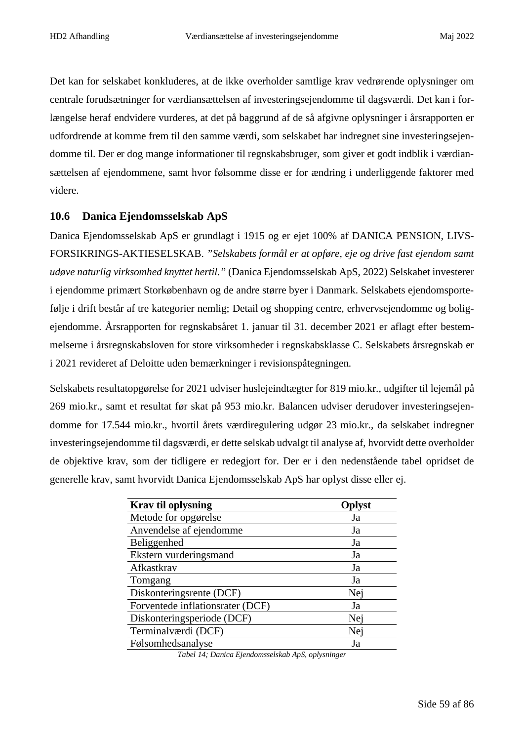Det kan for selskabet konkluderes, at de ikke overholder samtlige krav vedrørende oplysninger om centrale forudsætninger for værdiansættelsen af investeringsejendomme til dagsværdi. Det kan i forlængelse heraf endvidere vurderes, at det på baggrund af de så afgivne oplysninger i årsrapporten er udfordrende at komme frem til den samme værdi, som selskabet har indregnet sine investeringsejendomme til. Der er dog mange informationer til regnskabsbruger, som giver et godt indblik i værdiansættelsen af ejendommene, samt hvor følsomme disse er for ændring i underliggende faktorer med videre.

## **10.6 Danica Ejendomsselskab ApS**

Danica Ejendomsselskab ApS er grundlagt i 1915 og er ejet 100% af DANICA PENSION, LIVS-FORSIKRINGS-AKTIESELSKAB. *"Selskabets formål er at opføre, eje og drive fast ejendom samt udøve naturlig virksomhed knyttet hertil."* (Danica Ejendomsselskab ApS, 2022) Selskabet investerer i ejendomme primært Storkøbenhavn og de andre større byer i Danmark. Selskabets ejendomsportefølje i drift består af tre kategorier nemlig; Detail og shopping centre, erhvervsejendomme og boligejendomme. Årsrapporten for regnskabsåret 1. januar til 31. december 2021 er aflagt efter bestemmelserne i årsregnskabsloven for store virksomheder i regnskabsklasse C. Selskabets årsregnskab er i 2021 revideret af Deloitte uden bemærkninger i revisionspåtegningen.

Selskabets resultatopgørelse for 2021 udviser huslejeindtægter for 819 mio.kr., udgifter til lejemål på 269 mio.kr., samt et resultat før skat på 953 mio.kr. Balancen udviser derudover investeringsejendomme for 17.544 mio.kr., hvortil årets værdiregulering udgør 23 mio.kr., da selskabet indregner investeringsejendomme til dagsværdi, er dette selskab udvalgt til analyse af, hvorvidt dette overholder de objektive krav, som der tidligere er redegjort for. Der er i den nedenstående tabel opridset de generelle krav, samt hvorvidt Danica Ejendomsselskab ApS har oplyst disse eller ej.

| <b>Krav til oplysning</b>        | Oplyst |
|----------------------------------|--------|
| Metode for opgørelse             | Ja     |
| Anvendelse af ejendomme          | Ja     |
| Beliggenhed                      | Ja     |
| Ekstern vurderingsmand           | Ja     |
| Afkastkrav                       | Ja     |
| Tomgang                          | Ja     |
| Diskonteringsrente (DCF)         | Nej    |
| Forventede inflationsrater (DCF) | Ja     |
| Diskonteringsperiode (DCF)       | Nej    |
| Terminalværdi (DCF)              | Nei    |
| Følsomhedsanalyse                | Ja     |

*Tabel 14; Danica Ejendomsselskab ApS, oplysninger*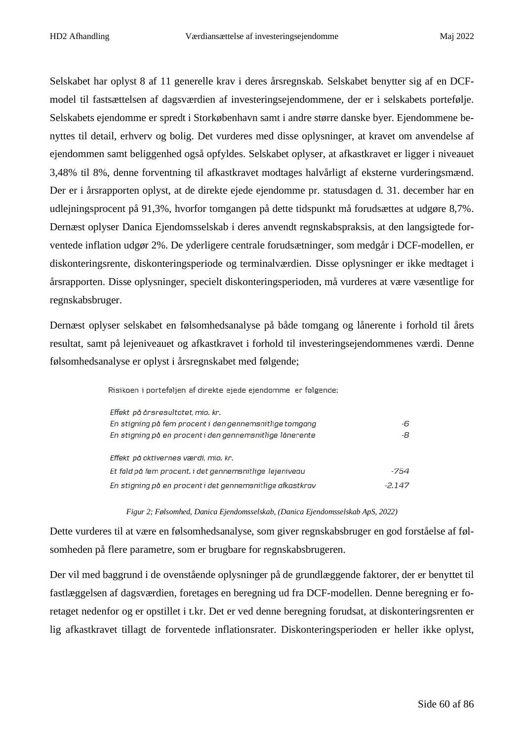Selskabet har oplyst 8 af 11 generelle krav i deres årsregnskab. Selskabet benytter sig af en DCFmodel til fastsættelsen af dagsværdien af investeringsejendommene, der er i selskabets portefølje. Selskabets ejendomme er spredt i Storkøbenhavn samt i andre større danske byer. Ejendommene benyttes til detail, erhverv og bolig. Det vurderes med disse oplysninger, at kravet om anvendelse af ejendommen samt beliggenhed også opfyldes. Selskabet oplyser, at afkastkravet er ligger i niveauet 3,48% til 8%, denne forventning til afkastkravet modtages halvårligt af eksterne vurderingsmænd. Der er i årsrapporten oplyst, at de direkte ejede ejendomme pr. statusdagen d. 31. december har en udlejningsprocent på 91,3%, hvorfor tomgangen på dette tidspunkt må forudsættes at udgøre 8,7%. Dernæst oplyser Danica Ejendomsselskab i deres anvendt regnskabspraksis, at den langsigtede forventede inflation udgør 2%. De yderligere centrale forudsætninger, som medgår i DCF-modellen, er diskonteringsrente, diskonteringsperiode og terminalværdien. Disse oplysninger er ikke medtaget i årsrapporten. Disse oplysninger, specielt diskonteringsperioden, må vurderes at være væsentlige for regnskabsbruger.

Dernæst oplyser selskabet en følsomhedsanalyse på både tomgang og lånerente i forhold til årets resultat, samt på lejeniveauet og afkastkravet i forhold til investeringsejendommenes værdi. Denne følsomhedsanalyse er oplyst i årsregnskabet med følgende;

Risikoen i porteføljen af direkte ejede ejendomme er følgende:

| Effekt på årsresultatet, mio. kr.                         |         |
|-----------------------------------------------------------|---------|
| En stigning på fem procent i den gennemsnitlige tomgang   | -6      |
| En stigning på en procent i den gennemsnitlige lånerente  | -8      |
| Effekt på aktivernes værdi, mio. kr.                      |         |
| Et fald på fem procent, i det gennemsnitlige lejeniveau   | $-754$  |
| En stigning på en procent i det gennemsnitlige afkastkrav | $-2147$ |

*Figur 2; Følsomhed, Danica Ejendomsselskab, (Danica Ejendomsselskab ApS, 2022)*

Dette vurderes til at være en følsomhedsanalyse, som giver regnskabsbruger en god forståelse af følsomheden på flere parametre, som er brugbare for regnskabsbrugeren.

Der vil med baggrund i de ovenstående oplysninger på de grundlæggende faktorer, der er benyttet til fastlæggelsen af dagsværdien, foretages en beregning ud fra DCF-modellen. Denne beregning er foretaget nedenfor og er opstillet i t.kr. Det er ved denne beregning forudsat, at diskonteringsrenten er lig afkastkravet tillagt de forventede inflationsrater. Diskonteringsperioden er heller ikke oplyst,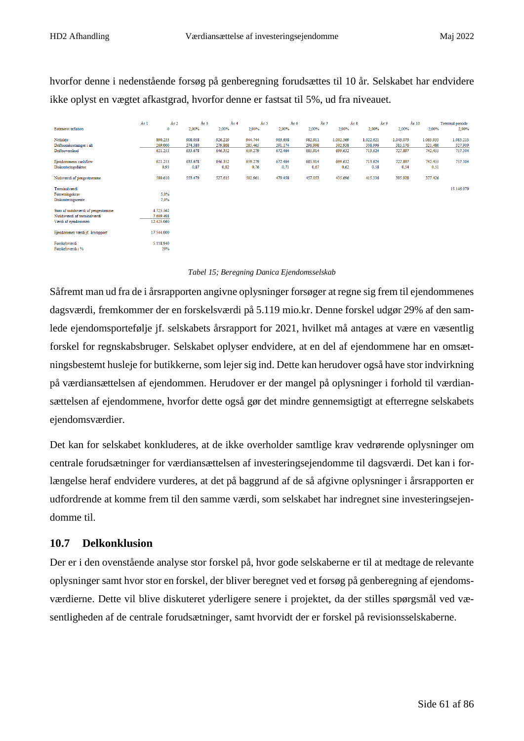hvorfor denne i nedenstående forsøg på genberegning forudsættes til 10 år. Selskabet har endvidere ikke oplyst en vægtet afkastgrad, hvorfor denne er fastsat til 5%, ud fra niveauet.

|                                   | År 1 | Ar <sub>2</sub> |         | Ar <sub>3</sub> | År 4    | Ar 5    | Ar <sub>6</sub> | År 7      | Ar 8      | Ar <sub>9</sub> | År 10     | Terminal periode |
|-----------------------------------|------|-----------------|---------|-----------------|---------|---------|-----------------|-----------|-----------|-----------------|-----------|------------------|
| <b>Estimeret</b> inflation        |      | $\bullet$       | 2,00%   | 2,00%           | 2,00%   | 2,00%   | 2,00%           | 2,00%     | 2,00%     | 2,00%           | 2.00%     | 2,00%            |
| Nettoleje                         |      | 890.253         | 908.058 | 926.219         | 944.744 | 963.638 | 982.911         | 1.002.569 | 1.022.621 | 1.043.073       | 1.063.935 | 1.085.213        |
| Driftsomkostninger i alt          |      | 269,000         | 274.380 | 279.868         | 285.465 | 291.174 | 296.998         | 302.938   | 308.996   | 315.176         | 321.480   | 327.909          |
| Driftsoverskud                    |      | 621.253         | 633.678 | 646.352         | 659.279 | 672.464 | 685.914         | 699.632   | 713.624   | 727.897         | 742.455   | 757.304          |
| Ejendommens cashflow              |      | 621.253         | 633.678 | 646.352         | 659.279 | 672.464 | 685.914         | 699.632   | 713.624   | 727.897         | 742.455   | 757.304          |
| Diskonteringsfaktor               |      | 0,93            | 0,87    | 0,82            | 0,76    | 0,71    | 0,67            | 0,62      | 0,58      | 0,54            | 0,51      |                  |
| Nutisværdi af pengestrømme        |      | 580.610         | 553.479 | 527.615         | 502.961 | 479.458 | 457.053         | 435.696   | 415.336   | 395.928         | 377.426   |                  |
| Terminalværdi                     |      |                 |         |                 |         |         |                 |           |           |                 |           | 15.146.079       |
| Forretningskrav                   |      | 5,0%            |         |                 |         |         |                 |           |           |                 |           |                  |
| Diskonteringsrente                |      | 7.0%            |         |                 |         |         |                 |           |           |                 |           |                  |
| Sum af nutidsværdi af pengestømme |      | 4.725.562       |         |                 |         |         |                 |           |           |                 |           |                  |
| Nutidsværdi af terminalværdi      |      | 7.699.498       |         |                 |         |         |                 |           |           |                 |           |                  |
| Værdi af ejendommen               |      | 12.425.060      |         |                 |         |         |                 |           |           |                 |           |                  |
| Ejendommes værdi jf. årsrapport   |      | 17.544.000      |         |                 |         |         |                 |           |           |                 |           |                  |
| Forskelsværdi                     |      | 5.118.940       |         |                 |         |         |                 |           |           |                 |           |                  |
| Forskelsværdi i %                 |      | 29%             |         |                 |         |         |                 |           |           |                 |           |                  |

#### *Tabel 15; Beregning Danica Ejendomsselskab*

Såfremt man ud fra de i årsrapporten angivne oplysninger forsøger at regne sig frem til ejendommenes dagsværdi, fremkommer der en forskelsværdi på 5.119 mio.kr. Denne forskel udgør 29% af den samlede ejendomsportefølje jf. selskabets årsrapport for 2021, hvilket må antages at være en væsentlig forskel for regnskabsbruger. Selskabet oplyser endvidere, at en del af ejendommene har en omsætningsbestemt husleje for butikkerne, som lejer sig ind. Dette kan herudover også have stor indvirkning på værdiansættelsen af ejendommen. Herudover er der mangel på oplysninger i forhold til værdiansættelsen af ejendommene, hvorfor dette også gør det mindre gennemsigtigt at efterregne selskabets ejendomsværdier.

Det kan for selskabet konkluderes, at de ikke overholder samtlige krav vedrørende oplysninger om centrale forudsætninger for værdiansættelsen af investeringsejendomme til dagsværdi. Det kan i forlængelse heraf endvidere vurderes, at det på baggrund af de så afgivne oplysninger i årsrapporten er udfordrende at komme frem til den samme værdi, som selskabet har indregnet sine investeringsejendomme til.

## **10.7 Delkonklusion**

Der er i den ovenstående analyse stor forskel på, hvor gode selskaberne er til at medtage de relevante oplysninger samt hvor stor en forskel, der bliver beregnet ved et forsøg på genberegning af ejendomsværdierne. Dette vil blive diskuteret yderligere senere i projektet, da der stilles spørgsmål ved væsentligheden af de centrale forudsætninger, samt hvorvidt der er forskel på revisionsselskaberne.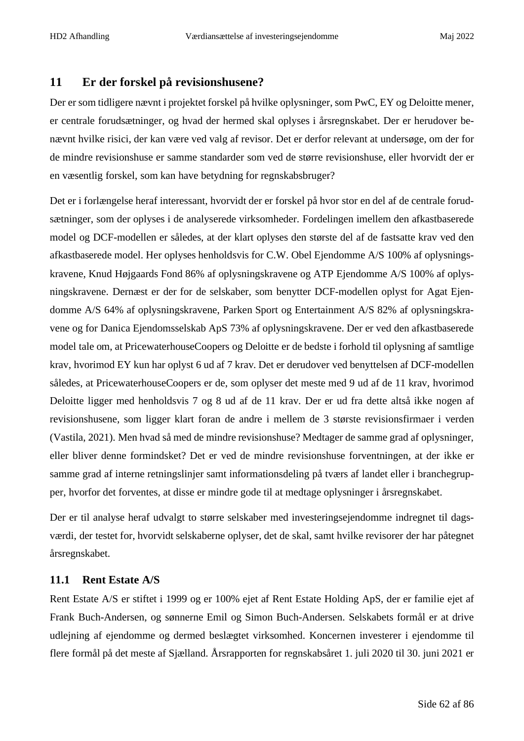## **11 Er der forskel på revisionshusene?**

Der er som tidligere nævnt i projektet forskel på hvilke oplysninger, som PwC, EY og Deloitte mener, er centrale forudsætninger, og hvad der hermed skal oplyses i årsregnskabet. Der er herudover benævnt hvilke risici, der kan være ved valg af revisor. Det er derfor relevant at undersøge, om der for de mindre revisionshuse er samme standarder som ved de større revisionshuse, eller hvorvidt der er en væsentlig forskel, som kan have betydning for regnskabsbruger?

Det er i forlængelse heraf interessant, hvorvidt der er forskel på hvor stor en del af de centrale forudsætninger, som der oplyses i de analyserede virksomheder. Fordelingen imellem den afkastbaserede model og DCF-modellen er således, at der klart oplyses den største del af de fastsatte krav ved den afkastbaserede model. Her oplyses henholdsvis for C.W. Obel Ejendomme A/S 100% af oplysningskravene, Knud Højgaards Fond 86% af oplysningskravene og ATP Ejendomme A/S 100% af oplysningskravene. Dernæst er der for de selskaber, som benytter DCF-modellen oplyst for Agat Ejendomme A/S 64% af oplysningskravene, Parken Sport og Entertainment A/S 82% af oplysningskravene og for Danica Ejendomsselskab ApS 73% af oplysningskravene. Der er ved den afkastbaserede model tale om, at PricewaterhouseCoopers og Deloitte er de bedste i forhold til oplysning af samtlige krav, hvorimod EY kun har oplyst 6 ud af 7 krav. Det er derudover ved benyttelsen af DCF-modellen således, at PricewaterhouseCoopers er de, som oplyser det meste med 9 ud af de 11 krav, hvorimod Deloitte ligger med henholdsvis 7 og 8 ud af de 11 krav. Der er ud fra dette altså ikke nogen af revisionshusene, som ligger klart foran de andre i mellem de 3 største revisionsfirmaer i verden (Vastila, 2021). Men hvad så med de mindre revisionshuse? Medtager de samme grad af oplysninger, eller bliver denne formindsket? Det er ved de mindre revisionshuse forventningen, at der ikke er samme grad af interne retningslinjer samt informationsdeling på tværs af landet eller i branchegrupper, hvorfor det forventes, at disse er mindre gode til at medtage oplysninger i årsregnskabet.

Der er til analyse heraf udvalgt to større selskaber med investeringsejendomme indregnet til dagsværdi, der testet for, hvorvidt selskaberne oplyser, det de skal, samt hvilke revisorer der har påtegnet årsregnskabet.

#### **11.1 Rent Estate A/S**

Rent Estate A/S er stiftet i 1999 og er 100% ejet af Rent Estate Holding ApS, der er familie ejet af Frank Buch-Andersen, og sønnerne Emil og Simon Buch-Andersen. Selskabets formål er at drive udlejning af ejendomme og dermed beslægtet virksomhed. Koncernen investerer i ejendomme til flere formål på det meste af Sjælland. Årsrapporten for regnskabsåret 1. juli 2020 til 30. juni 2021 er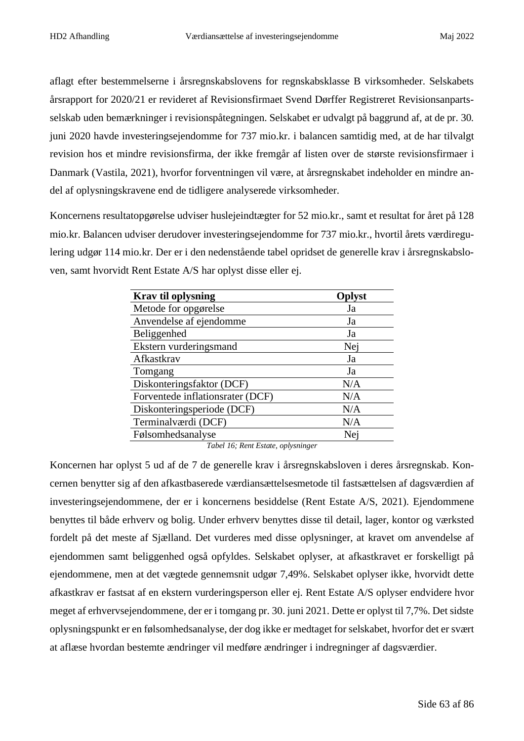aflagt efter bestemmelserne i årsregnskabslovens for regnskabsklasse B virksomheder. Selskabets årsrapport for 2020/21 er revideret af Revisionsfirmaet Svend Dørffer Registreret Revisionsanpartsselskab uden bemærkninger i revisionspåtegningen. Selskabet er udvalgt på baggrund af, at de pr. 30. juni 2020 havde investeringsejendomme for 737 mio.kr. i balancen samtidig med, at de har tilvalgt revision hos et mindre revisionsfirma, der ikke fremgår af listen over de største revisionsfirmaer i Danmark (Vastila, 2021), hvorfor forventningen vil være, at årsregnskabet indeholder en mindre andel af oplysningskravene end de tidligere analyserede virksomheder.

Koncernens resultatopgørelse udviser huslejeindtægter for 52 mio.kr., samt et resultat for året på 128 mio.kr. Balancen udviser derudover investeringsejendomme for 737 mio.kr., hvortil årets værdiregulering udgør 114 mio.kr. Der er i den nedenstående tabel opridset de generelle krav i årsregnskabsloven, samt hvorvidt Rent Estate A/S har oplyst disse eller ej.

| <b>Krav til oplysning</b>        | Oplyst |
|----------------------------------|--------|
| Metode for opgørelse             | Ja     |
| Anvendelse af ejendomme          | Ja     |
| Beliggenhed                      | Ja     |
| Ekstern vurderingsmand           | Nej    |
| Afkastkrav                       | Ja     |
| Tomgang                          | Ja     |
| Diskonteringsfaktor (DCF)        | N/A    |
| Forventede inflationsrater (DCF) | N/A    |
| Diskonteringsperiode (DCF)       | N/A    |
| Terminalværdi (DCF)              | N/A    |
| Følsomhedsanalyse                | Nei    |

*Tabel 16; Rent Estate, oplysninger*

Koncernen har oplyst 5 ud af de 7 de generelle krav i årsregnskabsloven i deres årsregnskab. Koncernen benytter sig af den afkastbaserede værdiansættelsesmetode til fastsættelsen af dagsværdien af investeringsejendommene, der er i koncernens besiddelse (Rent Estate A/S, 2021). Ejendommene benyttes til både erhverv og bolig. Under erhverv benyttes disse til detail, lager, kontor og værksted fordelt på det meste af Sjælland. Det vurderes med disse oplysninger, at kravet om anvendelse af ejendommen samt beliggenhed også opfyldes. Selskabet oplyser, at afkastkravet er forskelligt på ejendommene, men at det vægtede gennemsnit udgør 7,49%. Selskabet oplyser ikke, hvorvidt dette afkastkrav er fastsat af en ekstern vurderingsperson eller ej. Rent Estate A/S oplyser endvidere hvor meget af erhvervsejendommene, der er i tomgang pr. 30. juni 2021. Dette er oplyst til 7,7%. Det sidste oplysningspunkt er en følsomhedsanalyse, der dog ikke er medtaget for selskabet, hvorfor det er svært at aflæse hvordan bestemte ændringer vil medføre ændringer i indregninger af dagsværdier.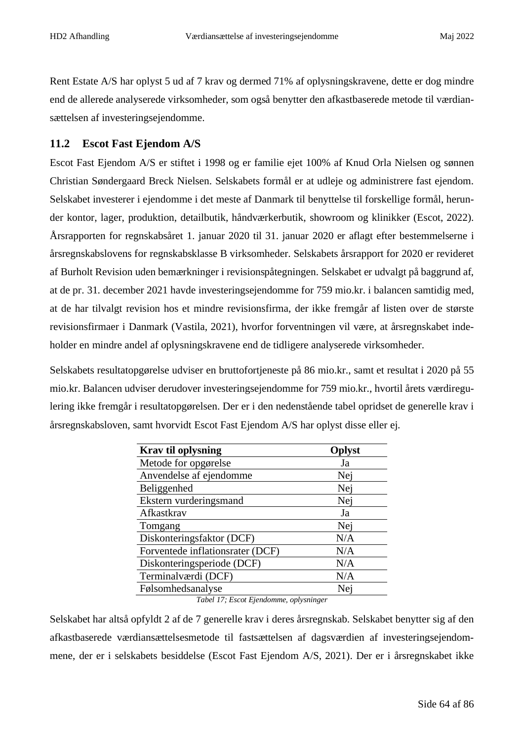Rent Estate A/S har oplyst 5 ud af 7 krav og dermed 71% af oplysningskravene, dette er dog mindre end de allerede analyserede virksomheder, som også benytter den afkastbaserede metode til værdiansættelsen af investeringsejendomme.

## **11.2 Escot Fast Ejendom A/S**

Escot Fast Ejendom A/S er stiftet i 1998 og er familie ejet 100% af Knud Orla Nielsen og sønnen Christian Søndergaard Breck Nielsen. Selskabets formål er at udleje og administrere fast ejendom. Selskabet investerer i ejendomme i det meste af Danmark til benyttelse til forskellige formål, herunder kontor, lager, produktion, detailbutik, håndværkerbutik, showroom og klinikker (Escot, 2022). Årsrapporten for regnskabsåret 1. januar 2020 til 31. januar 2020 er aflagt efter bestemmelserne i årsregnskabslovens for regnskabsklasse B virksomheder. Selskabets årsrapport for 2020 er revideret af Burholt Revision uden bemærkninger i revisionspåtegningen. Selskabet er udvalgt på baggrund af, at de pr. 31. december 2021 havde investeringsejendomme for 759 mio.kr. i balancen samtidig med, at de har tilvalgt revision hos et mindre revisionsfirma, der ikke fremgår af listen over de største revisionsfirmaer i Danmark (Vastila, 2021), hvorfor forventningen vil være, at årsregnskabet indeholder en mindre andel af oplysningskravene end de tidligere analyserede virksomheder.

Selskabets resultatopgørelse udviser en bruttofortjeneste på 86 mio.kr., samt et resultat i 2020 på 55 mio.kr. Balancen udviser derudover investeringsejendomme for 759 mio.kr., hvortil årets værdiregulering ikke fremgår i resultatopgørelsen. Der er i den nedenstående tabel opridset de generelle krav i årsregnskabsloven, samt hvorvidt Escot Fast Ejendom A/S har oplyst disse eller ej.

| <b>Krav til oplysning</b>        | Oplyst |
|----------------------------------|--------|
| Metode for opgørelse             | Ja     |
| Anvendelse af ejendomme          | Nej    |
| Beliggenhed                      | Nej    |
| Ekstern vurderingsmand           | Nej    |
| Afkastkrav                       | Ja     |
| Tomgang                          | Nei    |
| Diskonteringsfaktor (DCF)        | N/A    |
| Forventede inflationsrater (DCF) | N/A    |
| Diskonteringsperiode (DCF)       | N/A    |
| Terminalværdi (DCF)              | N/A    |
| Følsomhedsanalyse                | Nei    |

*Tabel 17; Escot Ejendomme, oplysninger*

Selskabet har altså opfyldt 2 af de 7 generelle krav i deres årsregnskab. Selskabet benytter sig af den afkastbaserede værdiansættelsesmetode til fastsættelsen af dagsværdien af investeringsejendommene, der er i selskabets besiddelse (Escot Fast Ejendom A/S, 2021). Der er i årsregnskabet ikke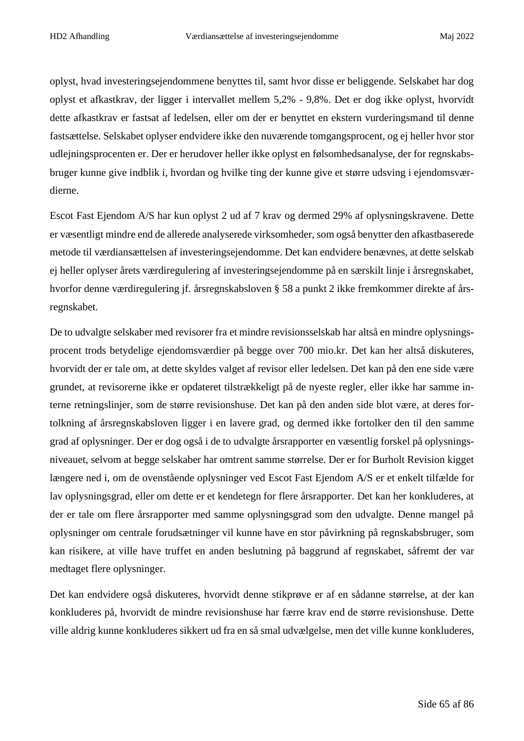oplyst, hvad investeringsejendommene benyttes til, samt hvor disse er beliggende. Selskabet har dog oplyst et afkastkrav, der ligger i intervallet mellem 5,2% - 9,8%. Det er dog ikke oplyst, hvorvidt dette afkastkrav er fastsat af ledelsen, eller om der er benyttet en ekstern vurderingsmand til denne fastsættelse. Selskabet oplyser endvidere ikke den nuværende tomgangsprocent, og ej heller hvor stor udlejningsprocenten er. Der er herudover heller ikke oplyst en følsomhedsanalyse, der for regnskabsbruger kunne give indblik i, hvordan og hvilke ting der kunne give et større udsving i ejendomsværdierne.

Escot Fast Ejendom A/S har kun oplyst 2 ud af 7 krav og dermed 29% af oplysningskravene. Dette er væsentligt mindre end de allerede analyserede virksomheder, som også benytter den afkastbaserede metode til værdiansættelsen af investeringsejendomme. Det kan endvidere benævnes, at dette selskab ej heller oplyser årets værdiregulering af investeringsejendomme på en særskilt linje i årsregnskabet, hvorfor denne værdiregulering jf. årsregnskabsloven § 58 a punkt 2 ikke fremkommer direkte af årsregnskabet.

De to udvalgte selskaber med revisorer fra et mindre revisionsselskab har altså en mindre oplysningsprocent trods betydelige ejendomsværdier på begge over 700 mio.kr. Det kan her altså diskuteres, hvorvidt der er tale om, at dette skyldes valget af revisor eller ledelsen. Det kan på den ene side være grundet, at revisorerne ikke er opdateret tilstrækkeligt på de nyeste regler, eller ikke har samme interne retningslinjer, som de større revisionshuse. Det kan på den anden side blot være, at deres fortolkning af årsregnskabsloven ligger i en lavere grad, og dermed ikke fortolker den til den samme grad af oplysninger. Der er dog også i de to udvalgte årsrapporter en væsentlig forskel på oplysningsniveauet, selvom at begge selskaber har omtrent samme størrelse. Der er for Burholt Revision kigget længere ned i, om de ovenstående oplysninger ved Escot Fast Ejendom A/S er et enkelt tilfælde for lav oplysningsgrad, eller om dette er et kendetegn for flere årsrapporter. Det kan her konkluderes, at der er tale om flere årsrapporter med samme oplysningsgrad som den udvalgte. Denne mangel på oplysninger om centrale forudsætninger vil kunne have en stor påvirkning på regnskabsbruger, som kan risikere, at ville have truffet en anden beslutning på baggrund af regnskabet, såfremt der var medtaget flere oplysninger.

Det kan endvidere også diskuteres, hvorvidt denne stikprøve er af en sådanne størrelse, at der kan konkluderes på, hvorvidt de mindre revisionshuse har færre krav end de større revisionshuse. Dette ville aldrig kunne konkluderes sikkert ud fra en så smal udvælgelse, men det ville kunne konkluderes,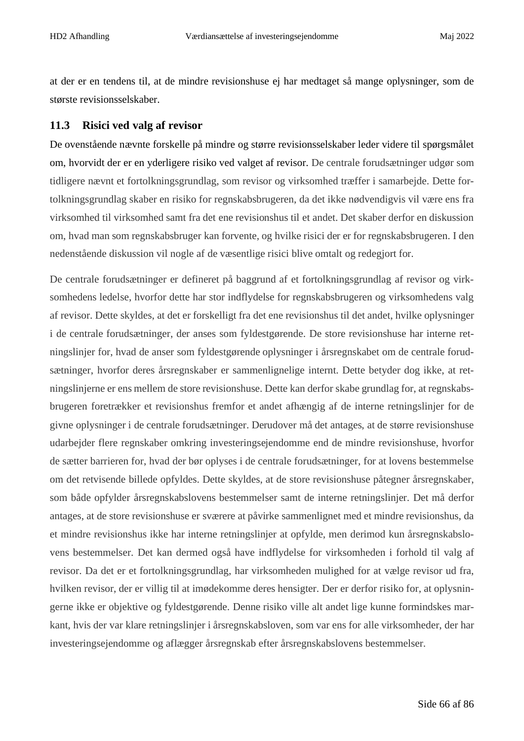at der er en tendens til, at de mindre revisionshuse ej har medtaget så mange oplysninger, som de største revisionsselskaber.

## **11.3 Risici ved valg af revisor**

De ovenstående nævnte forskelle på mindre og større revisionsselskaber leder videre til spørgsmålet om, hvorvidt der er en yderligere risiko ved valget af revisor. De centrale forudsætninger udgør som tidligere nævnt et fortolkningsgrundlag, som revisor og virksomhed træffer i samarbejde. Dette fortolkningsgrundlag skaber en risiko for regnskabsbrugeren, da det ikke nødvendigvis vil være ens fra virksomhed til virksomhed samt fra det ene revisionshus til et andet. Det skaber derfor en diskussion om, hvad man som regnskabsbruger kan forvente, og hvilke risici der er for regnskabsbrugeren. I den nedenstående diskussion vil nogle af de væsentlige risici blive omtalt og redegjort for.

De centrale forudsætninger er defineret på baggrund af et fortolkningsgrundlag af revisor og virksomhedens ledelse, hvorfor dette har stor indflydelse for regnskabsbrugeren og virksomhedens valg af revisor. Dette skyldes, at det er forskelligt fra det ene revisionshus til det andet, hvilke oplysninger i de centrale forudsætninger, der anses som fyldestgørende. De store revisionshuse har interne retningslinjer for, hvad de anser som fyldestgørende oplysninger i årsregnskabet om de centrale forudsætninger, hvorfor deres årsregnskaber er sammenlignelige internt. Dette betyder dog ikke, at retningslinjerne er ens mellem de store revisionshuse. Dette kan derfor skabe grundlag for, at regnskabsbrugeren foretrækker et revisionshus fremfor et andet afhængig af de interne retningslinjer for de givne oplysninger i de centrale forudsætninger. Derudover må det antages, at de større revisionshuse udarbejder flere regnskaber omkring investeringsejendomme end de mindre revisionshuse, hvorfor de sætter barrieren for, hvad der bør oplyses i de centrale forudsætninger, for at lovens bestemmelse om det retvisende billede opfyldes. Dette skyldes, at de store revisionshuse påtegner årsregnskaber, som både opfylder årsregnskabslovens bestemmelser samt de interne retningslinjer. Det må derfor antages, at de store revisionshuse er sværere at påvirke sammenlignet med et mindre revisionshus, da et mindre revisionshus ikke har interne retningslinjer at opfylde, men derimod kun årsregnskabslovens bestemmelser. Det kan dermed også have indflydelse for virksomheden i forhold til valg af revisor. Da det er et fortolkningsgrundlag, har virksomheden mulighed for at vælge revisor ud fra, hvilken revisor, der er villig til at imødekomme deres hensigter. Der er derfor risiko for, at oplysningerne ikke er objektive og fyldestgørende. Denne risiko ville alt andet lige kunne formindskes markant, hvis der var klare retningslinjer i årsregnskabsloven, som var ens for alle virksomheder, der har investeringsejendomme og aflægger årsregnskab efter årsregnskabslovens bestemmelser.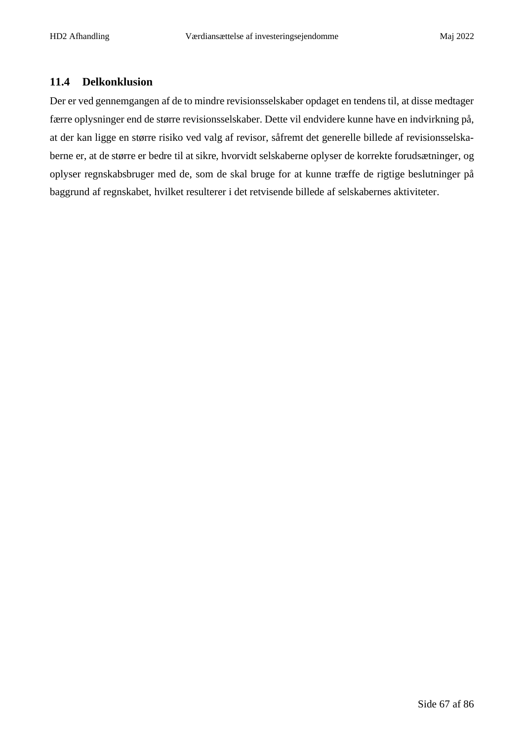# **11.4 Delkonklusion**

Der er ved gennemgangen af de to mindre revisionsselskaber opdaget en tendens til, at disse medtager færre oplysninger end de større revisionsselskaber. Dette vil endvidere kunne have en indvirkning på, at der kan ligge en større risiko ved valg af revisor, såfremt det generelle billede af revisionsselskaberne er, at de større er bedre til at sikre, hvorvidt selskaberne oplyser de korrekte forudsætninger, og oplyser regnskabsbruger med de, som de skal bruge for at kunne træffe de rigtige beslutninger på baggrund af regnskabet, hvilket resulterer i det retvisende billede af selskabernes aktiviteter.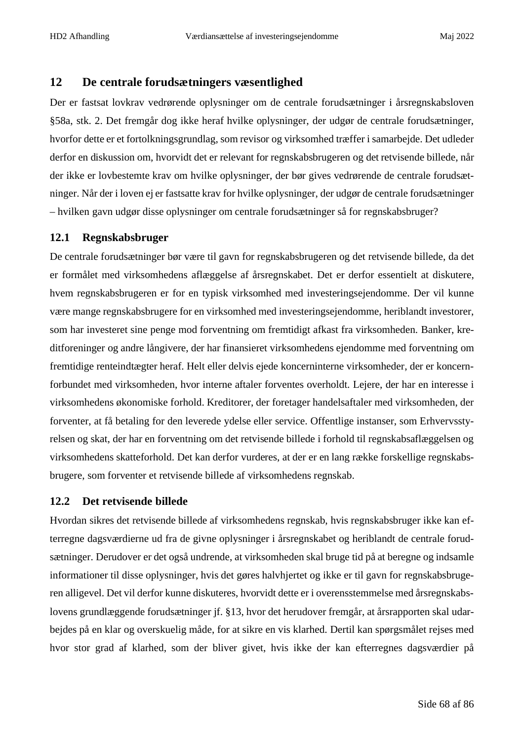# **12 De centrale forudsætningers væsentlighed**

Der er fastsat lovkrav vedrørende oplysninger om de centrale forudsætninger i årsregnskabsloven §58a, stk. 2. Det fremgår dog ikke heraf hvilke oplysninger, der udgør de centrale forudsætninger, hvorfor dette er et fortolkningsgrundlag, som revisor og virksomhed træffer i samarbejde. Det udleder derfor en diskussion om, hvorvidt det er relevant for regnskabsbrugeren og det retvisende billede, når der ikke er lovbestemte krav om hvilke oplysninger, der bør gives vedrørende de centrale forudsætninger. Når der i loven ej er fastsatte krav for hvilke oplysninger, der udgør de centrale forudsætninger – hvilken gavn udgør disse oplysninger om centrale forudsætninger så for regnskabsbruger?

## **12.1 Regnskabsbruger**

De centrale forudsætninger bør være til gavn for regnskabsbrugeren og det retvisende billede, da det er formålet med virksomhedens aflæggelse af årsregnskabet. Det er derfor essentielt at diskutere, hvem regnskabsbrugeren er for en typisk virksomhed med investeringsejendomme. Der vil kunne være mange regnskabsbrugere for en virksomhed med investeringsejendomme, heriblandt investorer, som har investeret sine penge mod forventning om fremtidigt afkast fra virksomheden. Banker, kreditforeninger og andre långivere, der har finansieret virksomhedens ejendomme med forventning om fremtidige renteindtægter heraf. Helt eller delvis ejede koncerninterne virksomheder, der er koncernforbundet med virksomheden, hvor interne aftaler forventes overholdt. Lejere, der har en interesse i virksomhedens økonomiske forhold. Kreditorer, der foretager handelsaftaler med virksomheden, der forventer, at få betaling for den leverede ydelse eller service. Offentlige instanser, som Erhvervsstyrelsen og skat, der har en forventning om det retvisende billede i forhold til regnskabsaflæggelsen og virksomhedens skatteforhold. Det kan derfor vurderes, at der er en lang række forskellige regnskabsbrugere, som forventer et retvisende billede af virksomhedens regnskab.

## **12.2 Det retvisende billede**

Hvordan sikres det retvisende billede af virksomhedens regnskab, hvis regnskabsbruger ikke kan efterregne dagsværdierne ud fra de givne oplysninger i årsregnskabet og heriblandt de centrale forudsætninger. Derudover er det også undrende, at virksomheden skal bruge tid på at beregne og indsamle informationer til disse oplysninger, hvis det gøres halvhjertet og ikke er til gavn for regnskabsbrugeren alligevel. Det vil derfor kunne diskuteres, hvorvidt dette er i overensstemmelse med årsregnskabslovens grundlæggende forudsætninger jf. §13, hvor det herudover fremgår, at årsrapporten skal udarbejdes på en klar og overskuelig måde, for at sikre en vis klarhed. Dertil kan spørgsmålet rejses med hvor stor grad af klarhed, som der bliver givet, hvis ikke der kan efterregnes dagsværdier på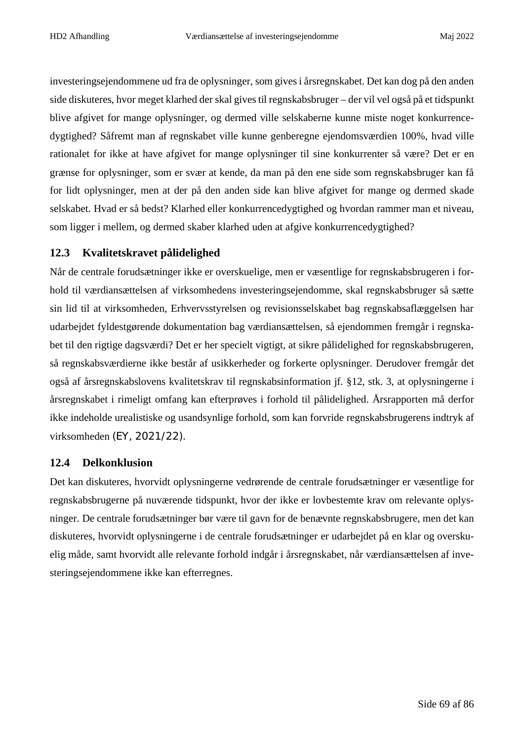investeringsejendommene ud fra de oplysninger, som gives i årsregnskabet. Det kan dog på den anden side diskuteres, hvor meget klarhed der skal gives til regnskabsbruger – der vil vel også på et tidspunkt blive afgivet for mange oplysninger, og dermed ville selskaberne kunne miste noget konkurrencedygtighed? Såfremt man af regnskabet ville kunne genberegne ejendomsværdien 100%, hvad ville rationalet for ikke at have afgivet for mange oplysninger til sine konkurrenter så være? Det er en grænse for oplysninger, som er svær at kende, da man på den ene side som regnskabsbruger kan få for lidt oplysninger, men at der på den anden side kan blive afgivet for mange og dermed skade selskabet. Hvad er så bedst? Klarhed eller konkurrencedygtighed og hvordan rammer man et niveau, som ligger i mellem, og dermed skaber klarhed uden at afgive konkurrencedygtighed?

## **12.3 Kvalitetskravet pålidelighed**

Når de centrale forudsætninger ikke er overskuelige, men er væsentlige for regnskabsbrugeren i forhold til værdiansættelsen af virksomhedens investeringsejendomme, skal regnskabsbruger så sætte sin lid til at virksomheden, Erhvervsstyrelsen og revisionsselskabet bag regnskabsaflæggelsen har udarbejdet fyldestgørende dokumentation bag værdiansættelsen, så ejendommen fremgår i regnskabet til den rigtige dagsværdi? Det er her specielt vigtigt, at sikre pålidelighed for regnskabsbrugeren, så regnskabsværdierne ikke består af usikkerheder og forkerte oplysninger. Derudover fremgår det også af årsregnskabslovens kvalitetskrav til regnskabsinformation jf. §12, stk. 3, at oplysningerne i årsregnskabet i rimeligt omfang kan efterprøves i forhold til pålidelighed. Årsrapporten må derfor ikke indeholde urealistiske og usandsynlige forhold, som kan forvride regnskabsbrugerens indtryk af virksomheden (EY, 2021/22).

## **12.4 Delkonklusion**

Det kan diskuteres, hvorvidt oplysningerne vedrørende de centrale forudsætninger er væsentlige for regnskabsbrugerne på nuværende tidspunkt, hvor der ikke er lovbestemte krav om relevante oplysninger. De centrale forudsætninger bør være til gavn for de benævnte regnskabsbrugere, men det kan diskuteres, hvorvidt oplysningerne i de centrale forudsætninger er udarbejdet på en klar og overskuelig måde, samt hvorvidt alle relevante forhold indgår i årsregnskabet, når værdiansættelsen af investeringsejendommene ikke kan efterregnes.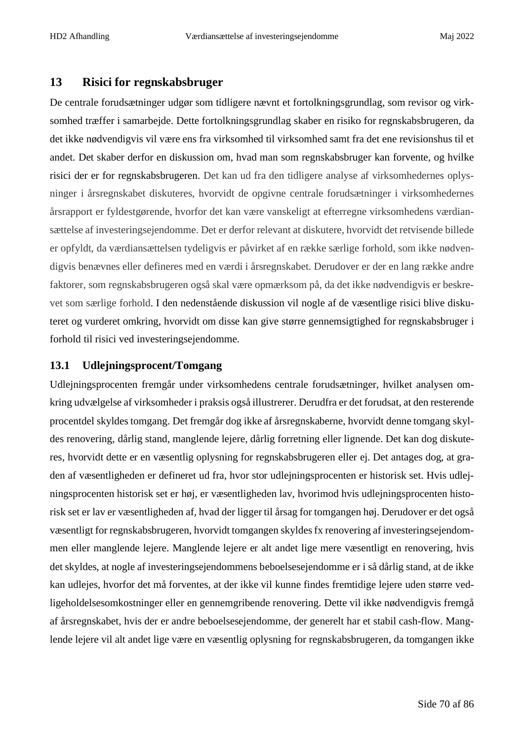## **13 Risici for regnskabsbruger**

De centrale forudsætninger udgør som tidligere nævnt et fortolkningsgrundlag, som revisor og virksomhed træffer i samarbejde. Dette fortolkningsgrundlag skaber en risiko for regnskabsbrugeren, da det ikke nødvendigvis vil være ens fra virksomhed til virksomhed samt fra det ene revisionshus til et andet. Det skaber derfor en diskussion om, hvad man som regnskabsbruger kan forvente, og hvilke risici der er for regnskabsbrugeren. Det kan ud fra den tidligere analyse af virksomhedernes oplysninger i årsregnskabet diskuteres, hvorvidt de opgivne centrale forudsætninger i virksomhedernes årsrapport er fyldestgørende, hvorfor det kan være vanskeligt at efterregne virksomhedens værdiansættelse af investeringsejendomme. Det er derfor relevant at diskutere, hvorvidt det retvisende billede er opfyldt, da værdiansættelsen tydeligvis er påvirket af en række særlige forhold, som ikke nødvendigvis benævnes eller defineres med en værdi i årsregnskabet. Derudover er der en lang række andre faktorer, som regnskabsbrugeren også skal være opmærksom på, da det ikke nødvendigvis er beskrevet som særlige forhold. I den nedenstående diskussion vil nogle af de væsentlige risici blive diskuteret og vurderet omkring, hvorvidt om disse kan give større gennemsigtighed for regnskabsbruger i forhold til risici ved investeringsejendomme.

#### **13.1 Udlejningsprocent/Tomgang**

Udlejningsprocenten fremgår under virksomhedens centrale forudsætninger, hvilket analysen omkring udvælgelse af virksomheder i praksis også illustrerer. Derudfra er det forudsat, at den resterende procentdel skyldes tomgang. Det fremgår dog ikke af årsregnskaberne, hvorvidt denne tomgang skyldes renovering, dårlig stand, manglende lejere, dårlig forretning eller lignende. Det kan dog diskuteres, hvorvidt dette er en væsentlig oplysning for regnskabsbrugeren eller ej. Det antages dog, at graden af væsentligheden er defineret ud fra, hvor stor udlejningsprocenten er historisk set. Hvis udlejningsprocenten historisk set er høj, er væsentligheden lav, hvorimod hvis udlejningsprocenten historisk set er lav er væsentligheden af, hvad der ligger til årsag for tomgangen høj. Derudover er det også væsentligt for regnskabsbrugeren, hvorvidt tomgangen skyldes fx renovering af investeringsejendommen eller manglende lejere. Manglende lejere er alt andet lige mere væsentligt en renovering, hvis det skyldes, at nogle af investeringsejendommens beboelsesejendomme er i så dårlig stand, at de ikke kan udlejes, hvorfor det må forventes, at der ikke vil kunne findes fremtidige lejere uden større vedligeholdelsesomkostninger eller en gennemgribende renovering. Dette vil ikke nødvendigvis fremgå af årsregnskabet, hvis der er andre beboelsesejendomme, der generelt har et stabil cash-flow. Manglende lejere vil alt andet lige være en væsentlig oplysning for regnskabsbrugeren, da tomgangen ikke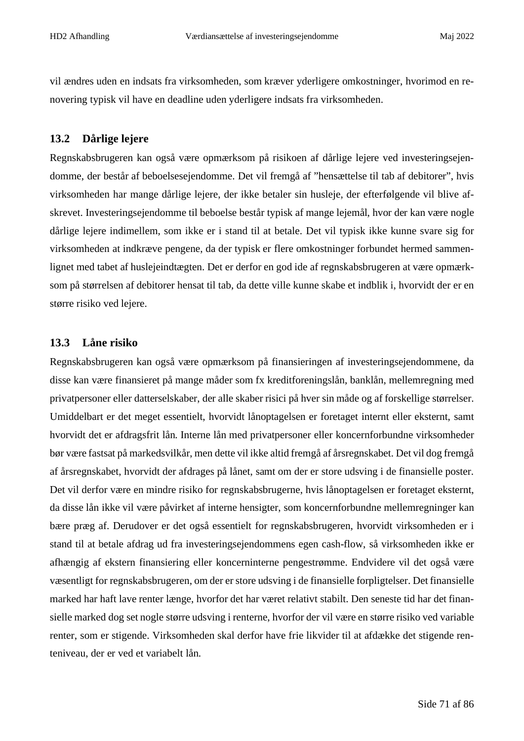vil ændres uden en indsats fra virksomheden, som kræver yderligere omkostninger, hvorimod en renovering typisk vil have en deadline uden yderligere indsats fra virksomheden.

# **13.2 Dårlige lejere**

Regnskabsbrugeren kan også være opmærksom på risikoen af dårlige lejere ved investeringsejendomme, der består af beboelsesejendomme. Det vil fremgå af "hensættelse til tab af debitorer", hvis virksomheden har mange dårlige lejere, der ikke betaler sin husleje, der efterfølgende vil blive afskrevet. Investeringsejendomme til beboelse består typisk af mange lejemål, hvor der kan være nogle dårlige lejere indimellem, som ikke er i stand til at betale. Det vil typisk ikke kunne svare sig for virksomheden at indkræve pengene, da der typisk er flere omkostninger forbundet hermed sammenlignet med tabet af huslejeindtægten. Det er derfor en god ide af regnskabsbrugeren at være opmærksom på størrelsen af debitorer hensat til tab, da dette ville kunne skabe et indblik i, hvorvidt der er en større risiko ved lejere.

## **13.3 Låne risiko**

Regnskabsbrugeren kan også være opmærksom på finansieringen af investeringsejendommene, da disse kan være finansieret på mange måder som fx kreditforeningslån, banklån, mellemregning med privatpersoner eller datterselskaber, der alle skaber risici på hver sin måde og af forskellige størrelser. Umiddelbart er det meget essentielt, hvorvidt lånoptagelsen er foretaget internt eller eksternt, samt hvorvidt det er afdragsfrit lån. Interne lån med privatpersoner eller koncernforbundne virksomheder bør være fastsat på markedsvilkår, men dette vil ikke altid fremgå af årsregnskabet. Det vil dog fremgå af årsregnskabet, hvorvidt der afdrages på lånet, samt om der er store udsving i de finansielle poster. Det vil derfor være en mindre risiko for regnskabsbrugerne, hvis lånoptagelsen er foretaget eksternt, da disse lån ikke vil være påvirket af interne hensigter, som koncernforbundne mellemregninger kan bære præg af. Derudover er det også essentielt for regnskabsbrugeren, hvorvidt virksomheden er i stand til at betale afdrag ud fra investeringsejendommens egen cash-flow, så virksomheden ikke er afhængig af ekstern finansiering eller koncerninterne pengestrømme. Endvidere vil det også være væsentligt for regnskabsbrugeren, om der er store udsving i de finansielle forpligtelser. Det finansielle marked har haft lave renter længe, hvorfor det har været relativt stabilt. Den seneste tid har det finansielle marked dog set nogle større udsving i renterne, hvorfor der vil være en større risiko ved variable renter, som er stigende. Virksomheden skal derfor have frie likvider til at afdække det stigende renteniveau, der er ved et variabelt lån.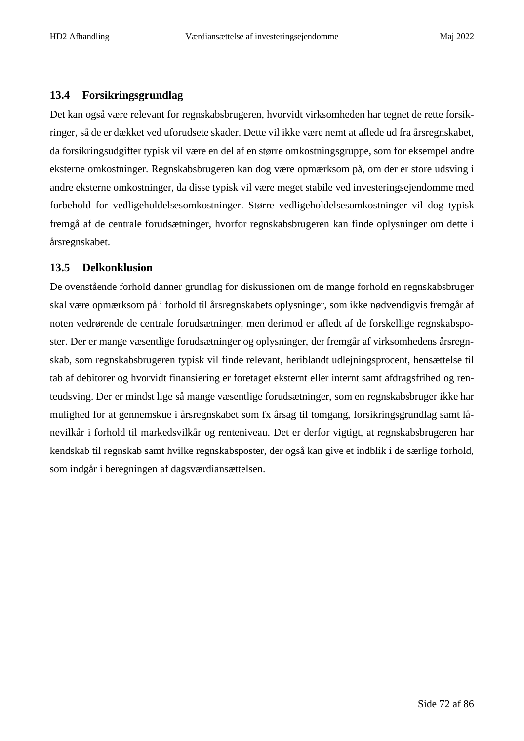#### **13.4 Forsikringsgrundlag**

Det kan også være relevant for regnskabsbrugeren, hvorvidt virksomheden har tegnet de rette forsikringer, så de er dækket ved uforudsete skader. Dette vil ikke være nemt at aflede ud fra årsregnskabet, da forsikringsudgifter typisk vil være en del af en større omkostningsgruppe, som for eksempel andre eksterne omkostninger. Regnskabsbrugeren kan dog være opmærksom på, om der er store udsving i andre eksterne omkostninger, da disse typisk vil være meget stabile ved investeringsejendomme med forbehold for vedligeholdelsesomkostninger. Større vedligeholdelsesomkostninger vil dog typisk fremgå af de centrale forudsætninger, hvorfor regnskabsbrugeren kan finde oplysninger om dette i årsregnskabet.

#### **13.5 Delkonklusion**

De ovenstående forhold danner grundlag for diskussionen om de mange forhold en regnskabsbruger skal være opmærksom på i forhold til årsregnskabets oplysninger, som ikke nødvendigvis fremgår af noten vedrørende de centrale forudsætninger, men derimod er afledt af de forskellige regnskabsposter. Der er mange væsentlige forudsætninger og oplysninger, der fremgår af virksomhedens årsregnskab, som regnskabsbrugeren typisk vil finde relevant, heriblandt udlejningsprocent, hensættelse til tab af debitorer og hvorvidt finansiering er foretaget eksternt eller internt samt afdragsfrihed og renteudsving. Der er mindst lige så mange væsentlige forudsætninger, som en regnskabsbruger ikke har mulighed for at gennemskue i årsregnskabet som fx årsag til tomgang, forsikringsgrundlag samt lånevilkår i forhold til markedsvilkår og renteniveau. Det er derfor vigtigt, at regnskabsbrugeren har kendskab til regnskab samt hvilke regnskabsposter, der også kan give et indblik i de særlige forhold, som indgår i beregningen af dagsværdiansættelsen.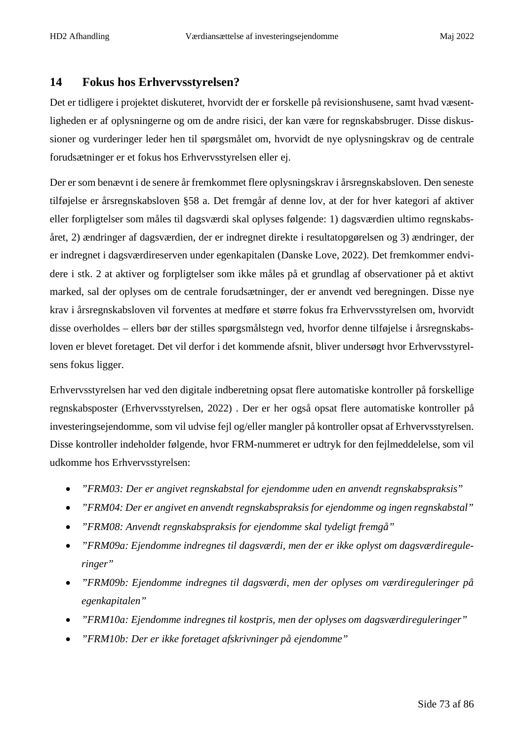### **14 Fokus hos Erhvervsstyrelsen?**

Det er tidligere i projektet diskuteret, hvorvidt der er forskelle på revisionshusene, samt hvad væsentligheden er af oplysningerne og om de andre risici, der kan være for regnskabsbruger. Disse diskussioner og vurderinger leder hen til spørgsmålet om, hvorvidt de nye oplysningskrav og de centrale forudsætninger er et fokus hos Erhvervsstyrelsen eller ej.

Der er som benævnt i de senere år fremkommet flere oplysningskrav i årsregnskabsloven. Den seneste tilføjelse er årsregnskabsloven §58 a. Det fremgår af denne lov, at der for hver kategori af aktiver eller forpligtelser som måles til dagsværdi skal oplyses følgende: 1) dagsværdien ultimo regnskabsåret, 2) ændringer af dagsværdien, der er indregnet direkte i resultatopgørelsen og 3) ændringer, der er indregnet i dagsværdireserven under egenkapitalen (Danske Love, 2022). Det fremkommer endvidere i stk. 2 at aktiver og forpligtelser som ikke måles på et grundlag af observationer på et aktivt marked, sal der oplyses om de centrale forudsætninger, der er anvendt ved beregningen. Disse nye krav i årsregnskabsloven vil forventes at medføre et større fokus fra Erhvervsstyrelsen om, hvorvidt disse overholdes – ellers bør der stilles spørgsmålstegn ved, hvorfor denne tilføjelse i årsregnskabsloven er blevet foretaget. Det vil derfor i det kommende afsnit, bliver undersøgt hvor Erhvervsstyrelsens fokus ligger.

Erhvervsstyrelsen har ved den digitale indberetning opsat flere automatiske kontroller på forskellige regnskabsposter (Erhvervsstyrelsen, 2022) . Der er her også opsat flere automatiske kontroller på investeringsejendomme, som vil udvise fejl og/eller mangler på kontroller opsat af Erhvervsstyrelsen. Disse kontroller indeholder følgende, hvor FRM-nummeret er udtryk for den fejlmeddelelse, som vil udkomme hos Erhvervsstyrelsen:

- *"FRM03: Der er angivet regnskabstal for ejendomme uden en anvendt regnskabspraksis"*
- *"FRM04: Der er angivet en anvendt regnskabspraksis for ejendomme og ingen regnskabstal"*
- *"FRM08: Anvendt regnskabspraksis for ejendomme skal tydeligt fremgå"*
- *"FRM09a: Ejendomme indregnes til dagsværdi, men der er ikke oplyst om dagsværdireguleringer"*
- *"FRM09b: Ejendomme indregnes til dagsværdi, men der oplyses om værdireguleringer på egenkapitalen"*
- *"FRM10a: Ejendomme indregnes til kostpris, men der oplyses om dagsværdireguleringer"*
- *"FRM10b: Der er ikke foretaget afskrivninger på ejendomme"*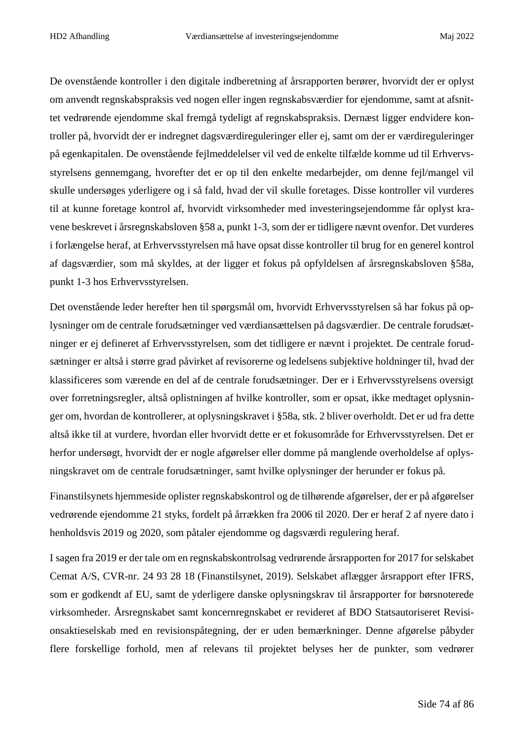De ovenstående kontroller i den digitale indberetning af årsrapporten berører, hvorvidt der er oplyst om anvendt regnskabspraksis ved nogen eller ingen regnskabsværdier for ejendomme, samt at afsnittet vedrørende ejendomme skal fremgå tydeligt af regnskabspraksis. Dernæst ligger endvidere kontroller på, hvorvidt der er indregnet dagsværdireguleringer eller ej, samt om der er værdireguleringer på egenkapitalen. De ovenstående fejlmeddelelser vil ved de enkelte tilfælde komme ud til Erhvervsstyrelsens gennemgang, hvorefter det er op til den enkelte medarbejder, om denne fejl/mangel vil skulle undersøges yderligere og i så fald, hvad der vil skulle foretages. Disse kontroller vil vurderes til at kunne foretage kontrol af, hvorvidt virksomheder med investeringsejendomme får oplyst kravene beskrevet i årsregnskabsloven §58 a, punkt 1-3, som der er tidligere nævnt ovenfor. Det vurderes i forlængelse heraf, at Erhvervsstyrelsen må have opsat disse kontroller til brug for en generel kontrol af dagsværdier, som må skyldes, at der ligger et fokus på opfyldelsen af årsregnskabsloven §58a, punkt 1-3 hos Erhvervsstyrelsen.

Det ovenstående leder herefter hen til spørgsmål om, hvorvidt Erhvervsstyrelsen så har fokus på oplysninger om de centrale forudsætninger ved værdiansættelsen på dagsværdier. De centrale forudsætninger er ej defineret af Erhvervsstyrelsen, som det tidligere er nævnt i projektet. De centrale forudsætninger er altså i større grad påvirket af revisorerne og ledelsens subjektive holdninger til, hvad der klassificeres som værende en del af de centrale forudsætninger. Der er i Erhvervsstyrelsens oversigt over forretningsregler, altså oplistningen af hvilke kontroller, som er opsat, ikke medtaget oplysninger om, hvordan de kontrollerer, at oplysningskravet i §58a, stk. 2 bliver overholdt. Det er ud fra dette altså ikke til at vurdere, hvordan eller hvorvidt dette er et fokusområde for Erhvervsstyrelsen. Det er herfor undersøgt, hvorvidt der er nogle afgørelser eller domme på manglende overholdelse af oplysningskravet om de centrale forudsætninger, samt hvilke oplysninger der herunder er fokus på.

Finanstilsynets hjemmeside oplister regnskabskontrol og de tilhørende afgørelser, der er på afgørelser vedrørende ejendomme 21 styks, fordelt på årrækken fra 2006 til 2020. Der er heraf 2 af nyere dato i henholdsvis 2019 og 2020, som påtaler ejendomme og dagsværdi regulering heraf.

I sagen fra 2019 er der tale om en regnskabskontrolsag vedrørende årsrapporten for 2017 for selskabet Cemat A/S, CVR-nr. 24 93 28 18 (Finanstilsynet, 2019). Selskabet aflægger årsrapport efter IFRS, som er godkendt af EU, samt de yderligere danske oplysningskrav til årsrapporter for børsnoterede virksomheder. Årsregnskabet samt koncernregnskabet er revideret af BDO Statsautoriseret Revisionsaktieselskab med en revisionspåtegning, der er uden bemærkninger. Denne afgørelse påbyder flere forskellige forhold, men af relevans til projektet belyses her de punkter, som vedrører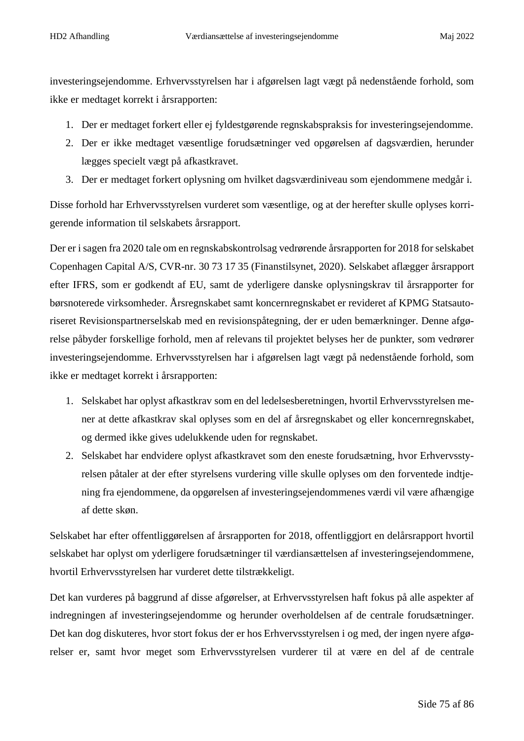investeringsejendomme. Erhvervsstyrelsen har i afgørelsen lagt vægt på nedenstående forhold, som ikke er medtaget korrekt i årsrapporten:

- 1. Der er medtaget forkert eller ej fyldestgørende regnskabspraksis for investeringsejendomme.
- 2. Der er ikke medtaget væsentlige forudsætninger ved opgørelsen af dagsværdien, herunder lægges specielt vægt på afkastkravet.
- 3. Der er medtaget forkert oplysning om hvilket dagsværdiniveau som ejendommene medgår i.

Disse forhold har Erhvervsstyrelsen vurderet som væsentlige, og at der herefter skulle oplyses korrigerende information til selskabets årsrapport.

Der er i sagen fra 2020 tale om en regnskabskontrolsag vedrørende årsrapporten for 2018 for selskabet Copenhagen Capital A/S, CVR-nr. 30 73 17 35 (Finanstilsynet, 2020). Selskabet aflægger årsrapport efter IFRS, som er godkendt af EU, samt de yderligere danske oplysningskrav til årsrapporter for børsnoterede virksomheder. Årsregnskabet samt koncernregnskabet er revideret af KPMG Statsautoriseret Revisionspartnerselskab med en revisionspåtegning, der er uden bemærkninger. Denne afgørelse påbyder forskellige forhold, men af relevans til projektet belyses her de punkter, som vedrører investeringsejendomme. Erhvervsstyrelsen har i afgørelsen lagt vægt på nedenstående forhold, som ikke er medtaget korrekt i årsrapporten:

- 1. Selskabet har oplyst afkastkrav som en del ledelsesberetningen, hvortil Erhvervsstyrelsen mener at dette afkastkrav skal oplyses som en del af årsregnskabet og eller koncernregnskabet, og dermed ikke gives udelukkende uden for regnskabet.
- 2. Selskabet har endvidere oplyst afkastkravet som den eneste forudsætning, hvor Erhvervsstyrelsen påtaler at der efter styrelsens vurdering ville skulle oplyses om den forventede indtjening fra ejendommene, da opgørelsen af investeringsejendommenes værdi vil være afhængige af dette skøn.

Selskabet har efter offentliggørelsen af årsrapporten for 2018, offentliggjort en delårsrapport hvortil selskabet har oplyst om yderligere forudsætninger til værdiansættelsen af investeringsejendommene, hvortil Erhvervsstyrelsen har vurderet dette tilstrækkeligt.

Det kan vurderes på baggrund af disse afgørelser, at Erhvervsstyrelsen haft fokus på alle aspekter af indregningen af investeringsejendomme og herunder overholdelsen af de centrale forudsætninger. Det kan dog diskuteres, hvor stort fokus der er hos Erhvervsstyrelsen i og med, der ingen nyere afgørelser er, samt hvor meget som Erhvervsstyrelsen vurderer til at være en del af de centrale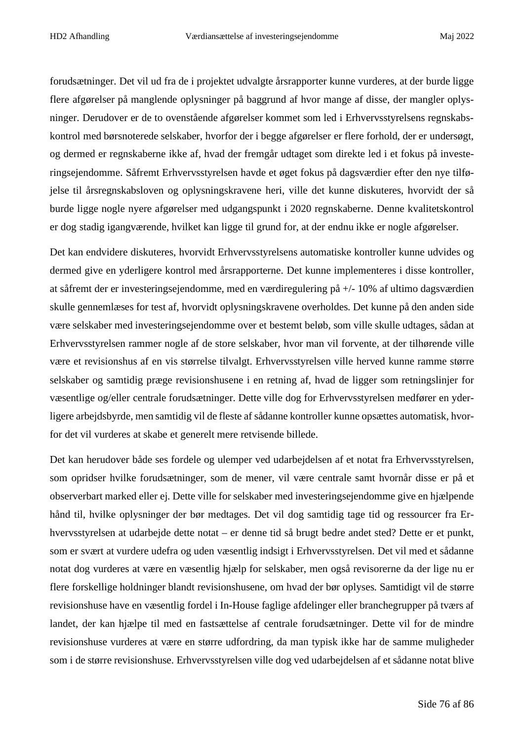forudsætninger. Det vil ud fra de i projektet udvalgte årsrapporter kunne vurderes, at der burde ligge flere afgørelser på manglende oplysninger på baggrund af hvor mange af disse, der mangler oplysninger. Derudover er de to ovenstående afgørelser kommet som led i Erhvervsstyrelsens regnskabskontrol med børsnoterede selskaber, hvorfor der i begge afgørelser er flere forhold, der er undersøgt, og dermed er regnskaberne ikke af, hvad der fremgår udtaget som direkte led i et fokus på investeringsejendomme. Såfremt Erhvervsstyrelsen havde et øget fokus på dagsværdier efter den nye tilføjelse til årsregnskabsloven og oplysningskravene heri, ville det kunne diskuteres, hvorvidt der så burde ligge nogle nyere afgørelser med udgangspunkt i 2020 regnskaberne. Denne kvalitetskontrol er dog stadig igangværende, hvilket kan ligge til grund for, at der endnu ikke er nogle afgørelser.

Det kan endvidere diskuteres, hvorvidt Erhvervsstyrelsens automatiske kontroller kunne udvides og dermed give en yderligere kontrol med årsrapporterne. Det kunne implementeres i disse kontroller, at såfremt der er investeringsejendomme, med en værdiregulering på +/- 10% af ultimo dagsværdien skulle gennemlæses for test af, hvorvidt oplysningskravene overholdes. Det kunne på den anden side være selskaber med investeringsejendomme over et bestemt beløb, som ville skulle udtages, sådan at Erhvervsstyrelsen rammer nogle af de store selskaber, hvor man vil forvente, at der tilhørende ville være et revisionshus af en vis størrelse tilvalgt. Erhvervsstyrelsen ville herved kunne ramme større selskaber og samtidig præge revisionshusene i en retning af, hvad de ligger som retningslinjer for væsentlige og/eller centrale forudsætninger. Dette ville dog for Erhvervsstyrelsen medfører en yderligere arbejdsbyrde, men samtidig vil de fleste af sådanne kontroller kunne opsættes automatisk, hvorfor det vil vurderes at skabe et generelt mere retvisende billede.

Det kan herudover både ses fordele og ulemper ved udarbejdelsen af et notat fra Erhvervsstyrelsen, som opridser hvilke forudsætninger, som de mener, vil være centrale samt hvornår disse er på et observerbart marked eller ej. Dette ville for selskaber med investeringsejendomme give en hjælpende hånd til, hvilke oplysninger der bør medtages. Det vil dog samtidig tage tid og ressourcer fra Erhvervsstyrelsen at udarbejde dette notat – er denne tid så brugt bedre andet sted? Dette er et punkt, som er svært at vurdere udefra og uden væsentlig indsigt i Erhvervsstyrelsen. Det vil med et sådanne notat dog vurderes at være en væsentlig hjælp for selskaber, men også revisorerne da der lige nu er flere forskellige holdninger blandt revisionshusene, om hvad der bør oplyses. Samtidigt vil de større revisionshuse have en væsentlig fordel i In-House faglige afdelinger eller branchegrupper på tværs af landet, der kan hjælpe til med en fastsættelse af centrale forudsætninger. Dette vil for de mindre revisionshuse vurderes at være en større udfordring, da man typisk ikke har de samme muligheder som i de større revisionshuse. Erhvervsstyrelsen ville dog ved udarbejdelsen af et sådanne notat blive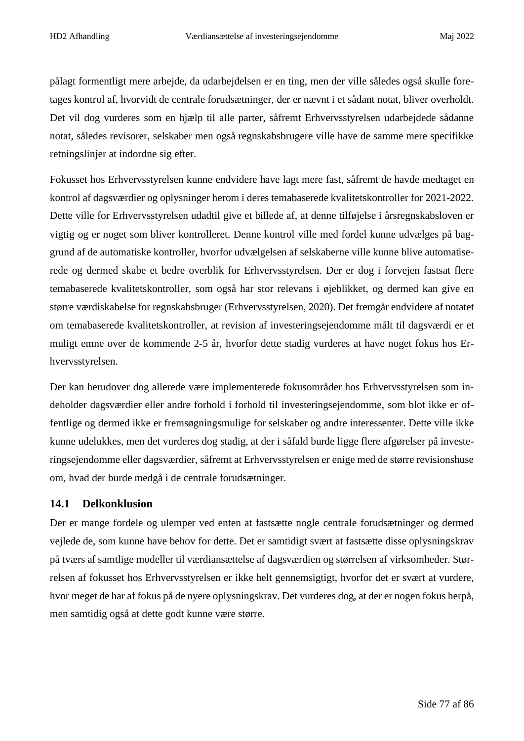pålagt formentligt mere arbejde, da udarbejdelsen er en ting, men der ville således også skulle foretages kontrol af, hvorvidt de centrale forudsætninger, der er nævnt i et sådant notat, bliver overholdt. Det vil dog vurderes som en hjælp til alle parter, såfremt Erhvervsstyrelsen udarbejdede sådanne notat, således revisorer, selskaber men også regnskabsbrugere ville have de samme mere specifikke retningslinjer at indordne sig efter.

Fokusset hos Erhvervsstyrelsen kunne endvidere have lagt mere fast, såfremt de havde medtaget en kontrol af dagsværdier og oplysninger herom i deres temabaserede kvalitetskontroller for 2021-2022. Dette ville for Erhvervsstyrelsen udadtil give et billede af, at denne tilføjelse i årsregnskabsloven er vigtig og er noget som bliver kontrolleret. Denne kontrol ville med fordel kunne udvælges på baggrund af de automatiske kontroller, hvorfor udvælgelsen af selskaberne ville kunne blive automatiserede og dermed skabe et bedre overblik for Erhvervsstyrelsen. Der er dog i forvejen fastsat flere temabaserede kvalitetskontroller, som også har stor relevans i øjeblikket, og dermed kan give en større værdiskabelse for regnskabsbruger (Erhvervsstyrelsen, 2020). Det fremgår endvidere af notatet om temabaserede kvalitetskontroller, at revision af investeringsejendomme målt til dagsværdi er et muligt emne over de kommende 2-5 år, hvorfor dette stadig vurderes at have noget fokus hos Erhvervsstyrelsen.

Der kan herudover dog allerede være implementerede fokusområder hos Erhvervsstyrelsen som indeholder dagsværdier eller andre forhold i forhold til investeringsejendomme, som blot ikke er offentlige og dermed ikke er fremsøgningsmulige for selskaber og andre interessenter. Dette ville ikke kunne udelukkes, men det vurderes dog stadig, at der i såfald burde ligge flere afgørelser på investeringsejendomme eller dagsværdier, såfremt at Erhvervsstyrelsen er enige med de større revisionshuse om, hvad der burde medgå i de centrale forudsætninger.

#### **14.1 Delkonklusion**

Der er mange fordele og ulemper ved enten at fastsætte nogle centrale forudsætninger og dermed vejlede de, som kunne have behov for dette. Det er samtidigt svært at fastsætte disse oplysningskrav på tværs af samtlige modeller til værdiansættelse af dagsværdien og størrelsen af virksomheder. Størrelsen af fokusset hos Erhvervsstyrelsen er ikke helt gennemsigtigt, hvorfor det er svært at vurdere, hvor meget de har af fokus på de nyere oplysningskrav. Det vurderes dog, at der er nogen fokus herpå, men samtidig også at dette godt kunne være større.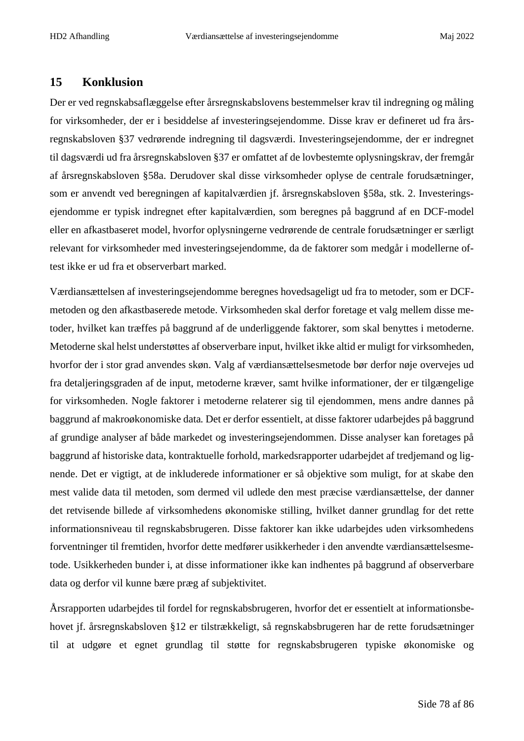#### **15 Konklusion**

Der er ved regnskabsaflæggelse efter årsregnskabslovens bestemmelser krav til indregning og måling for virksomheder, der er i besiddelse af investeringsejendomme. Disse krav er defineret ud fra årsregnskabsloven §37 vedrørende indregning til dagsværdi. Investeringsejendomme, der er indregnet til dagsværdi ud fra årsregnskabsloven §37 er omfattet af de lovbestemte oplysningskrav, der fremgår af årsregnskabsloven §58a. Derudover skal disse virksomheder oplyse de centrale forudsætninger, som er anvendt ved beregningen af kapitalværdien jf. årsregnskabsloven §58a, stk. 2. Investeringsejendomme er typisk indregnet efter kapitalværdien, som beregnes på baggrund af en DCF-model eller en afkastbaseret model, hvorfor oplysningerne vedrørende de centrale forudsætninger er særligt relevant for virksomheder med investeringsejendomme, da de faktorer som medgår i modellerne oftest ikke er ud fra et observerbart marked.

Værdiansættelsen af investeringsejendomme beregnes hovedsageligt ud fra to metoder, som er DCFmetoden og den afkastbaserede metode. Virksomheden skal derfor foretage et valg mellem disse metoder, hvilket kan træffes på baggrund af de underliggende faktorer, som skal benyttes i metoderne. Metoderne skal helst understøttes af observerbare input, hvilket ikke altid er muligt for virksomheden, hvorfor der i stor grad anvendes skøn. Valg af værdiansættelsesmetode bør derfor nøje overvejes ud fra detaljeringsgraden af de input, metoderne kræver, samt hvilke informationer, der er tilgængelige for virksomheden. Nogle faktorer i metoderne relaterer sig til ejendommen, mens andre dannes på baggrund af makroøkonomiske data. Det er derfor essentielt, at disse faktorer udarbejdes på baggrund af grundige analyser af både markedet og investeringsejendommen. Disse analyser kan foretages på baggrund af historiske data, kontraktuelle forhold, markedsrapporter udarbejdet af tredjemand og lignende. Det er vigtigt, at de inkluderede informationer er så objektive som muligt, for at skabe den mest valide data til metoden, som dermed vil udlede den mest præcise værdiansættelse, der danner det retvisende billede af virksomhedens økonomiske stilling, hvilket danner grundlag for det rette informationsniveau til regnskabsbrugeren. Disse faktorer kan ikke udarbejdes uden virksomhedens forventninger til fremtiden, hvorfor dette medfører usikkerheder i den anvendte værdiansættelsesmetode. Usikkerheden bunder i, at disse informationer ikke kan indhentes på baggrund af observerbare data og derfor vil kunne bære præg af subjektivitet.

Årsrapporten udarbejdes til fordel for regnskabsbrugeren, hvorfor det er essentielt at informationsbehovet jf. årsregnskabsloven §12 er tilstrækkeligt, så regnskabsbrugeren har de rette forudsætninger til at udgøre et egnet grundlag til støtte for regnskabsbrugeren typiske økonomiske og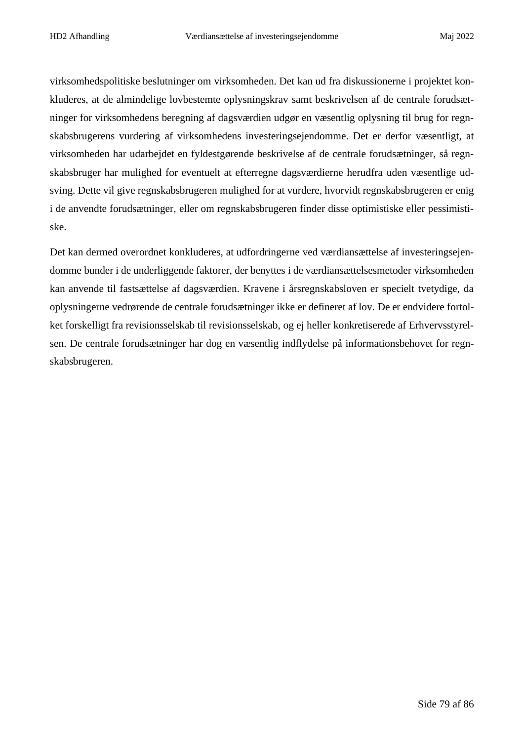virksomhedspolitiske beslutninger om virksomheden. Det kan ud fra diskussionerne i projektet konkluderes, at de almindelige lovbestemte oplysningskrav samt beskrivelsen af de centrale forudsætninger for virksomhedens beregning af dagsværdien udgør en væsentlig oplysning til brug for regnskabsbrugerens vurdering af virksomhedens investeringsejendomme. Det er derfor væsentligt, at virksomheden har udarbejdet en fyldestgørende beskrivelse af de centrale forudsætninger, så regnskabsbruger har mulighed for eventuelt at efterregne dagsværdierne herudfra uden væsentlige udsving. Dette vil give regnskabsbrugeren mulighed for at vurdere, hvorvidt regnskabsbrugeren er enig i de anvendte forudsætninger, eller om regnskabsbrugeren finder disse optimistiske eller pessimistiske.

Det kan dermed overordnet konkluderes, at udfordringerne ved værdiansættelse af investeringsejendomme bunder i de underliggende faktorer, der benyttes i de værdiansættelsesmetoder virksomheden kan anvende til fastsættelse af dagsværdien. Kravene i årsregnskabsloven er specielt tvetydige, da oplysningerne vedrørende de centrale forudsætninger ikke er defineret af lov. De er endvidere fortolket forskelligt fra revisionsselskab til revisionsselskab, og ej heller konkretiserede af Erhvervsstyrelsen. De centrale forudsætninger har dog en væsentlig indflydelse på informationsbehovet for regnskabsbrugeren.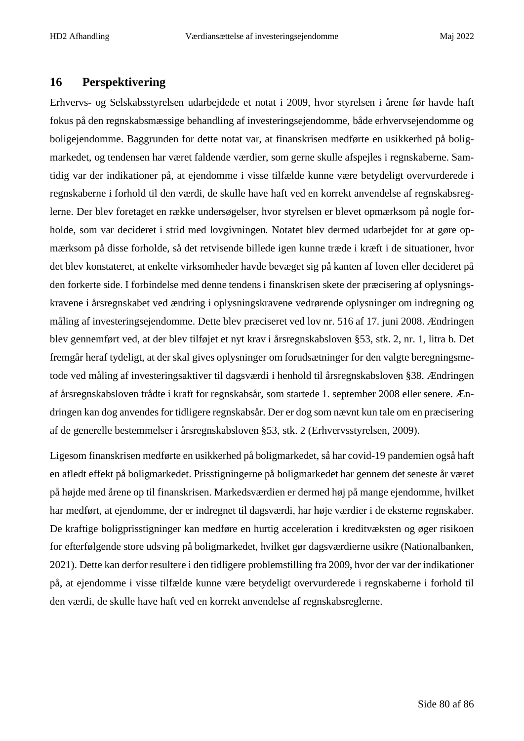### **16 Perspektivering**

Erhvervs- og Selskabsstyrelsen udarbejdede et notat i 2009, hvor styrelsen i årene før havde haft fokus på den regnskabsmæssige behandling af investeringsejendomme, både erhvervsejendomme og boligejendomme. Baggrunden for dette notat var, at finanskrisen medførte en usikkerhed på boligmarkedet, og tendensen har været faldende værdier, som gerne skulle afspejles i regnskaberne. Samtidig var der indikationer på, at ejendomme i visse tilfælde kunne være betydeligt overvurderede i regnskaberne i forhold til den værdi, de skulle have haft ved en korrekt anvendelse af regnskabsreglerne. Der blev foretaget en række undersøgelser, hvor styrelsen er blevet opmærksom på nogle forholde, som var decideret i strid med lovgivningen. Notatet blev dermed udarbejdet for at gøre opmærksom på disse forholde, så det retvisende billede igen kunne træde i kræft i de situationer, hvor det blev konstateret, at enkelte virksomheder havde bevæget sig på kanten af loven eller decideret på den forkerte side. I forbindelse med denne tendens i finanskrisen skete der præcisering af oplysningskravene i årsregnskabet ved ændring i oplysningskravene vedrørende oplysninger om indregning og måling af investeringsejendomme. Dette blev præciseret ved lov nr. 516 af 17. juni 2008. Ændringen blev gennemført ved, at der blev tilføjet et nyt krav i årsregnskabsloven §53, stk. 2, nr. 1, litra b. Det fremgår heraf tydeligt, at der skal gives oplysninger om forudsætninger for den valgte beregningsmetode ved måling af investeringsaktiver til dagsværdi i henhold til årsregnskabsloven §38. Ændringen af årsregnskabsloven trådte i kraft for regnskabsår, som startede 1. september 2008 eller senere. Ændringen kan dog anvendes for tidligere regnskabsår. Der er dog som nævnt kun tale om en præcisering af de generelle bestemmelser i årsregnskabsloven §53, stk. 2 (Erhvervsstyrelsen, 2009).

Ligesom finanskrisen medførte en usikkerhed på boligmarkedet, så har covid-19 pandemien også haft en afledt effekt på boligmarkedet. Prisstigningerne på boligmarkedet har gennem det seneste år været på højde med årene op til finanskrisen. Markedsværdien er dermed høj på mange ejendomme, hvilket har medført, at ejendomme, der er indregnet til dagsværdi, har høje værdier i de eksterne regnskaber. De kraftige boligprisstigninger kan medføre en hurtig acceleration i kreditvæksten og øger risikoen for efterfølgende store udsving på boligmarkedet, hvilket gør dagsværdierne usikre (Nationalbanken, 2021). Dette kan derfor resultere i den tidligere problemstilling fra 2009, hvor der var der indikationer på, at ejendomme i visse tilfælde kunne være betydeligt overvurderede i regnskaberne i forhold til den værdi, de skulle have haft ved en korrekt anvendelse af regnskabsreglerne.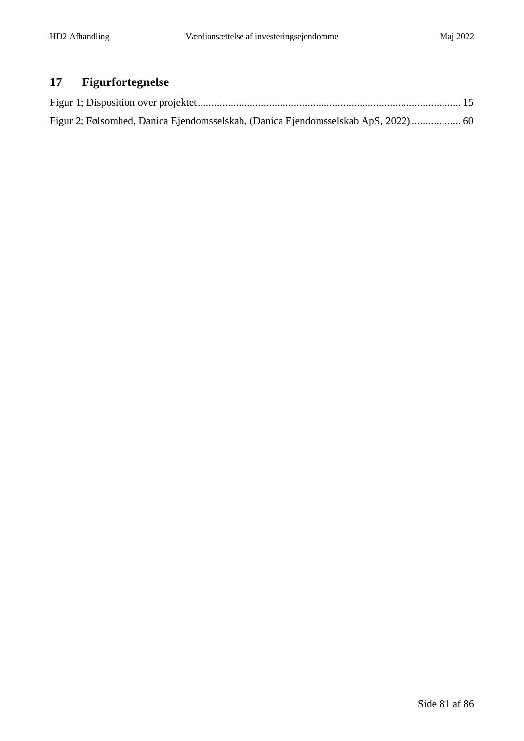## **17 Figurfortegnelse**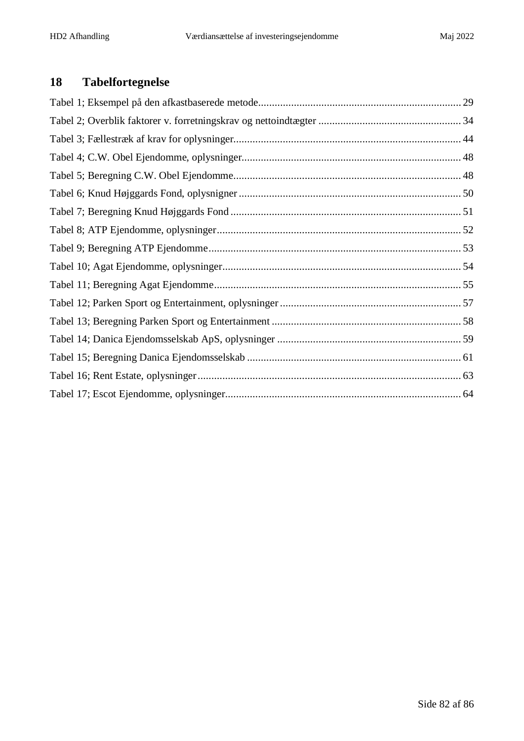# **18 Tabelfortegnelse**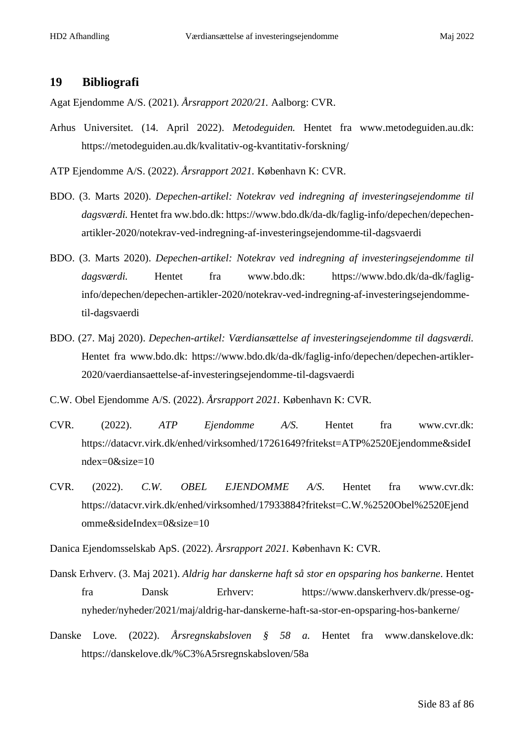#### **19 Bibliografi**

Agat Ejendomme A/S. (2021). *Årsrapport 2020/21.* Aalborg: CVR.

Arhus Universitet. (14. April 2022). *Metodeguiden.* Hentet fra www.metodeguiden.au.dk: https://metodeguiden.au.dk/kvalitativ-og-kvantitativ-forskning/

ATP Ejendomme A/S. (2022). *Årsrapport 2021.* København K: CVR.

- BDO. (3. Marts 2020). *Depechen-artikel: Notekrav ved indregning af investeringsejendomme til dagsværdi.* Hentet fra ww.bdo.dk: https://www.bdo.dk/da-dk/faglig-info/depechen/depechenartikler-2020/notekrav-ved-indregning-af-investeringsejendomme-til-dagsvaerdi
- BDO. (3. Marts 2020). *Depechen-artikel: Notekrav ved indregning af investeringsejendomme til dagsværdi.* Hentet fra www.bdo.dk: https://www.bdo.dk/da-dk/fagliginfo/depechen/depechen-artikler-2020/notekrav-ved-indregning-af-investeringsejendommetil-dagsvaerdi
- BDO. (27. Maj 2020). *Depechen-artikel: Værdiansættelse af investeringsejendomme til dagsværdi.* Hentet fra www.bdo.dk: https://www.bdo.dk/da-dk/faglig-info/depechen/depechen-artikler-2020/vaerdiansaettelse-af-investeringsejendomme-til-dagsvaerdi
- C.W. Obel Ejendomme A/S. (2022). *Årsrapport 2021.* København K: CVR.
- CVR. (2022). *ATP Ejendomme A/S*. Hentet fra www.cvr.dk: https://datacvr.virk.dk/enhed/virksomhed/17261649?fritekst=ATP%2520Ejendomme&sideI ndex=0&size=10
- CVR. (2022). *C.W. OBEL EJENDOMME A/S*. Hentet fra www.cvr.dk: https://datacvr.virk.dk/enhed/virksomhed/17933884?fritekst=C.W.%2520Obel%2520Ejend omme&sideIndex=0&size=10

Danica Ejendomsselskab ApS. (2022). *Årsrapport 2021.* København K: CVR.

- Dansk Erhverv. (3. Maj 2021). *Aldrig har danskerne haft så stor en opsparing hos bankerne*. Hentet fra Dansk Erhverv: https://www.danskerhverv.dk/presse-ognyheder/nyheder/2021/maj/aldrig-har-danskerne-haft-sa-stor-en-opsparing-hos-bankerne/
- Danske Love. (2022). *Årsregnskabsloven § 58 a.* Hentet fra www.danskelove.dk: https://danskelove.dk/%C3%A5rsregnskabsloven/58a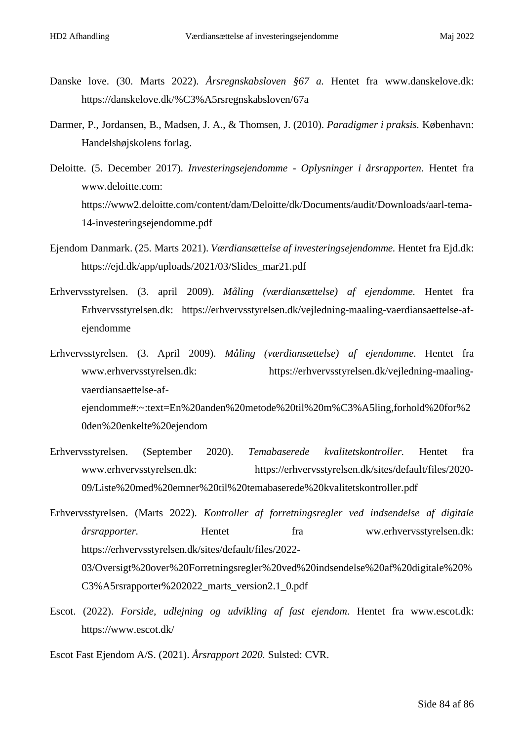- Danske love. (30. Marts 2022). *Årsregnskabsloven §67 a.* Hentet fra www.danskelove.dk: https://danskelove.dk/%C3%A5rsregnskabsloven/67a
- Darmer, P., Jordansen, B., Madsen, J. A., & Thomsen, J. (2010). *Paradigmer i praksis.* København: Handelshøjskolens forlag.
- Deloitte. (5. December 2017). *Investeringsejendomme Oplysninger i årsrapporten.* Hentet fra www.deloitte.com: https://www2.deloitte.com/content/dam/Deloitte/dk/Documents/audit/Downloads/aarl-tema-14-investeringsejendomme.pdf
- Ejendom Danmark. (25. Marts 2021). *Værdiansættelse af investeringsejendomme.* Hentet fra Ejd.dk: https://ejd.dk/app/uploads/2021/03/Slides\_mar21.pdf
- Erhvervsstyrelsen. (3. april 2009). *Måling (værdiansættelse) af ejendomme.* Hentet fra Erhvervsstyrelsen.dk: https://erhvervsstyrelsen.dk/vejledning-maaling-vaerdiansaettelse-afejendomme
- Erhvervsstyrelsen. (3. April 2009). *Måling (værdiansættelse) af ejendomme.* Hentet fra www.erhvervsstyrelsen.dk: https://erhvervsstyrelsen.dk/vejledning-maalingvaerdiansaettelse-afejendomme#:~:text=En%20anden%20metode%20til%20m%C3%A5ling,forhold%20for%2 0den%20enkelte%20ejendom
- Erhvervsstyrelsen. (September 2020). *Temabaserede kvalitetskontroller.* Hentet fra www.erhvervsstyrelsen.dk: https://erhvervsstyrelsen.dk/sites/default/files/2020- 09/Liste%20med%20emner%20til%20temabaserede%20kvalitetskontroller.pdf

Erhvervsstyrelsen. (Marts 2022). *Kontroller af forretningsregler ved indsendelse af digitale årsrapporter.* Hentet fra ww.erhvervsstyrelsen.dk: https://erhvervsstyrelsen.dk/sites/default/files/2022- 03/Oversigt%20over%20Forretningsregler%20ved%20indsendelse%20af%20digitale%20% C3%A5rsrapporter%202022\_marts\_version2.1\_0.pdf

- Escot. (2022). *Forside, udlejning og udvikling af fast ejendom*. Hentet fra www.escot.dk: https://www.escot.dk/
- Escot Fast Ejendom A/S. (2021). *Årsrapport 2020.* Sulsted: CVR.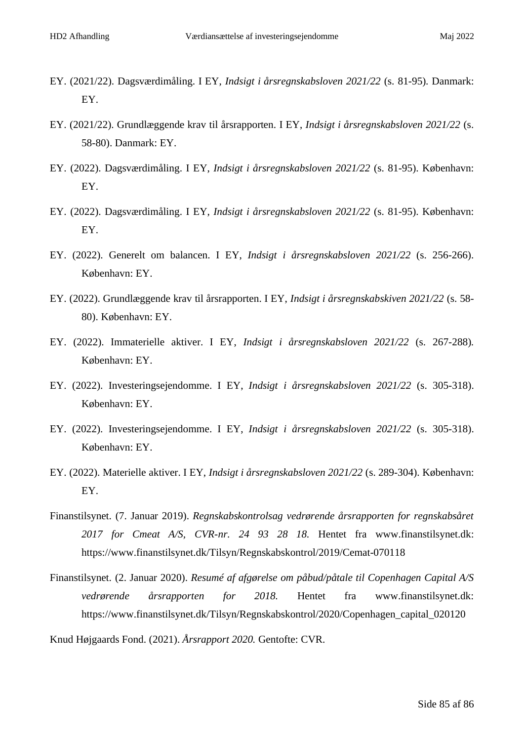- EY. (2021/22). Dagsværdimåling. I EY, *Indsigt i årsregnskabsloven 2021/22* (s. 81-95). Danmark: EY.
- EY. (2021/22). Grundlæggende krav til årsrapporten. I EY, *Indsigt i årsregnskabsloven 2021/22* (s. 58-80). Danmark: EY.
- EY. (2022). Dagsværdimåling. I EY, *Indsigt i årsregnskabsloven 2021/22* (s. 81-95). København: EY.
- EY. (2022). Dagsværdimåling. I EY, *Indsigt i årsregnskabsloven 2021/22* (s. 81-95). København: EY.
- EY. (2022). Generelt om balancen. I EY, *Indsigt i årsregnskabsloven 2021/22* (s. 256-266). København: EY.
- EY. (2022). Grundlæggende krav til årsrapporten. I EY, *Indsigt i årsregnskabskiven 2021/22* (s. 58- 80). København: EY.
- EY. (2022). Immaterielle aktiver. I EY, *Indsigt i årsregnskabsloven 2021/22* (s. 267-288). København: EY.
- EY. (2022). Investeringsejendomme. I EY, *Indsigt i årsregnskabsloven 2021/22* (s. 305-318). København: EY.
- EY. (2022). Investeringsejendomme. I EY, *Indsigt i årsregnskabsloven 2021/22* (s. 305-318). København: EY.
- EY. (2022). Materielle aktiver. I EY, *Indsigt i årsregnskabsloven 2021/22* (s. 289-304). København: EY.
- Finanstilsynet. (7. Januar 2019). *Regnskabskontrolsag vedrørende årsrapporten for regnskabsåret 2017 for Cmeat A/S, CVR-nr. 24 93 28 18.* Hentet fra www.finanstilsynet.dk: https://www.finanstilsynet.dk/Tilsyn/Regnskabskontrol/2019/Cemat-070118
- Finanstilsynet. (2. Januar 2020). *Resumé af afgørelse om påbud/påtale til Copenhagen Capital A/S vedrørende årsrapporten for 2018.* Hentet fra www.finanstilsynet.dk: https://www.finanstilsynet.dk/Tilsyn/Regnskabskontrol/2020/Copenhagen\_capital\_020120

Knud Højgaards Fond. (2021). *Årsrapport 2020.* Gentofte: CVR.